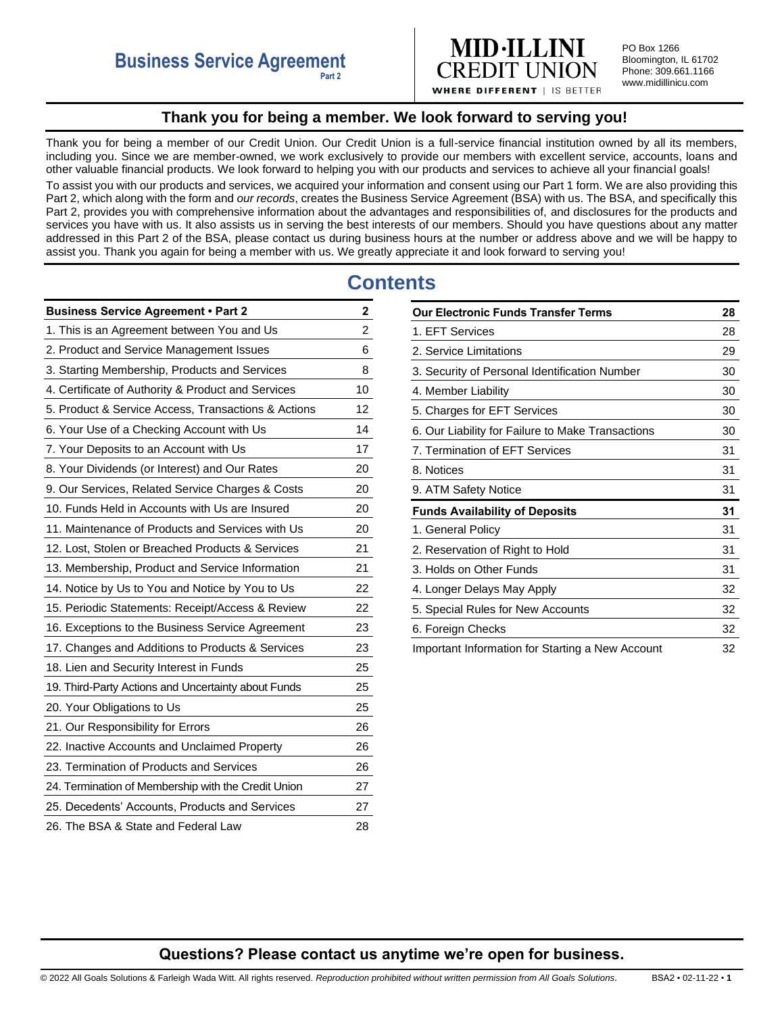

PO Box 1266 Bloomington, IL 61702 Phone: 309.661.1166 www.midillinicu.com

**WHERE DIFFERENT | IS BETTER** 

# **Thank you for being a member. We look forward to serving you!**

<span id="page-0-0"></span>Thank you for being a member of our Credit Union. Our Credit Union is a full-service financial institution owned by all its members, including you. Since we are member-owned, we work exclusively to provide our members with excellent service, accounts, loans and other valuable financial products. We look forward to helping you with our products and services to achieve all your financial goals! To assist you with our products and services, we acquired your information and consent using our Part 1 form. We are also providing this Part 2, which along with the form and *our records*, creates the Business Service Agreement (BSA) with us. The BSA, and specifically this Part 2, provides you with comprehensive information about the advantages and responsibilities of, and disclosures for the products and services you have with us. It also assists us in serving the best interests of our members. Should you have questions about any matter addressed in this Part 2 of the BSA, please contact us during business hours at the number or address above and we will be happy to assist you. Thank you again for being a member with us. We greatly appreciate it and look forward to serving you!

# **Contents**

| <b>Business Service Agreement • Part 2</b>          | 2                       |
|-----------------------------------------------------|-------------------------|
| 1. This is an Agreement between You and Us          | $\overline{\mathbf{c}}$ |
| 2. Product and Service Management Issues            | 6                       |
| 3. Starting Membership, Products and Services       | 8                       |
| 4. Certificate of Authority & Product and Services  | 10                      |
| 5. Product & Service Access, Transactions & Actions | 12                      |
| 6. Your Use of a Checking Account with Us           | 14                      |
| 7. Your Deposits to an Account with Us              | 17                      |
| 8. Your Dividends (or Interest) and Our Rates       | 20                      |
| 9. Our Services, Related Service Charges & Costs    | 20                      |
| 10. Funds Held in Accounts with Us are Insured      | 20                      |
| 11. Maintenance of Products and Services with Us    | 20                      |
| 12. Lost, Stolen or Breached Products & Services    | 21                      |
| 13. Membership, Product and Service Information     | 21                      |
| 14. Notice by Us to You and Notice by You to Us     | 22                      |
| 15. Periodic Statements: Receipt/Access & Review    | 22                      |
| 16. Exceptions to the Business Service Agreement    | 23                      |
| 17. Changes and Additions to Products & Services    | 23                      |
| 18. Lien and Security Interest in Funds             | 25                      |
| 19. Third-Party Actions and Uncertainty about Funds | 25                      |
| 20. Your Obligations to Us                          | 25                      |
| 21. Our Responsibility for Errors                   | 26                      |
| 22. Inactive Accounts and Unclaimed Property        | 26                      |
| 23. Termination of Products and Services            | 26                      |
| 24. Termination of Membership with the Credit Union | 27                      |
| 25. Decedents' Accounts, Products and Services      | 27                      |
| 26. The BSA & State and Federal Law                 | 28                      |

| <b>Our Electronic Funds Transfer Terms</b>        | 28 |
|---------------------------------------------------|----|
| 1. EFT Services                                   | 28 |
| 2. Service Limitations                            | 29 |
| 3. Security of Personal Identification Number     | 30 |
| 4. Member Liability                               | 30 |
| 5. Charges for EFT Services                       | 30 |
| 6. Our Liability for Failure to Make Transactions | 30 |
| 7. Termination of EFT Services                    | 31 |
| 8. Notices                                        | 31 |
| 9. ATM Safety Notice                              | 31 |
| <b>Funds Availability of Deposits</b>             | 31 |
| 1. General Policy                                 | 31 |
| 2. Reservation of Right to Hold                   | 31 |
| 3. Holds on Other Funds                           | 31 |
| 4. Longer Delays May Apply                        | 32 |
| 5. Special Rules for New Accounts                 | 32 |
| 6. Foreign Checks                                 | 32 |
| Important Information for Starting a New Account  | 32 |

# **Questions? Please contact us anytime we're open for business.**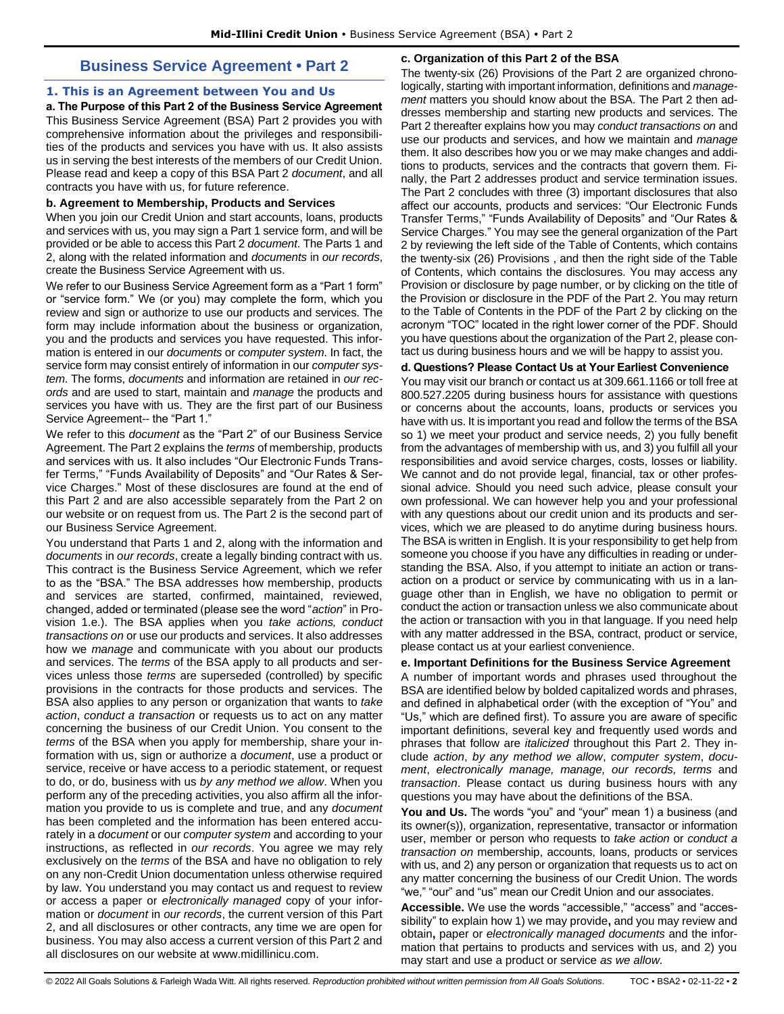# **Business Service Agreement • Part 2**

# <span id="page-1-1"></span><span id="page-1-0"></span>**1. This is an Agreement between You and Us**

**a. The Purpose of this Part 2 of the Business Service Agreement**  This Business Service Agreement (BSA) Part 2 provides you with comprehensive information about the privileges and responsibilities of the products and services you have with us. It also assists us in serving the best interests of the members of our Credit Union. Please read and keep a copy of this BSA Part 2 *document*, and all contracts you have with us, for future reference.

# **b. Agreement to Membership, Products and Services**

When you join our Credit Union and start accounts, loans, products and services with us, you may sign a Part 1 service form, and will be provided or be able to access this Part 2 *document*. The Parts 1 and 2, along with the related information and *documents* in *our records*, create the Business Service Agreement with us.

We refer to our Business Service Agreement form as a "Part 1 form" or "service form." We (or you) may complete the form, which you review and sign or authorize to use our products and services. The form may include information about the business or organization, you and the products and services you have requested. This information is entered in our *documents* or *computer system*. In fact, the service form may consist entirely of information in our *computer system*. The forms, *documents* and information are retained in *our records* and are used to start, maintain and *manage* the products and services you have with us. They are the first part of our Business Service Agreement-- the "Part 1."

We refer to this *document* as the "Part 2" of our Business Service Agreement. The Part 2 explains the *terms* of membership, products and services with us. It also includes "Our Electronic Funds Transfer Terms," "Funds Availability of Deposits" and "Our Rates & Service Charges." Most of these disclosures are found at the end of this Part 2 and are also accessible separately from the Part 2 on our website or on request from us. The Part 2 is the second part of our Business Service Agreement.

You understand that Parts 1 and 2, along with the information and *documents* in *our records*, create a legally binding contract with us. This contract is the Business Service Agreement, which we refer to as the "BSA." The BSA addresses how membership, products and services are started, confirmed, maintained, reviewed, changed, added or terminated (please see the word "*action*" in Provision 1.e.). The BSA applies when you *take actions, conduct transactions on* or use our products and services. It also addresses how we *manage* and communicate with you about our products and services. The *terms* of the BSA apply to all products and services unless those *terms* are superseded (controlled) by specific provisions in the contracts for those products and services. The BSA also applies to any person or organization that wants to *take action*, *conduct a transaction* or requests us to act on any matter concerning the business of our Credit Union. You consent to the *terms* of the BSA when you apply for membership, share your information with us, sign or authorize a *document*, use a product or service, receive or have access to a periodic statement, or request to do, or do, business with us *by any method we allow*. When you perform any of the preceding activities, you also affirm all the information you provide to us is complete and true, and any *document* has been completed and the information has been entered accurately in a *document* or our *computer system* and according to your instructions, as reflected in *our records*. You agree we may rely exclusively on the *terms* of the BSA and have no obligation to rely on any non-Credit Union documentation unless otherwise required by law. You understand you may contact us and request to review or access a paper or *electronically managed* copy of your information or *document* in *our records*, the current version of this Part 2, and all disclosures or other contracts, any time we are open for business. You may also access a current version of this Part 2 and all disclosures on our website at www.midillinicu.com.

# **c. Organization of this Part 2 of the BSA**

The twenty-six (26) Provisions of the Part 2 are organized chronologically, starting with important information, definitions and *management* matters you should know about the BSA. The Part 2 then addresses membership and starting new products and services. The Part 2 thereafter explains how you may *conduct transactions on* and use our products and services, and how we maintain and *manage*  them. It also describes how you or we may make changes and additions to products, services and the contracts that govern them. Finally, the Part 2 addresses product and service termination issues. The Part 2 concludes with three (3) important disclosures that also affect our accounts, products and services: "Our Electronic Funds Transfer Terms," "Funds Availability of Deposits" and "Our Rates & Service Charges." You may see the general organization of the Part 2 by reviewing the left side of the Table of Contents, which contains the twenty-six (26) Provisions , and then the right side of the Table of Contents, which contains the disclosures. You may access any Provision or disclosure by page number, or by clicking on the title of the Provision or disclosure in the PDF of the Part 2. You may return to the Table of Contents in the PDF of the Part 2 by clicking on the acronym "TOC" located in the right lower corner of the PDF. Should you have questions about the organization of the Part 2, please contact us during business hours and we will be happy to assist you.

# **d. Questions? Please Contact Us at Your Earliest Convenience**

You may visit our branch or contact us at 309.661.1166 or toll free at 800.527.2205 during business hours for assistance with questions or concerns about the accounts, loans, products or services you have with us. It is important you read and follow the terms of the BSA so 1) we meet your product and service needs, 2) you fully benefit from the advantages of membership with us, and 3) you fulfill all your responsibilities and avoid service charges, costs, losses or liability. We cannot and do not provide legal, financial, tax or other professional advice. Should you need such advice, please consult your own professional. We can however help you and your professional with any questions about our credit union and its products and services, which we are pleased to do anytime during business hours. The BSA is written in English. It is your responsibility to get help from someone you choose if you have any difficulties in reading or understanding the BSA. Also, if you attempt to initiate an action or transaction on a product or service by communicating with us in a language other than in English, we have no obligation to permit or conduct the action or transaction unless we also communicate about the action or transaction with you in that language. If you need help with any matter addressed in the BSA, contract, product or service, please contact us at your earliest convenience.

# **e. Important Definitions for the Business Service Agreement**

A number of important words and phrases used throughout the BSA are identified below by bolded capitalized words and phrases, and defined in alphabetical order (with the exception of "You" and "Us," which are defined first). To assure you are aware of specific important definitions, several key and frequently used words and phrases that follow are *italicized* throughout this Part 2. They include *action*, *by any method we allow*, *computer system*, *document*, *electronically manage, manage, our records, terms* and *transaction*. Please contact us during business hours with any questions you may have about the definitions of the BSA.

**You and Us.** The words "you" and "your" mean 1) a business (and its owner(s)), organization, representative, transactor or information user, member or person who requests to *take action* or *conduct a transaction on* membership, accounts, loans, products or services with us, and 2) any person or organization that requests us to act on any matter concerning the business of our Credit Union. The words "we," "our" and "us" mean our Credit Union and our associates.

**Accessible.** We use the words "accessible," "access" and "accessibility" to explain how 1) we may provide**,** and you may review and obtain**,** paper or *electronically managed documents* and the information that pertains to products and services with us, and 2) you may start and use a product or service *as we allow.*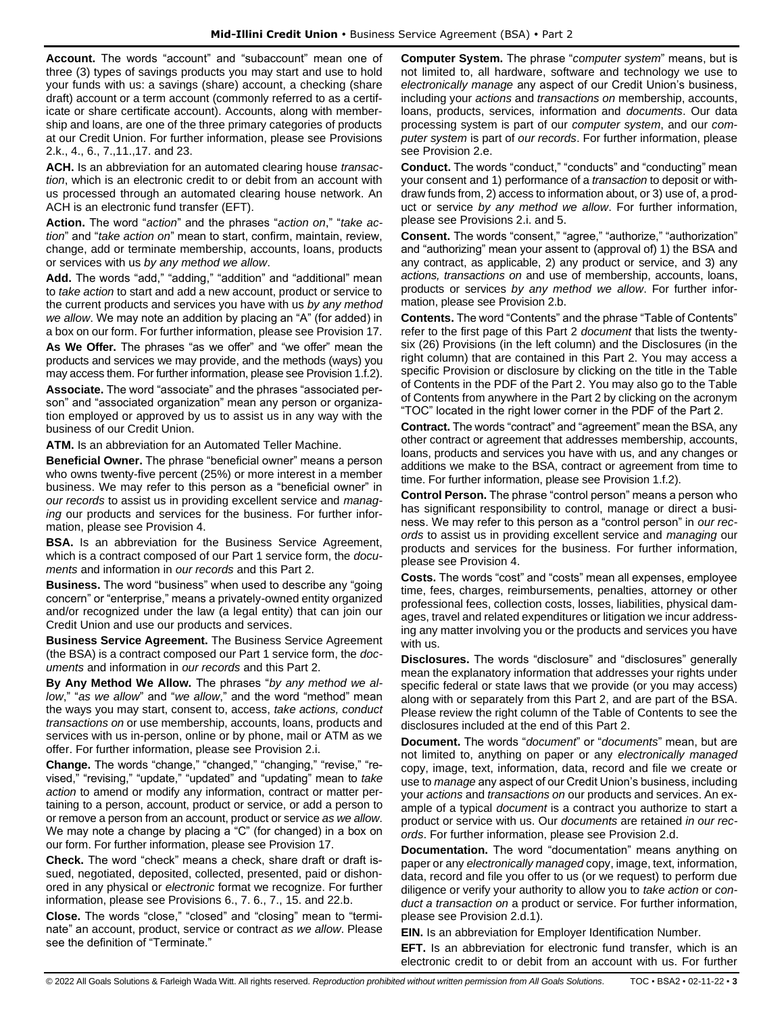**Account.** The words "account" and "subaccount" mean one of three (3) types of savings products you may start and use to hold your funds with us: a savings (share) account, a checking (share draft) account or a term account (commonly referred to as a certificate or share certificate account). Accounts, along with membership and loans, are one of the three primary categories of products at our Credit Union. For further information, please see Provisions 2.k., 4., 6., 7.,11.,17. and 23.

**ACH.** Is an abbreviation for an automated clearing house *transaction*, which is an electronic credit to or debit from an account with us processed through an automated clearing house network. An ACH is an electronic fund transfer (EFT).

**Action.** The word "*action*" and the phrases "*action on*," "*take action*" and "*take action on*" mean to start, confirm, maintain, review, change, add or terminate membership, accounts, loans, products or services with us *by any method we allow*.

**Add.** The words "add," "adding," "addition" and "additional" mean to *take action* to start and add a new account, product or service to the current products and services you have with us *by any method we allow*. We may note an addition by placing an "A" (for added) in a box on our form. For further information, please see Provision 17.

**As We Offer.** The phrases "as we offer" and "we offer" mean the products and services we may provide, and the methods (ways) you may access them. For further information, please see Provision 1.f.2).

**Associate.** The word "associate" and the phrases "associated person" and "associated organization" mean any person or organization employed or approved by us to assist us in any way with the business of our Credit Union.

**ATM.** Is an abbreviation for an Automated Teller Machine.

**Beneficial Owner.** The phrase "beneficial owner" means a person who owns twenty-five percent (25%) or more interest in a member business. We may refer to this person as a "beneficial owner" in *our records* to assist us in providing excellent service and *managing* our products and services for the business. For further information, please see Provision 4.

**BSA.** Is an abbreviation for the Business Service Agreement, which is a contract composed of our Part 1 service form, the *documents* and information in *our records* and this Part 2.

**Business.** The word "business" when used to describe any "going concern" or "enterprise," means a privately-owned entity organized and/or recognized under the law (a legal entity) that can join our Credit Union and use our products and services.

**Business Service Agreement.** The Business Service Agreement (the BSA) is a contract composed our Part 1 service form, the *documents* and information in *our records* and this Part 2.

**By Any Method We Allow.** The phrases "*by any method we allow*," "*as we allow*" and "*we allow*," and the word "method" mean the ways you may start, consent to, access, *take actions, conduct transactions on* or use membership, accounts, loans, products and services with us in-person, online or by phone, mail or ATM as we offer. For further information, please see Provision 2.i.

**Change.** The words "change," "changed," "changing," "revise," "revised," "revising," "update," "updated" and "updating" mean to *take action* to amend or modify any information, contract or matter pertaining to a person, account, product or service, or add a person to or remove a person from an account, product or service *as we allow*. We may note a change by placing a "C" (for changed) in a box on our form. For further information, please see Provision 17.

**Check.** The word "check" means a check, share draft or draft issued, negotiated, deposited, collected, presented, paid or dishonored in any physical or *electronic* format we recognize. For further information, please see Provisions 6., 7. 6., 7., 15. and 22.b.

**Close.** The words "close," "closed" and "closing" mean to "terminate" an account, product, service or contract *as we allow*. Please see the definition of "Terminate."

**Computer System.** The phrase "*computer system*" means, but is not limited to, all hardware, software and technology we use to *electronically manage* any aspect of our Credit Union's business, including your *actions* and *transactions on* membership, accounts, loans, products, services, information and *documents*. Our data processing system is part of our *computer system*, and our *computer system* is part of *our records*. For further information, please see Provision 2.e.

**Conduct.** The words "conduct," "conducts" and "conducting" mean your consent and 1) performance of a *transaction* to deposit or withdraw funds from, 2) access to information about, or 3) use of, a product or service *by any method we allow*. For further information, please see Provisions 2.i. and 5.

**Consent.** The words "consent," "agree," "authorize," "authorization" and "authorizing" mean your assent to (approval of) 1) the BSA and any contract, as applicable, 2) any product or service, and 3) any *actions, transactions on* and use of membership, accounts, loans, products or services *by any method we allow*. For further information, please see Provision 2.b.

**Contents.** The word "Contents" and the phrase "Table of Contents" refer to the first page of this Part 2 *document* that lists the twentysix (26) Provisions (in the left column) and the Disclosures (in the right column) that are contained in this Part 2. You may access a specific Provision or disclosure by clicking on the title in the Table of Contents in the PDF of the Part 2. You may also go to the Table of Contents from anywhere in the Part 2 by clicking on the acronym "TOC" located in the right lower corner in the PDF of the Part 2.

**Contract.** The words "contract" and "agreement" mean the BSA, any other contract or agreement that addresses membership, accounts, loans, products and services you have with us, and any changes or additions we make to the BSA, contract or agreement from time to time. For further information, please see Provision 1.f.2).

**Control Person.** The phrase "control person" means a person who has significant responsibility to control, manage or direct a business. We may refer to this person as a "control person" in *our records* to assist us in providing excellent service and *managing* our products and services for the business. For further information, please see Provision 4.

**Costs.** The words "cost" and "costs" mean all expenses, employee time, fees, charges, reimbursements, penalties, attorney or other professional fees, collection costs, losses, liabilities, physical damages, travel and related expenditures or litigation we incur addressing any matter involving you or the products and services you have with us.

**Disclosures.** The words "disclosure" and "disclosures" generally mean the explanatory information that addresses your rights under specific federal or state laws that we provide (or you may access) along with or separately from this Part 2, and are part of the BSA. Please review the right column of the Table of Contents to see the disclosures included at the end of this Part 2.

**Document.** The words "*document*" or "*documents*" mean, but are not limited to, anything on paper or any *electronically managed*  copy, image, text, information, data, record and file we create or use to *manage* any aspect of our Credit Union's business, including your *actions* and *transactions on* our products and services. An example of a typical *document* is a contract you authorize to start a product or service with us. Our *documents* are retained *in our records*. For further information, please see Provision 2.d.

**Documentation.** The word "documentation" means anything on paper or any *electronically managed* copy, image, text, information, data, record and file you offer to us (or we request) to perform due diligence or verify your authority to allow you to *take action* or *conduct a transaction on* a product or service. For further information, please see Provision 2.d.1).

**EIN.** Is an abbreviation for Employer Identification Number.

**EFT.** Is an abbreviation for electronic fund transfer, which is an electronic credit to or debit from an account with us. For further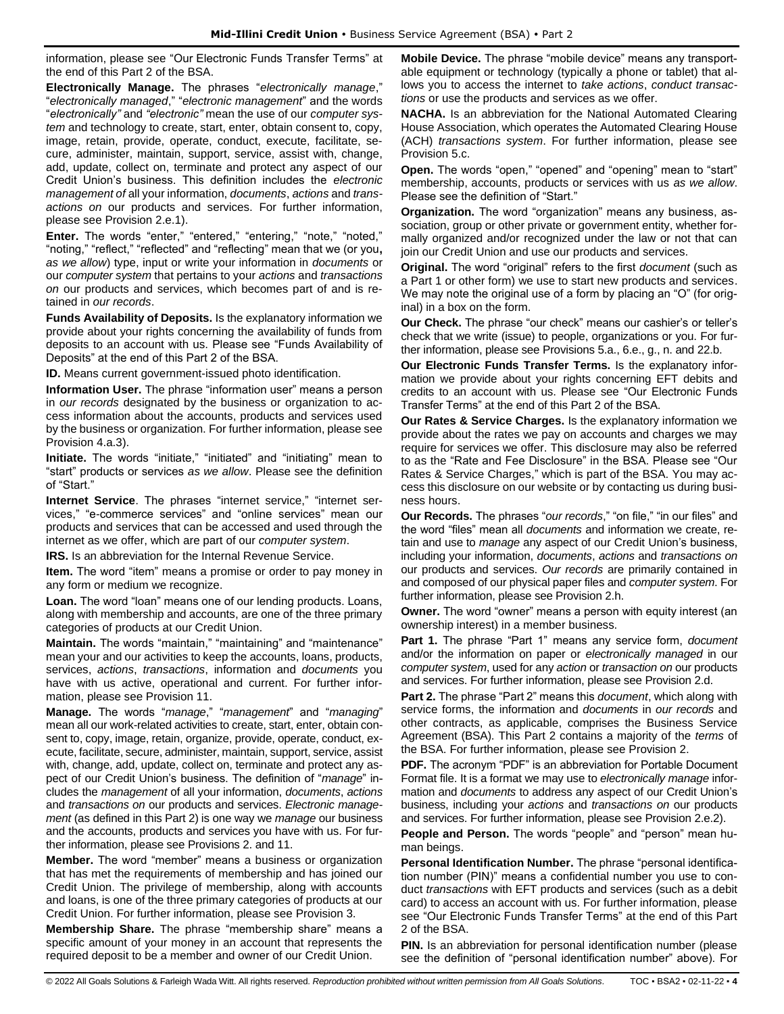information, please see "Our Electronic Funds Transfer Terms" at the end of this Part 2 of the BSA.

**Electronically Manage.** The phrases "*electronically manage*," "*electronically managed*," "*electronic management*" and the words "*electronically"* and *"electronic"* mean the use of our *computer system* and technology to create, start, enter, obtain consent to, copy, image, retain, provide, operate, conduct, execute, facilitate, secure, administer, maintain, support, service, assist with, change, add, update, collect on, terminate and protect any aspect of our Credit Union's business. This definition includes the *electronic management of* all your information, *documents*, *actions* and *transactions on* our products and services. For further information, please see Provision 2.e.1).

**Enter.** The words "enter," "entered," "entering," "note," "noted," "noting," "reflect," "reflected" and "reflecting" mean that we (or you**,** *as we allow*) type, input or write your information in *documents* or our *computer system* that pertains to your *actions* and *transactions on* our products and services, which becomes part of and is retained in *our records*.

**Funds Availability of Deposits.** Is the explanatory information we provide about your rights concerning the availability of funds from deposits to an account with us. Please see "Funds Availability of Deposits" at the end of this Part 2 of the BSA.

**ID.** Means current government-issued photo identification.

**Information User.** The phrase "information user" means a person in *our records* designated by the business or organization to access information about the accounts, products and services used by the business or organization. For further information, please see Provision 4.a.3).

**Initiate.** The words "initiate," "initiated" and "initiating" mean to "start" products or services *as we allow*. Please see the definition of "Start."

**Internet Service**. The phrases "internet service," "internet services," "e-commerce services" and "online services" mean our products and services that can be accessed and used through the internet as we offer, which are part of our *computer system*.

**IRS.** Is an abbreviation for the Internal Revenue Service.

**Item.** The word "item" means a promise or order to pay money in any form or medium we recognize.

Loan. The word "loan" means one of our lending products. Loans, along with membership and accounts, are one of the three primary categories of products at our Credit Union.

**Maintain.** The words "maintain," "maintaining" and "maintenance" mean your and our activities to keep the accounts, loans, products, services, *actions*, *transactions*, information and *documents* you have with us active, operational and current. For further information, please see Provision 11.

**Manage.** The words "*manage*," "*management*" and "*managing*" mean all our work-related activities to create, start, enter, obtain consent to, copy, image, retain, organize, provide, operate, conduct, execute, facilitate, secure, administer, maintain, support, service, assist with, change, add, update, collect on, terminate and protect any aspect of our Credit Union's business. The definition of "*manage*" includes the *management* of all your information, *documents*, *actions* and *transactions on* our products and services. *Electronic management* (as defined in this Part 2) is one way we *manage* our business and the accounts, products and services you have with us. For further information, please see Provisions 2. and 11.

**Member.** The word "member" means a business or organization that has met the requirements of membership and has joined our Credit Union. The privilege of membership, along with accounts and loans, is one of the three primary categories of products at our Credit Union. For further information, please see Provision 3.

**Membership Share.** The phrase "membership share" means a specific amount of your money in an account that represents the required deposit to be a member and owner of our Credit Union.

**Mobile Device.** The phrase "mobile device" means any transportable equipment or technology (typically a phone or tablet) that allows you to access the internet to *take actions*, *conduct transactions* or use the products and services as we offer.

**NACHA.** Is an abbreviation for the National Automated Clearing House Association, which operates the Automated Clearing House (ACH) *transactions system*. For further information, please see Provision 5.c.

**Open.** The words "open," "opened" and "opening" mean to "start" membership, accounts, products or services with us *as we allow*. Please see the definition of "Start."

**Organization.** The word "organization" means any business, association, group or other private or government entity, whether formally organized and/or recognized under the law or not that can join our Credit Union and use our products and services.

**Original.** The word "original" refers to the first *document* (such as a Part 1 or other form) we use to start new products and services. We may note the original use of a form by placing an "O" (for original) in a box on the form.

**Our Check.** The phrase "our check" means our cashier's or teller's check that we write (issue) to people, organizations or you. For further information, please see Provisions 5.a., 6.e., g., n. and 22.b.

**Our Electronic Funds Transfer Terms.** Is the explanatory information we provide about your rights concerning EFT debits and credits to an account with us. Please see "Our Electronic Funds Transfer Terms" at the end of this Part 2 of the BSA.

**Our Rates & Service Charges.** Is the explanatory information we provide about the rates we pay on accounts and charges we may require for services we offer. This disclosure may also be referred to as the "Rate and Fee Disclosure" in the BSA. Please see "Our Rates & Service Charges," which is part of the BSA. You may access this disclosure on our website or by contacting us during business hours.

**Our Records.** The phrases "*our records*," "on file," "in our files" and the word "files" mean all *documents* and information we create, retain and use to *manage* any aspect of our Credit Union's business, including your information, *documents*, *actions* and *transactions on* our products and services. *Our records* are primarily contained in and composed of our physical paper files and *computer system*. For further information, please see Provision 2.h.

**Owner.** The word "owner" means a person with equity interest (an ownership interest) in a member business.

**Part 1.** The phrase "Part 1" means any service form, *document* and/or the information on paper or *electronically managed* in our *computer system*, used for any *action* or *transaction on* our products and services. For further information, please see Provision 2.d.

**Part 2.** The phrase "Part 2" means this *document*, which along with service forms, the information and *documents* in *our records* and other contracts, as applicable, comprises the Business Service Agreement (BSA). This Part 2 contains a majority of the *terms* of the BSA. For further information, please see Provision 2.

**PDF.** The acronym "PDF" is an abbreviation for Portable Document Format file. It is a format we may use to *electronically manage* information and *documents* to address any aspect of our Credit Union's business, including your *actions* and *transactions on* our products and services. For further information, please see Provision 2.e.2).

**People and Person.** The words "people" and "person" mean human beings.

**Personal Identification Number.** The phrase "personal identification number (PIN)" means a confidential number you use to conduct *transactions* with EFT products and services (such as a debit card) to access an account with us. For further information, please see "Our Electronic Funds Transfer Terms" at the end of this Part 2 of the BSA.

**PIN.** Is an abbreviation for personal identification number (please see the definition of "personal identification number" above). For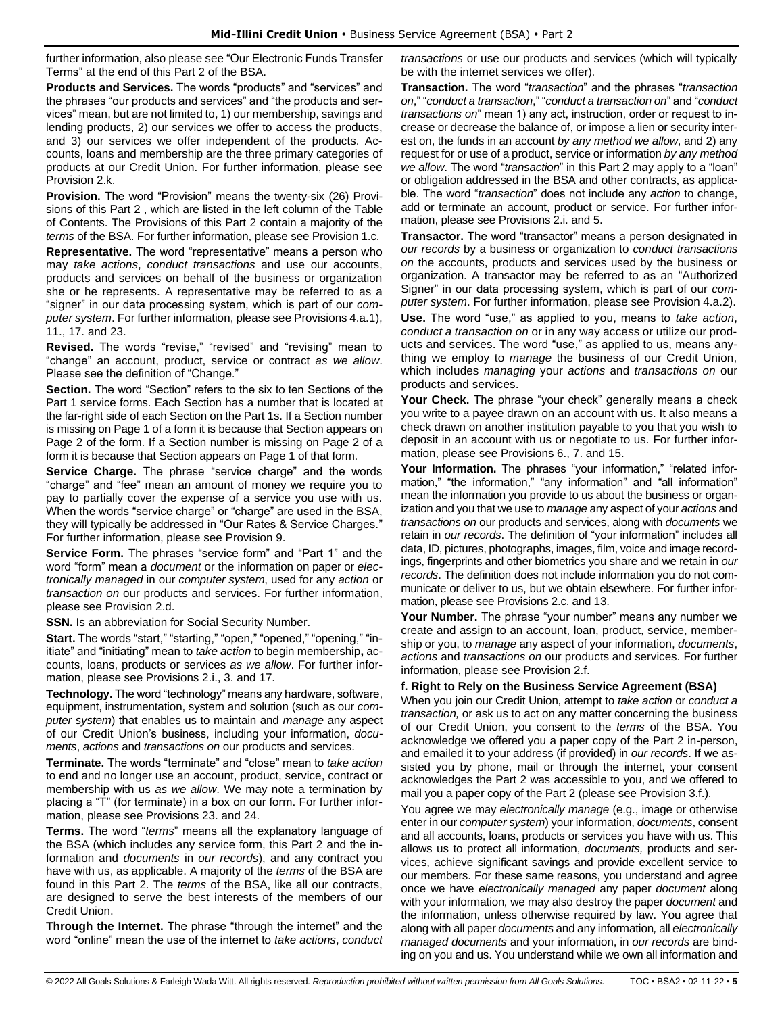further information, also please see "Our Electronic Funds Transfer Terms" at the end of this Part 2 of the BSA.

**Products and Services.** The words "products" and "services" and the phrases "our products and services" and "the products and services" mean, but are not limited to, 1) our membership, savings and lending products, 2) our services we offer to access the products, and 3) our services we offer independent of the products. Accounts, loans and membership are the three primary categories of products at our Credit Union. For further information, please see Provision 2.k.

**Provision.** The word "Provision" means the twenty-six (26) Provisions of this Part 2 , which are listed in the left column of the Table of Contents. The Provisions of this Part 2 contain a majority of the *terms* of the BSA. For further information, please see Provision 1.c.

**Representative.** The word "representative" means a person who may *take actions*, *conduct transactions* and use our accounts, products and services on behalf of the business or organization she or he represents. A representative may be referred to as a "signer" in our data processing system, which is part of our *computer system*. For further information, please see Provisions 4.a.1), 11., 17. and 23.

**Revised.** The words "revise," "revised" and "revising" mean to "change" an account, product, service or contract *as we allow*. Please see the definition of "Change."

**Section.** The word "Section" refers to the six to ten Sections of the Part 1 service forms. Each Section has a number that is located at the far-right side of each Section on the Part 1s. If a Section number is missing on Page 1 of a form it is because that Section appears on Page 2 of the form. If a Section number is missing on Page 2 of a form it is because that Section appears on Page 1 of that form.

**Service Charge.** The phrase "service charge" and the words "charge" and "fee" mean an amount of money we require you to pay to partially cover the expense of a service you use with us. When the words "service charge" or "charge" are used in the BSA, they will typically be addressed in "Our Rates & Service Charges." For further information, please see Provision 9.

**Service Form.** The phrases "service form" and "Part 1" and the word "form" mean a *document* or the information on paper or *electronically managed* in our *computer system*, used for any *action* or *transaction on* our products and services. For further information, please see Provision 2.d.

**SSN.** Is an abbreviation for Social Security Number.

**Start.** The words "start," "starting," "open," "opened," "opening," "initiate" and "initiating" mean to *take action* to begin membership**,** accounts, loans, products or services *as we allow*. For further information, please see Provisions 2.i., 3. and 17.

**Technology.** The word "technology" means any hardware, software, equipment, instrumentation, system and solution (such as our *computer system*) that enables us to maintain and *manage* any aspect of our Credit Union's business, including your information, *documents*, *actions* and *transactions on* our products and services.

**Terminate.** The words "terminate" and "close" mean to *take action* to end and no longer use an account, product, service, contract or membership with us *as we allow*. We may note a termination by placing a "T" (for terminate) in a box on our form. For further information, please see Provisions 23. and 24.

**Terms.** The word "*terms*" means all the explanatory language of the BSA (which includes any service form, this Part 2 and the information and *documents* in *our records*), and any contract you have with us, as applicable. A majority of the *terms* of the BSA are found in this Part 2. The *terms* of the BSA, like all our contracts, are designed to serve the best interests of the members of our Credit Union.

**Through the Internet.** The phrase "through the internet" and the word "online" mean the use of the internet to *take actions*, *conduct* 

*transactions* or use our products and services (which will typically be with the internet services we offer).

**Transaction.** The word "*transaction*" and the phrases "*transaction on*," "*conduct a transaction*," "*conduct a transaction on*" and "*conduct transactions on*" mean 1) any act, instruction, order or request to increase or decrease the balance of, or impose a lien or security interest on, the funds in an account *by any method we allow*, and 2) any request for or use of a product, service or information *by any method we allow*. The word "*transaction*" in this Part 2 may apply to a "loan" or obligation addressed in the BSA and other contracts, as applicable. The word "*transaction*" does not include any *action* to change, add or terminate an account, product or service. For further information, please see Provisions 2.i. and 5.

**Transactor.** The word "transactor" means a person designated in *our records* by a business or organization to *conduct transactions on* the accounts, products and services used by the business or organization. A transactor may be referred to as an "Authorized Signer" in our data processing system, which is part of our *computer system*. For further information, please see Provision 4.a.2). **Use.** The word "use," as applied to you, means to *take action*, *conduct a transaction on* or in any way access or utilize our products and services. The word "use," as applied to us, means anything we employ to *manage* the business of our Credit Union, which includes *managing* your *actions* and *transactions on* our products and services.

**Your Check.** The phrase "your check" generally means a check you write to a payee drawn on an account with us. It also means a check drawn on another institution payable to you that you wish to deposit in an account with us or negotiate to us. For further information, please see Provisions 6., 7. and 15.

**Your Information.** The phrases "your information," "related information," "the information," "any information" and "all information" mean the information you provide to us about the business or organization and you that we use to *manage* any aspect of your *actions* and *transactions on* our products and services, along with *documents* we retain in *our records*. The definition of "your information" includes all data, ID, pictures, photographs, images, film, voice and image recordings, fingerprints and other biometrics you share and we retain in *our records*. The definition does not include information you do not communicate or deliver to us, but we obtain elsewhere. For further information, please see Provisions 2.c. and 13.

**Your Number.** The phrase "your number" means any number we create and assign to an account, loan, product, service, membership or you, to *manage* any aspect of your information, *documents*, *actions* and *transactions on* our products and services. For further information, please see Provision 2.f.

# **f. Right to Rely on the Business Service Agreement (BSA)**

When you join our Credit Union, attempt to *take action* or *conduct a transaction,* or ask us to act on any matter concerning the business of our Credit Union, you consent to the *terms* of the BSA. You acknowledge we offered you a paper copy of the Part 2 in-person, and emailed it to your address (if provided) in *our records*. If we assisted you by phone, mail or through the internet, your consent acknowledges the Part 2 was accessible to you, and we offered to mail you a paper copy of the Part 2 (please see Provision 3.f.).

You agree we may *electronically manage* (e.g., image or otherwise enter in our *computer system*) your information, *documents*, consent and all accounts, loans, products or services you have with us. This allows us to protect all information, *documents,* products and services, achieve significant savings and provide excellent service to our members. For these same reasons, you understand and agree once we have *electronically managed* any paper *document* along with your information*,* we may also destroy the paper *document* and the information, unless otherwise required by law. You agree that along with all paper *documents* and any information*,* all *electronically managed documents* and your information, in *our records* are binding on you and us. You understand while we own all information and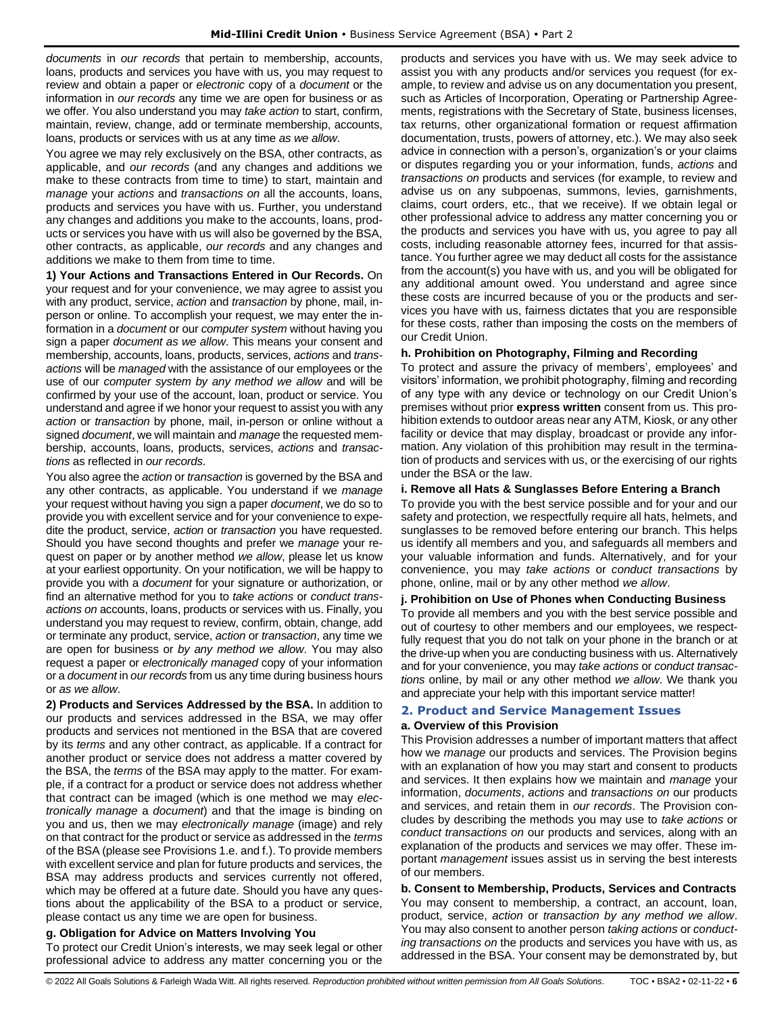*documents* in *our records* that pertain to membership, accounts, loans, products and services you have with us, you may request to review and obtain a paper or *electronic* copy of a *document* or the information in *our records* any time we are open for business or as we offer. You also understand you may *take action* to start, confirm, maintain, review, change, add or terminate membership, accounts, loans, products or services with us at any time *as we allow*.

You agree we may rely exclusively on the BSA, other contracts, as applicable, and *our records* (and any changes and additions we make to these contracts from time to time) to start, maintain and *manage* your *actions* and *transactions on* all the accounts, loans, products and services you have with us. Further, you understand any changes and additions you make to the accounts, loans, products or services you have with us will also be governed by the BSA, other contracts, as applicable, *our records* and any changes and additions we make to them from time to time.

**1) Your Actions and Transactions Entered in Our Records.** On your request and for your convenience, we may agree to assist you with any product, service, *action* and *transaction* by phone, mail, inperson or online. To accomplish your request, we may enter the information in a *document* or our *computer system* without having you sign a paper *document as we allow*. This means your consent and membership, accounts, loans, products, services, *actions* and *transactions* will be *managed* with the assistance of our employees or the use of our *computer system by any method we allow* and will be confirmed by your use of the account, loan, product or service. You understand and agree if we honor your request to assist you with any *action* or *transaction* by phone, mail, in-person or online without a signed *document*, we will maintain and *manage* the requested membership, accounts, loans, products, services, *actions* and *transactions* as reflected in *our records*.

You also agree the *action* or *transaction* is governed by the BSA and any other contracts, as applicable. You understand if we *manage* your request without having you sign a paper *document*, we do so to provide you with excellent service and for your convenience to expedite the product, service, *action* or *transaction* you have requested. Should you have second thoughts and prefer we *manage* your request on paper or by another method *we allow*, please let us know at your earliest opportunity. On your notification, we will be happy to provide you with a *document* for your signature or authorization, or find an alternative method for you to *take actions* or *conduct transactions on* accounts, loans, products or services with us. Finally, you understand you may request to review, confirm, obtain, change, add or terminate any product, service, *action* or *transaction*, any time we are open for business or *by any method we allow*. You may also request a paper or *electronically managed* copy of your information or a *document* in *our records* from us any time during business hours or *as we allow*.

**2) Products and Services Addressed by the BSA.** In addition to our products and services addressed in the BSA, we may offer products and services not mentioned in the BSA that are covered by its *terms* and any other contract, as applicable. If a contract for another product or service does not address a matter covered by the BSA, the *terms* of the BSA may apply to the matter. For example, if a contract for a product or service does not address whether that contract can be imaged (which is one method we may *electronically manage* a *document*) and that the image is binding on you and us, then we may *electronically manage* (image) and rely on that contract for the product or service as addressed in the *terms* of the BSA (please see Provisions 1.e. and f.). To provide members with excellent service and plan for future products and services, the BSA may address products and services currently not offered, which may be offered at a future date. Should you have any questions about the applicability of the BSA to a product or service, please contact us any time we are open for business.

# **g. Obligation for Advice on Matters Involving You**

To protect our Credit Union's interests, we may seek legal or other professional advice to address any matter concerning you or the

products and services you have with us. We may seek advice to assist you with any products and/or services you request (for example, to review and advise us on any documentation you present, such as Articles of Incorporation, Operating or Partnership Agreements, registrations with the Secretary of State, business licenses, tax returns, other organizational formation or request affirmation documentation, trusts, powers of attorney, etc.). We may also seek advice in connection with a person's, organization's or your claims or disputes regarding you or your information, funds, *actions* and *transactions on* products and services (for example, to review and advise us on any subpoenas, summons, levies, garnishments, claims, court orders, etc., that we receive). If we obtain legal or other professional advice to address any matter concerning you or the products and services you have with us, you agree to pay all costs, including reasonable attorney fees, incurred for that assistance. You further agree we may deduct all costs for the assistance from the account(s) you have with us, and you will be obligated for any additional amount owed. You understand and agree since these costs are incurred because of you or the products and services you have with us, fairness dictates that you are responsible for these costs, rather than imposing the costs on the members of our Credit Union.

# **h. Prohibition on Photography, Filming and Recording**

To protect and assure the privacy of members', employees' and visitors' information, we prohibit photography, filming and recording of any type with any device or technology on our Credit Union's premises without prior **express written** consent from us. This prohibition extends to outdoor areas near any ATM, Kiosk, or any other facility or device that may display, broadcast or provide any information. Any violation of this prohibition may result in the termination of products and services with us, or the exercising of our rights under the BSA or the law.

#### **i. Remove all Hats & Sunglasses Before Entering a Branch**

To provide you with the best service possible and for your and our safety and protection, we respectfully require all hats, helmets, and sunglasses to be removed before entering our branch. This helps us identify all members and you, and safeguards all members and your valuable information and funds. Alternatively, and for your convenience, you may *take actions* or *conduct transactions* by phone, online, mail or by any other method *we allow*.

# **j. Prohibition on Use of Phones when Conducting Business**

To provide all members and you with the best service possible and out of courtesy to other members and our employees, we respectfully request that you do not talk on your phone in the branch or at the drive-up when you are conducting business with us. Alternatively and for your convenience, you may *take actions* or *conduct transactions* online, by mail or any other method *we allow*. We thank you and appreciate your help with this important service matter!

# <span id="page-5-0"></span>**2. Product and Service Management Issues**

# **a. Overview of this Provision**

This Provision addresses a number of important matters that affect how we *manage* our products and services. The Provision begins with an explanation of how you may start and consent to products and services. It then explains how we maintain and *manage* your information, *documents*, *actions* and *transactions on* our products and services, and retain them in *our records*. The Provision concludes by describing the methods you may use to *take actions* or *conduct transactions on* our products and services, along with an explanation of the products and services we may offer. These important *management* issues assist us in serving the best interests of our members.

**b. Consent to Membership, Products, Services and Contracts** You may consent to membership, a contract, an account, loan, product, service, *action* or *transaction by any method we allow*. You may also consent to another person *taking actions* or *conducting transactions on* the products and services you have with us, as addressed in the BSA. Your consent may be demonstrated by, but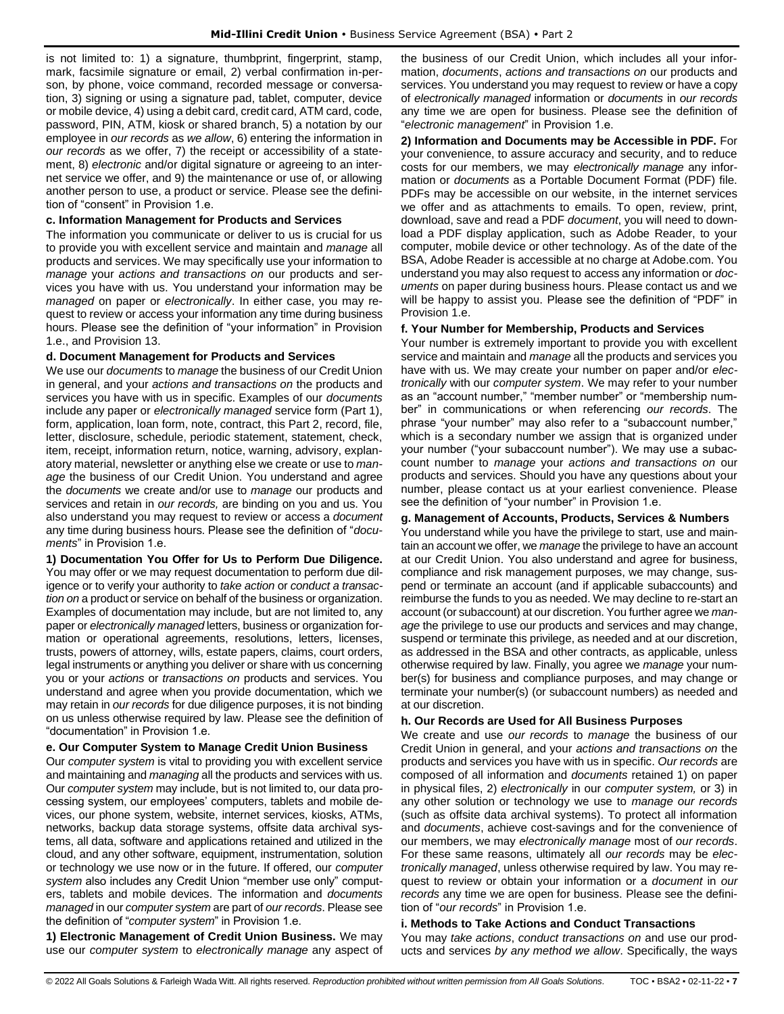is not limited to: 1) a signature, thumbprint, fingerprint, stamp, mark, facsimile signature or email, 2) verbal confirmation in-person, by phone, voice command, recorded message or conversation, 3) signing or using a signature pad, tablet, computer, device or mobile device, 4) using a debit card, credit card, ATM card, code, password, PIN, ATM, kiosk or shared branch, 5) a notation by our employee in *our records* as *we allow*, 6) entering the information in *our records* as we offer, 7) the receipt or accessibility of a statement, 8) *electronic* and/or digital signature or agreeing to an internet service we offer, and 9) the maintenance or use of, or allowing another person to use, a product or service. Please see the definition of "consent" in Provision 1.e.

# **c. Information Management for Products and Services**

The information you communicate or deliver to us is crucial for us to provide you with excellent service and maintain and *manage* all products and services. We may specifically use your information to *manage* your *actions and transactions on* our products and services you have with us. You understand your information may be *managed* on paper or *electronically*. In either case, you may request to review or access your information any time during business hours. Please see the definition of "your information" in Provision 1.e., and Provision 13.

#### **d. Document Management for Products and Services**

We use our *documents* to *manage* the business of our Credit Union in general, and your *actions and transactions on* the products and services you have with us in specific. Examples of our *documents* include any paper or *electronically managed* service form (Part 1), form, application, loan form, note, contract, this Part 2, record, file, letter, disclosure, schedule, periodic statement, statement, check, item, receipt, information return, notice, warning, advisory, explanatory material, newsletter or anything else we create or use to *manage* the business of our Credit Union. You understand and agree the *documents* we create and/or use to *manage* our products and services and retain in *our records,* are binding on you and us. You also understand you may request to review or access a *document*  any time during business hours. Please see the definition of "*documents*" in Provision 1.e.

**1) Documentation You Offer for Us to Perform Due Diligence.** You may offer or we may request documentation to perform due diligence or to verify your authority to *take action* or *conduct a transaction on* a product or service on behalf of the business or organization. Examples of documentation may include, but are not limited to, any paper or *electronically managed* letters, business or organization formation or operational agreements, resolutions, letters, licenses, trusts, powers of attorney, wills, estate papers, claims, court orders, legal instruments or anything you deliver or share with us concerning you or your *actions* or *transactions on* products and services. You understand and agree when you provide documentation, which we may retain in *our records* for due diligence purposes, it is not binding on us unless otherwise required by law. Please see the definition of "documentation" in Provision 1.e.

# **e. Our Computer System to Manage Credit Union Business**

Our *computer system* is vital to providing you with excellent service and maintaining and *managing* all the products and services with us. Our *computer system* may include, but is not limited to, our data processing system, our employees' computers, tablets and mobile devices, our phone system, website, internet services, kiosks, ATMs, networks, backup data storage systems, offsite data archival systems, all data, software and applications retained and utilized in the cloud, and any other software, equipment, instrumentation, solution or technology we use now or in the future. If offered, our *computer system* also includes any Credit Union "member use only" computers, tablets and mobile devices. The information and *documents managed* in our *computer system* are part of *our records*. Please see the definition of "*computer system*" in Provision 1.e.

**1) Electronic Management of Credit Union Business.** We may use our *computer system* to *electronically manage* any aspect of the business of our Credit Union, which includes all your information, *documents*, *actions and transactions on* our products and services. You understand you may request to review or have a copy of *electronically managed* information or *documents* in *our records* any time we are open for business. Please see the definition of "*electronic management*" in Provision 1.e.

**2) Information and Documents may be Accessible in PDF.** For your convenience, to assure accuracy and security, and to reduce costs for our members, we may *electronically manage* any information or *documents* as a Portable Document Format (PDF) file. PDFs may be accessible on our website, in the internet services we offer and as attachments to emails. To open, review, print, download, save and read a PDF *document*, you will need to download a PDF display application, such as Adobe Reader, to your computer, mobile device or other technology. As of the date of the BSA, Adobe Reader is accessible at no charge at Adobe.com. You understand you may also request to access any information or *documents* on paper during business hours. Please contact us and we will be happy to assist you. Please see the definition of "PDF" in Provision 1.e.

#### **f. Your Number for Membership, Products and Services**

Your number is extremely important to provide you with excellent service and maintain and *manage* all the products and services you have with us. We may create your number on paper and/or *electronically* with our *computer system*. We may refer to your number as an "account number," "member number" or "membership number" in communications or when referencing *our records*. The phrase "your number" may also refer to a "subaccount number," which is a secondary number we assign that is organized under your number ("your subaccount number"). We may use a subaccount number to *manage* your *actions and transactions on* our products and services. Should you have any questions about your number, please contact us at your earliest convenience. Please see the definition of "your number" in Provision 1.e.

# **g. Management of Accounts, Products, Services & Numbers**

You understand while you have the privilege to start, use and maintain an account we offer, we *manage* the privilege to have an account at our Credit Union. You also understand and agree for business, compliance and risk management purposes, we may change, suspend or terminate an account (and if applicable subaccounts) and reimburse the funds to you as needed. We may decline to re-start an account (or subaccount) at our discretion. You further agree we *manage* the privilege to use our products and services and may change, suspend or terminate this privilege, as needed and at our discretion, as addressed in the BSA and other contracts, as applicable, unless otherwise required by law. Finally, you agree we *manage* your number(s) for business and compliance purposes, and may change or terminate your number(s) (or subaccount numbers) as needed and at our discretion.

# **h. Our Records are Used for All Business Purposes**

We create and use *our records* to *manage* the business of our Credit Union in general, and your *actions and transactions on* the products and services you have with us in specific. *Our records* are composed of all information and *documents* retained 1) on paper in physical files, 2) *electronically* in our *computer system,* or 3) in any other solution or technology we use to *manage our records* (such as offsite data archival systems). To protect all information and *documents*, achieve cost-savings and for the convenience of our members, we may *electronically manage* most of *our records*. For these same reasons, ultimately all *our records* may be *electronically managed*, unless otherwise required by law. You may request to review or obtain your information or a *document* in *our records* any time we are open for business. Please see the definition of "*our records*" in Provision 1.e.

#### **i. Methods to Take Actions and Conduct Transactions**

You may *take actions*, *conduct transactions on* and use our products and services *by any method we allow*. Specifically, the ways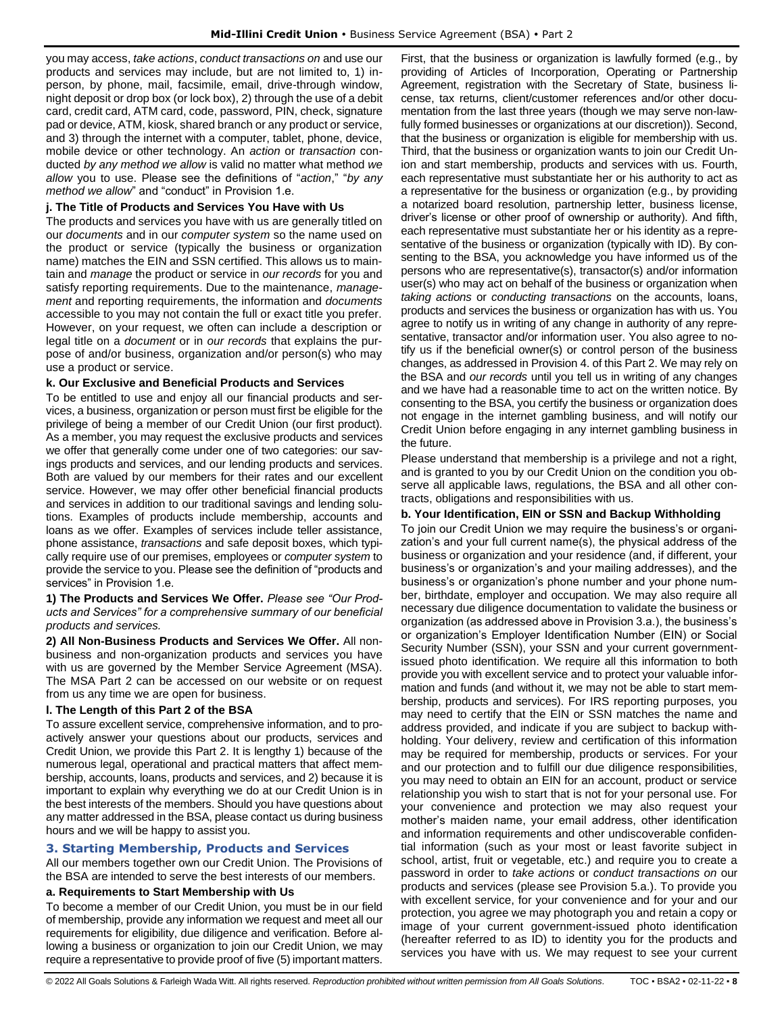you may access, *take actions*, *conduct transactions on* and use our products and services may include, but are not limited to, 1) inperson, by phone, mail, facsimile, email, drive-through window, night deposit or drop box (or lock box), 2) through the use of a debit card, credit card, ATM card, code, password, PIN, check, signature pad or device, ATM, kiosk, shared branch or any product or service, and 3) through the internet with a computer, tablet, phone, device, mobile device or other technology. An *action* or *transaction* conducted *by any method we allow* is valid no matter what method *we allow* you to use. Please see the definitions of "*action*," "*by any method we allow*" and "conduct" in Provision 1.e.

### **j. The Title of Products and Services You Have with Us**

The products and services you have with us are generally titled on our *documents* and in our *computer system* so the name used on the product or service (typically the business or organization name) matches the EIN and SSN certified. This allows us to maintain and *manage* the product or service in *our records* for you and satisfy reporting requirements. Due to the maintenance, *management* and reporting requirements, the information and *documents* accessible to you may not contain the full or exact title you prefer. However, on your request, we often can include a description or legal title on a *document* or in *our records* that explains the purpose of and/or business, organization and/or person(s) who may use a product or service.

# **k. Our Exclusive and Beneficial Products and Services**

To be entitled to use and enjoy all our financial products and services, a business, organization or person must first be eligible for the privilege of being a member of our Credit Union (our first product). As a member, you may request the exclusive products and services we offer that generally come under one of two categories: our savings products and services, and our lending products and services. Both are valued by our members for their rates and our excellent service. However, we may offer other beneficial financial products and services in addition to our traditional savings and lending solutions. Examples of products include membership, accounts and loans as we offer. Examples of services include teller assistance, phone assistance, *transactions* and safe deposit boxes, which typically require use of our premises, employees or *computer system* to provide the service to you. Please see the definition of "products and services" in Provision 1.e.

**1) The Products and Services We Offer.** *Please see "Our Products and Services" for a comprehensive summary of our beneficial products and services.*

**2) All Non-Business Products and Services We Offer.** All nonbusiness and non-organization products and services you have with us are governed by the Member Service Agreement (MSA). The MSA Part 2 can be accessed on our website or on request from us any time we are open for business.

# **l. The Length of this Part 2 of the BSA**

To assure excellent service, comprehensive information, and to proactively answer your questions about our products, services and Credit Union, we provide this Part 2. It is lengthy 1) because of the numerous legal, operational and practical matters that affect membership, accounts, loans, products and services, and 2) because it is important to explain why everything we do at our Credit Union is in the best interests of the members. Should you have questions about any matter addressed in the BSA, please contact us during business hours and we will be happy to assist you.

# <span id="page-7-0"></span>**3. Starting Membership, Products and Services**

All our members together own our Credit Union. The Provisions of the BSA are intended to serve the best interests of our members.

#### **a. Requirements to Start Membership with Us**

To become a member of our Credit Union, you must be in our field of membership, provide any information we request and meet all our requirements for eligibility, due diligence and verification. Before allowing a business or organization to join our Credit Union, we may require a representative to provide proof of five (5) important matters.

First, that the business or organization is lawfully formed (e.g., by providing of Articles of Incorporation, Operating or Partnership Agreement, registration with the Secretary of State, business license, tax returns, client/customer references and/or other documentation from the last three years (though we may serve non-lawfully formed businesses or organizations at our discretion)). Second, that the business or organization is eligible for membership with us. Third, that the business or organization wants to join our Credit Union and start membership, products and services with us. Fourth, each representative must substantiate her or his authority to act as a representative for the business or organization (e.g., by providing a notarized board resolution, partnership letter, business license, driver's license or other proof of ownership or authority). And fifth, each representative must substantiate her or his identity as a representative of the business or organization (typically with ID). By consenting to the BSA, you acknowledge you have informed us of the persons who are representative(s), transactor(s) and/or information user(s) who may act on behalf of the business or organization when *taking actions* or *conducting transactions* on the accounts, loans, products and services the business or organization has with us. You agree to notify us in writing of any change in authority of any representative, transactor and/or information user. You also agree to notify us if the beneficial owner(s) or control person of the business changes, as addressed in Provision 4. of this Part 2. We may rely on the BSA and *our records* until you tell us in writing of any changes and we have had a reasonable time to act on the written notice. By consenting to the BSA, you certify the business or organization does not engage in the internet gambling business, and will notify our Credit Union before engaging in any internet gambling business in the future.

Please understand that membership is a privilege and not a right, and is granted to you by our Credit Union on the condition you observe all applicable laws, regulations, the BSA and all other contracts, obligations and responsibilities with us.

# **b. Your Identification, EIN or SSN and Backup Withholding**

To join our Credit Union we may require the business's or organization's and your full current name(s), the physical address of the business or organization and your residence (and, if different, your business's or organization's and your mailing addresses), and the business's or organization's phone number and your phone number, birthdate, employer and occupation. We may also require all necessary due diligence documentation to validate the business or organization (as addressed above in Provision 3.a.), the business's or organization's Employer Identification Number (EIN) or Social Security Number (SSN), your SSN and your current governmentissued photo identification. We require all this information to both provide you with excellent service and to protect your valuable information and funds (and without it, we may not be able to start membership, products and services). For IRS reporting purposes, you may need to certify that the EIN or SSN matches the name and address provided, and indicate if you are subject to backup withholding. Your delivery, review and certification of this information may be required for membership, products or services. For your and our protection and to fulfill our due diligence responsibilities, you may need to obtain an EIN for an account, product or service relationship you wish to start that is not for your personal use. For your convenience and protection we may also request your mother's maiden name, your email address, other identification and information requirements and other undiscoverable confidential information (such as your most or least favorite subject in school, artist, fruit or vegetable, etc.) and require you to create a password in order to *take actions* or *conduct transactions on* our products and services (please see Provision 5.a.). To provide you with excellent service, for your convenience and for your and our protection, you agree we may photograph you and retain a copy or image of your current government-issued photo identification (hereafter referred to as ID) to identity you for the products and services you have with us. We may request to see your current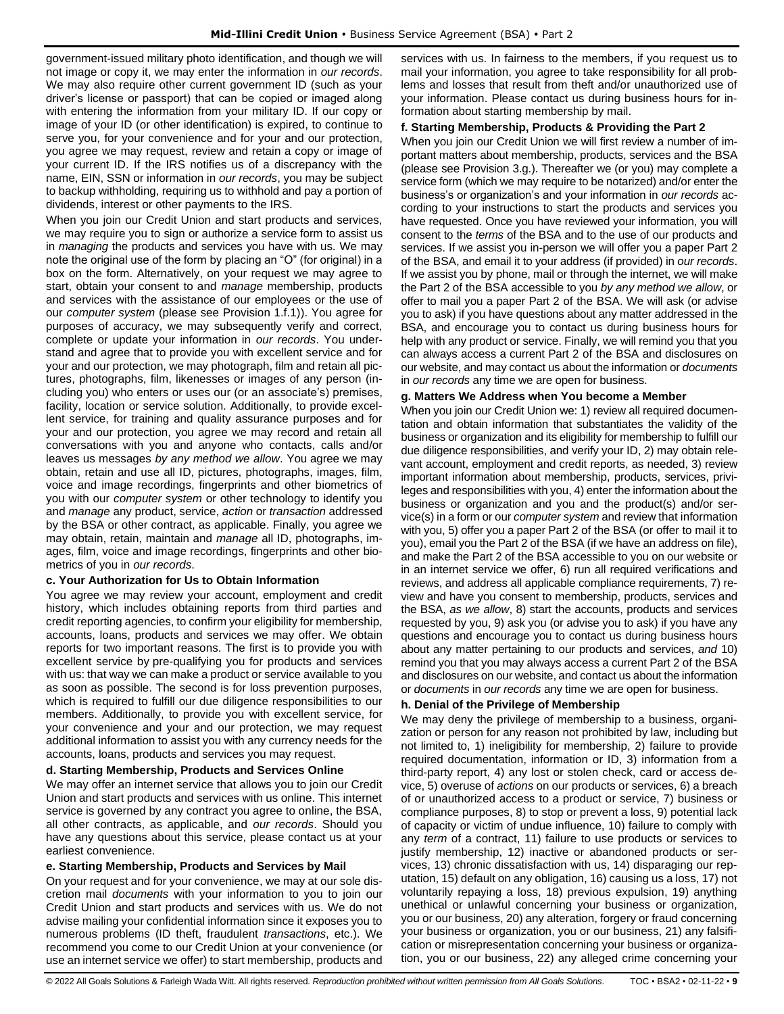government-issued military photo identification, and though we will not image or copy it, we may enter the information in *our records*. We may also require other current government ID (such as your driver's license or passport) that can be copied or imaged along with entering the information from your military ID. If our copy or image of your ID (or other identification) is expired, to continue to serve you, for your convenience and for your and our protection, you agree we may request, review and retain a copy or image of your current ID. If the IRS notifies us of a discrepancy with the name, EIN, SSN or information in *our records*, you may be subject to backup withholding, requiring us to withhold and pay a portion of dividends, interest or other payments to the IRS.

When you join our Credit Union and start products and services, we may require you to sign or authorize a service form to assist us in *managing* the products and services you have with us. We may note the original use of the form by placing an "O" (for original) in a box on the form. Alternatively, on your request we may agree to start, obtain your consent to and *manage* membership, products and services with the assistance of our employees or the use of our *computer system* (please see Provision 1.f.1)). You agree for purposes of accuracy, we may subsequently verify and correct, complete or update your information in *our records*. You understand and agree that to provide you with excellent service and for your and our protection, we may photograph, film and retain all pictures, photographs, film, likenesses or images of any person (including you) who enters or uses our (or an associate's) premises, facility, location or service solution. Additionally, to provide excellent service, for training and quality assurance purposes and for your and our protection, you agree we may record and retain all conversations with you and anyone who contacts, calls and/or leaves us messages *by any method we allow*. You agree we may obtain, retain and use all ID, pictures, photographs, images, film, voice and image recordings, fingerprints and other biometrics of you with our *computer system* or other technology to identify you and *manage* any product, service, *action* or *transaction* addressed by the BSA or other contract, as applicable. Finally, you agree we may obtain, retain, maintain and *manage* all ID, photographs, images, film, voice and image recordings, fingerprints and other biometrics of you in *our records*.

# **c. Your Authorization for Us to Obtain Information**

You agree we may review your account, employment and credit history, which includes obtaining reports from third parties and credit reporting agencies, to confirm your eligibility for membership, accounts, loans, products and services we may offer. We obtain reports for two important reasons. The first is to provide you with excellent service by pre-qualifying you for products and services with us: that way we can make a product or service available to you as soon as possible. The second is for loss prevention purposes, which is required to fulfill our due diligence responsibilities to our members. Additionally, to provide you with excellent service, for your convenience and your and our protection, we may request additional information to assist you with any currency needs for the accounts, loans, products and services you may request.

# **d. Starting Membership, Products and Services Online**

We may offer an internet service that allows you to join our Credit Union and start products and services with us online. This internet service is governed by any contract you agree to online, the BSA, all other contracts, as applicable, and *our records*. Should you have any questions about this service, please contact us at your earliest convenience.

# **e. Starting Membership, Products and Services by Mail**

On your request and for your convenience, we may at our sole discretion mail *documents* with your information to you to join our Credit Union and start products and services with us. We do not advise mailing your confidential information since it exposes you to numerous problems (ID theft, fraudulent *transactions*, etc.). We recommend you come to our Credit Union at your convenience (or use an internet service we offer) to start membership, products and

services with us. In fairness to the members, if you request us to mail your information, you agree to take responsibility for all problems and losses that result from theft and/or unauthorized use of your information. Please contact us during business hours for information about starting membership by mail.

# **f. Starting Membership, Products & Providing the Part 2**

When you join our Credit Union we will first review a number of important matters about membership, products, services and the BSA (please see Provision 3.g.). Thereafter we (or you) may complete a service form (which we may require to be notarized) and/or enter the business's or organization's and your information in *our records* according to your instructions to start the products and services you have requested. Once you have reviewed your information, you will consent to the *terms* of the BSA and to the use of our products and services. If we assist you in-person we will offer you a paper Part 2 of the BSA, and email it to your address (if provided) in *our records*. If we assist you by phone, mail or through the internet, we will make the Part 2 of the BSA accessible to you *by any method we allow*, or offer to mail you a paper Part 2 of the BSA. We will ask (or advise you to ask) if you have questions about any matter addressed in the BSA, and encourage you to contact us during business hours for help with any product or service. Finally, we will remind you that you can always access a current Part 2 of the BSA and disclosures on our website, and may contact us about the information or *documents*  in *our records* any time we are open for business.

# **g. Matters We Address when You become a Member**

When you join our Credit Union we: 1) review all required documentation and obtain information that substantiates the validity of the business or organization and its eligibility for membership to fulfill our due diligence responsibilities, and verify your ID, 2) may obtain relevant account, employment and credit reports, as needed, 3) review important information about membership, products, services, privileges and responsibilities with you, 4) enter the information about the business or organization and you and the product(s) and/or service(s) in a form or our *computer system* and review that information with you, 5) offer you a paper Part 2 of the BSA (or offer to mail it to you), email you the Part 2 of the BSA (if we have an address on file), and make the Part 2 of the BSA accessible to you on our website or in an internet service we offer, 6) run all required verifications and reviews, and address all applicable compliance requirements, 7) review and have you consent to membership, products, services and the BSA, *as we allow*, 8) start the accounts, products and services requested by you, 9) ask you (or advise you to ask) if you have any questions and encourage you to contact us during business hours about any matter pertaining to our products and services, *and* 10) remind you that you may always access a current Part 2 of the BSA and disclosures on our website, and contact us about the information or *documents* in *our records* any time we are open for business.

# **h. Denial of the Privilege of Membership**

We may deny the privilege of membership to a business, organization or person for any reason not prohibited by law, including but not limited to, 1) ineligibility for membership, 2) failure to provide required documentation, information or ID, 3) information from a third-party report, 4) any lost or stolen check, card or access device, 5) overuse of *actions* on our products or services, 6) a breach of or unauthorized access to a product or service, 7) business or compliance purposes, 8) to stop or prevent a loss, 9) potential lack of capacity or victim of undue influence, 10) failure to comply with any *term* of a contract, 11) failure to use products or services to justify membership, 12) inactive or abandoned products or services, 13) chronic dissatisfaction with us, 14) disparaging our reputation, 15) default on any obligation, 16) causing us a loss, 17) not voluntarily repaying a loss, 18) previous expulsion, 19) anything unethical or unlawful concerning your business or organization, you or our business, 20) any alteration, forgery or fraud concerning your business or organization, you or our business, 21) any falsification or misrepresentation concerning your business or organization, you or our business, 22) any alleged crime concerning your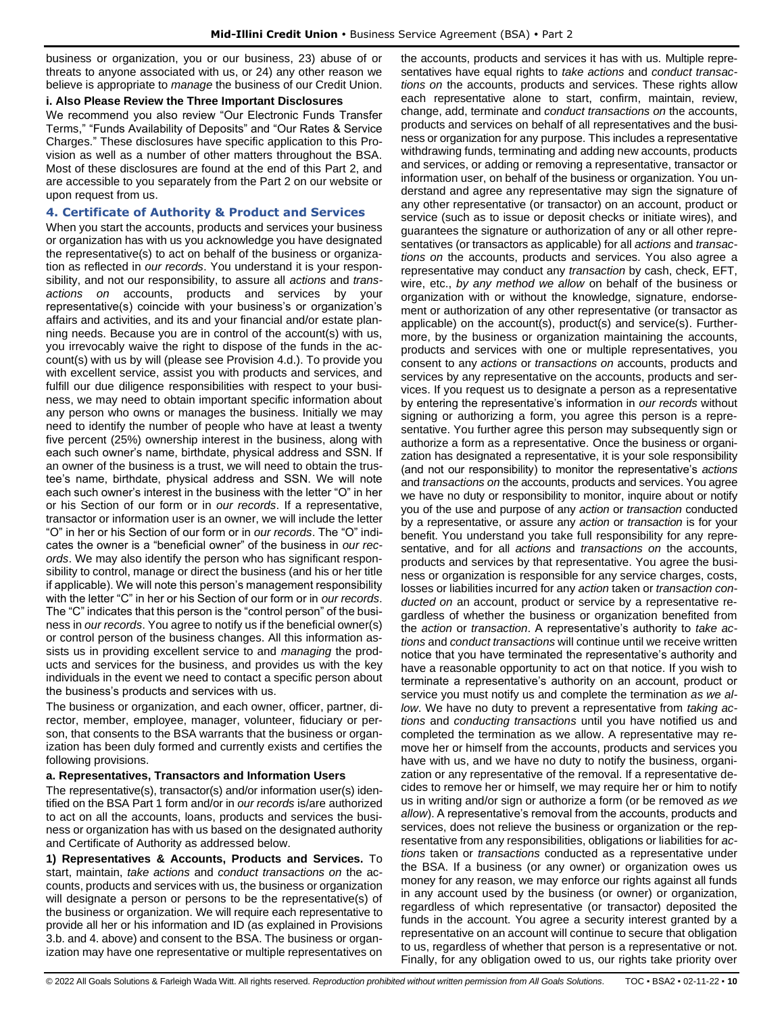business or organization, you or our business, 23) abuse of or threats to anyone associated with us, or 24) any other reason we believe is appropriate to *manage* the business of our Credit Union.

# **i. Also Please Review the Three Important Disclosures**

We recommend you also review "Our Electronic Funds Transfer Terms," "Funds Availability of Deposits" and "Our Rates & Service Charges." These disclosures have specific application to this Provision as well as a number of other matters throughout the BSA. Most of these disclosures are found at the end of this Part 2, and are accessible to you separately from the Part 2 on our website or upon request from us.

### <span id="page-9-0"></span>**4. Certificate of Authority & Product and Services**

When you start the accounts, products and services your business or organization has with us you acknowledge you have designated the representative(s) to act on behalf of the business or organization as reflected in *our records*. You understand it is your responsibility, and not our responsibility, to assure all *actions* and *transactions on* accounts, products and services by your representative(s) coincide with your business's or organization's affairs and activities, and its and your financial and/or estate planning needs. Because you are in control of the account(s) with us, you irrevocably waive the right to dispose of the funds in the account(s) with us by will (please see Provision 4.d.). To provide you with excellent service, assist you with products and services, and fulfill our due diligence responsibilities with respect to your business, we may need to obtain important specific information about any person who owns or manages the business. Initially we may need to identify the number of people who have at least a twenty five percent (25%) ownership interest in the business, along with each such owner's name, birthdate, physical address and SSN. If an owner of the business is a trust, we will need to obtain the trustee's name, birthdate, physical address and SSN. We will note each such owner's interest in the business with the letter "O" in her or his Section of our form or in *our records*. If a representative, transactor or information user is an owner, we will include the letter "O" in her or his Section of our form or in *our records*. The "O" indicates the owner is a "beneficial owner" of the business in *our records*. We may also identify the person who has significant responsibility to control, manage or direct the business (and his or her title if applicable). We will note this person's management responsibility with the letter "C" in her or his Section of our form or in *our records*. The "C" indicates that this person is the "control person" of the business in *our records*. You agree to notify us if the beneficial owner(s) or control person of the business changes. All this information assists us in providing excellent service to and *managing* the products and services for the business, and provides us with the key individuals in the event we need to contact a specific person about the business's products and services with us.

The business or organization, and each owner, officer, partner, director, member, employee, manager, volunteer, fiduciary or person, that consents to the BSA warrants that the business or organization has been duly formed and currently exists and certifies the following provisions.

# **a. Representatives, Transactors and Information Users**

The representative(s), transactor(s) and/or information user(s) identified on the BSA Part 1 form and/or in *our records* is/are authorized to act on all the accounts, loans, products and services the business or organization has with us based on the designated authority and Certificate of Authority as addressed below.

**1) Representatives & Accounts, Products and Services.** To start, maintain, *take actions* and *conduct transactions on* the accounts, products and services with us, the business or organization will designate a person or persons to be the representative(s) of the business or organization. We will require each representative to provide all her or his information and ID (as explained in Provisions 3.b. and 4. above) and consent to the BSA. The business or organization may have one representative or multiple representatives on

the accounts, products and services it has with us. Multiple representatives have equal rights to *take actions* and *conduct transactions on* the accounts, products and services. These rights allow each representative alone to start, confirm, maintain, review, change, add, terminate and *conduct transactions on* the accounts, products and services on behalf of all representatives and the business or organization for any purpose. This includes a representative withdrawing funds, terminating and adding new accounts, products and services, or adding or removing a representative, transactor or information user, on behalf of the business or organization. You understand and agree any representative may sign the signature of any other representative (or transactor) on an account, product or service (such as to issue or deposit checks or initiate wires), and guarantees the signature or authorization of any or all other representatives (or transactors as applicable) for all *actions* and *transactions on* the accounts, products and services. You also agree a representative may conduct any *transaction* by cash, check, EFT, wire, etc., *by any method we allow* on behalf of the business or organization with or without the knowledge, signature, endorsement or authorization of any other representative (or transactor as applicable) on the account(s), product(s) and service(s). Furthermore, by the business or organization maintaining the accounts, products and services with one or multiple representatives, you consent to any *actions* or *transactions on* accounts, products and services by any representative on the accounts, products and services. If you request us to designate a person as a representative by entering the representative's information in *our records* without signing or authorizing a form, you agree this person is a representative. You further agree this person may subsequently sign or authorize a form as a representative. Once the business or organization has designated a representative, it is your sole responsibility (and not our responsibility) to monitor the representative's *actions* and *transactions on* the accounts, products and services. You agree we have no duty or responsibility to monitor, inquire about or notify you of the use and purpose of any *action* or *transaction* conducted by a representative, or assure any *action* or *transaction* is for your benefit. You understand you take full responsibility for any representative, and for all *actions* and *transactions on* the accounts, products and services by that representative. You agree the business or organization is responsible for any service charges, costs, losses or liabilities incurred for any *action* taken or *transaction conducted on* an account, product or service by a representative regardless of whether the business or organization benefited from the *action* or *transaction*. A representative's authority to *take actions* and *conduct transactions* will continue until we receive written notice that you have terminated the representative's authority and have a reasonable opportunity to act on that notice. If you wish to terminate a representative's authority on an account, product or service you must notify us and complete the termination *as we allow*. We have no duty to prevent a representative from *taking actions* and *conducting transactions* until you have notified us and completed the termination as we allow. A representative may remove her or himself from the accounts, products and services you have with us, and we have no duty to notify the business, organization or any representative of the removal. If a representative decides to remove her or himself, we may require her or him to notify us in writing and/or sign or authorize a form (or be removed *as we allow*). A representative's removal from the accounts, products and services, does not relieve the business or organization or the representative from any responsibilities, obligations or liabilities for *actions* taken or *transactions* conducted as a representative under the BSA. If a business (or any owner) or organization owes us money for any reason, we may enforce our rights against all funds in any account used by the business (or owner) or organization, regardless of which representative (or transactor) deposited the funds in the account. You agree a security interest granted by a representative on an account will continue to secure that obligation to us, regardless of whether that person is a representative or not. Finally, for any obligation owed to us, our rights take priority over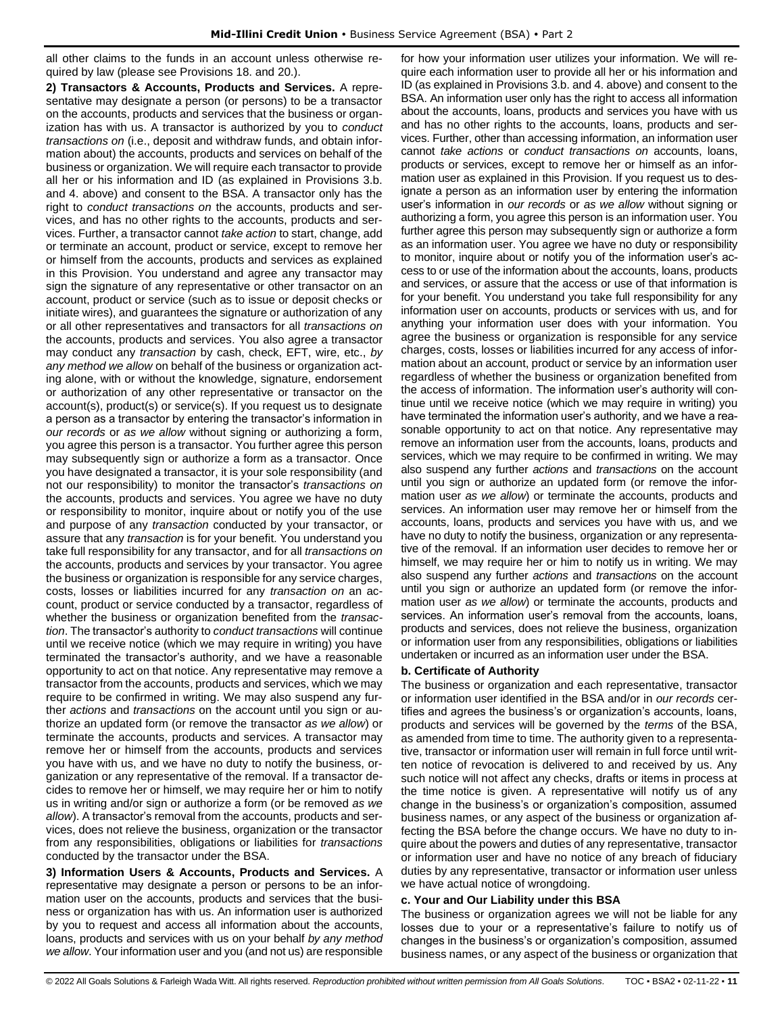all other claims to the funds in an account unless otherwise required by law (please see Provisions 18. and 20.).

**2) Transactors & Accounts, Products and Services.** A representative may designate a person (or persons) to be a transactor on the accounts, products and services that the business or organization has with us. A transactor is authorized by you to *conduct transactions on* (i.e., deposit and withdraw funds, and obtain information about) the accounts, products and services on behalf of the business or organization. We will require each transactor to provide all her or his information and ID (as explained in Provisions 3.b. and 4. above) and consent to the BSA. A transactor only has the right to *conduct transactions on* the accounts, products and services, and has no other rights to the accounts, products and services. Further, a transactor cannot *take action* to start, change, add or terminate an account, product or service, except to remove her or himself from the accounts, products and services as explained in this Provision. You understand and agree any transactor may sign the signature of any representative or other transactor on an account, product or service (such as to issue or deposit checks or initiate wires), and guarantees the signature or authorization of any or all other representatives and transactors for all *transactions on*  the accounts, products and services. You also agree a transactor may conduct any *transaction* by cash, check, EFT, wire, etc., *by any method we allow* on behalf of the business or organization acting alone, with or without the knowledge, signature, endorsement or authorization of any other representative or transactor on the account(s), product(s) or service(s). If you request us to designate a person as a transactor by entering the transactor's information in *our records* or *as we allow* without signing or authorizing a form, you agree this person is a transactor. You further agree this person may subsequently sign or authorize a form as a transactor. Once you have designated a transactor, it is your sole responsibility (and not our responsibility) to monitor the transactor's *transactions on* the accounts, products and services. You agree we have no duty or responsibility to monitor, inquire about or notify you of the use and purpose of any *transaction* conducted by your transactor, or assure that any *transaction* is for your benefit. You understand you take full responsibility for any transactor, and for all *transactions on* the accounts, products and services by your transactor. You agree the business or organization is responsible for any service charges, costs, losses or liabilities incurred for any *transaction on* an account, product or service conducted by a transactor, regardless of whether the business or organization benefited from the *transaction*. The transactor's authority to *conduct transactions* will continue until we receive notice (which we may require in writing) you have terminated the transactor's authority, and we have a reasonable opportunity to act on that notice. Any representative may remove a transactor from the accounts, products and services, which we may require to be confirmed in writing. We may also suspend any further *actions* and *transactions* on the account until you sign or authorize an updated form (or remove the transactor *as we allow*) or terminate the accounts, products and services. A transactor may remove her or himself from the accounts, products and services you have with us, and we have no duty to notify the business, organization or any representative of the removal. If a transactor decides to remove her or himself, we may require her or him to notify us in writing and/or sign or authorize a form (or be removed *as we allow*). A transactor's removal from the accounts, products and services, does not relieve the business, organization or the transactor from any responsibilities, obligations or liabilities for *transactions* conducted by the transactor under the BSA.

**3) Information Users & Accounts, Products and Services.** A representative may designate a person or persons to be an information user on the accounts, products and services that the business or organization has with us. An information user is authorized by you to request and access all information about the accounts, loans, products and services with us on your behalf *by any method we allow*. Your information user and you (and not us) are responsible for how your information user utilizes your information. We will require each information user to provide all her or his information and ID (as explained in Provisions 3.b. and 4. above) and consent to the BSA. An information user only has the right to access all information about the accounts, loans, products and services you have with us and has no other rights to the accounts, loans, products and services. Further, other than accessing information, an information user cannot *take actions* or *conduct transactions on* accounts, loans, products or services, except to remove her or himself as an information user as explained in this Provision. If you request us to designate a person as an information user by entering the information user's information in *our records* or *as we allow* without signing or authorizing a form, you agree this person is an information user. You further agree this person may subsequently sign or authorize a form as an information user. You agree we have no duty or responsibility to monitor, inquire about or notify you of the information user's access to or use of the information about the accounts, loans, products and services, or assure that the access or use of that information is for your benefit. You understand you take full responsibility for any information user on accounts, products or services with us, and for anything your information user does with your information. You agree the business or organization is responsible for any service charges, costs, losses or liabilities incurred for any access of information about an account, product or service by an information user regardless of whether the business or organization benefited from the access of information. The information user's authority will continue until we receive notice (which we may require in writing) you have terminated the information user's authority, and we have a reasonable opportunity to act on that notice. Any representative may remove an information user from the accounts, loans, products and services, which we may require to be confirmed in writing. We may also suspend any further *actions* and *transactions* on the account until you sign or authorize an updated form (or remove the information user *as we allow*) or terminate the accounts, products and services. An information user may remove her or himself from the accounts, loans, products and services you have with us, and we have no duty to notify the business, organization or any representative of the removal. If an information user decides to remove her or himself, we may require her or him to notify us in writing. We may also suspend any further *actions* and *transactions* on the account until you sign or authorize an updated form (or remove the information user *as we allow*) or terminate the accounts, products and services. An information user's removal from the accounts, loans, products and services, does not relieve the business, organization or information user from any responsibilities, obligations or liabilities undertaken or incurred as an information user under the BSA.

#### **b. Certificate of Authority**

The business or organization and each representative, transactor or information user identified in the BSA and/or in *our records* certifies and agrees the business's or organization's accounts, loans, products and services will be governed by the *terms* of the BSA, as amended from time to time. The authority given to a representative, transactor or information user will remain in full force until written notice of revocation is delivered to and received by us. Any such notice will not affect any checks, drafts or items in process at the time notice is given. A representative will notify us of any change in the business's or organization's composition, assumed business names, or any aspect of the business or organization affecting the BSA before the change occurs. We have no duty to inquire about the powers and duties of any representative, transactor or information user and have no notice of any breach of fiduciary duties by any representative, transactor or information user unless we have actual notice of wrongdoing.

#### **c. Your and Our Liability under this BSA**

The business or organization agrees we will not be liable for any losses due to your or a representative's failure to notify us of changes in the business's or organization's composition, assumed business names, or any aspect of the business or organization that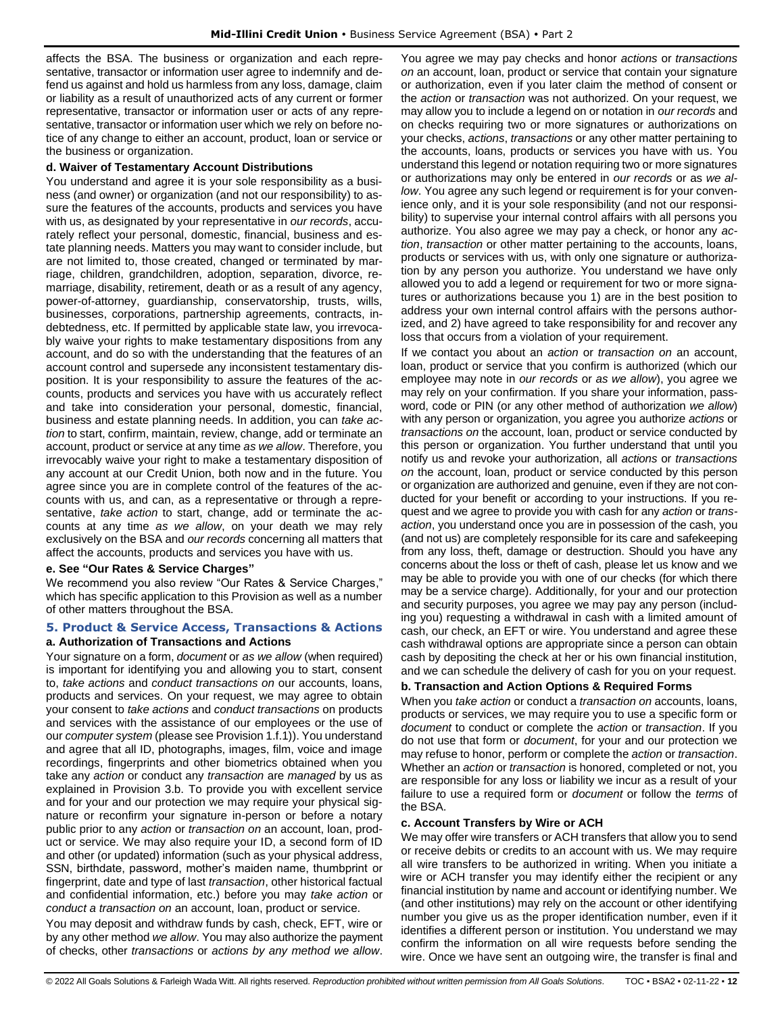affects the BSA. The business or organization and each representative, transactor or information user agree to indemnify and defend us against and hold us harmless from any loss, damage, claim or liability as a result of unauthorized acts of any current or former representative, transactor or information user or acts of any representative, transactor or information user which we rely on before notice of any change to either an account, product, loan or service or the business or organization.

#### **d. Waiver of Testamentary Account Distributions**

You understand and agree it is your sole responsibility as a business (and owner) or organization (and not our responsibility) to assure the features of the accounts, products and services you have with us, as designated by your representative in *our records*, accurately reflect your personal, domestic, financial, business and estate planning needs. Matters you may want to consider include, but are not limited to, those created, changed or terminated by marriage, children, grandchildren, adoption, separation, divorce, remarriage, disability, retirement, death or as a result of any agency, power-of-attorney, guardianship, conservatorship, trusts, wills, businesses, corporations, partnership agreements, contracts, indebtedness, etc. If permitted by applicable state law, you irrevocably waive your rights to make testamentary dispositions from any account, and do so with the understanding that the features of an account control and supersede any inconsistent testamentary disposition. It is your responsibility to assure the features of the accounts, products and services you have with us accurately reflect and take into consideration your personal, domestic, financial, business and estate planning needs. In addition, you can *take action* to start, confirm, maintain, review, change, add or terminate an account, product or service at any time *as we allow*. Therefore, you irrevocably waive your right to make a testamentary disposition of any account at our Credit Union, both now and in the future. You agree since you are in complete control of the features of the accounts with us, and can, as a representative or through a representative, *take action* to start, change, add or terminate the accounts at any time *as we allow*, on your death we may rely exclusively on the BSA and *our records* concerning all matters that affect the accounts, products and services you have with us.

### **e. See "Our Rates & Service Charges"**

We recommend you also review "Our Rates & Service Charges," which has specific application to this Provision as well as a number of other matters throughout the BSA.

# <span id="page-11-0"></span>**5. Product & Service Access, Transactions & Actions a. Authorization of Transactions and Actions**

Your signature on a form, *document* or *as we allow* (when required) is important for identifying you and allowing you to start, consent to, *take actions* and *conduct transactions on* our accounts, loans, products and services. On your request, we may agree to obtain your consent to *take actions* and *conduct transactions* on products and services with the assistance of our employees or the use of our *computer system* (please see Provision 1.f.1)). You understand and agree that all ID, photographs, images, film, voice and image recordings, fingerprints and other biometrics obtained when you take any *action* or conduct any *transaction* are *managed* by us as explained in Provision 3.b. To provide you with excellent service and for your and our protection we may require your physical signature or reconfirm your signature in-person or before a notary public prior to any *action* or *transaction on* an account, loan, product or service. We may also require your ID, a second form of ID and other (or updated) information (such as your physical address, SSN, birthdate, password, mother's maiden name, thumbprint or fingerprint, date and type of last *transaction*, other historical factual and confidential information, etc.) before you may *take action* or *conduct a transaction on* an account, loan, product or service.

You may deposit and withdraw funds by cash, check, EFT, wire or by any other method *we allow*. You may also authorize the payment of checks, other *transactions* or *actions by any method we allow*. You agree we may pay checks and honor *actions* or *transactions on* an account, loan, product or service that contain your signature or authorization, even if you later claim the method of consent or the *action* or *transaction* was not authorized. On your request, we may allow you to include a legend on or notation in *our records* and on checks requiring two or more signatures or authorizations on your checks, *actions*, *transactions* or any other matter pertaining to the accounts, loans, products or services you have with us. You understand this legend or notation requiring two or more signatures or authorizations may only be entered in *our records* or as *we allow*. You agree any such legend or requirement is for your convenience only, and it is your sole responsibility (and not our responsibility) to supervise your internal control affairs with all persons you authorize. You also agree we may pay a check, or honor any *action*, *transaction* or other matter pertaining to the accounts, loans, products or services with us, with only one signature or authorization by any person you authorize. You understand we have only allowed you to add a legend or requirement for two or more signatures or authorizations because you 1) are in the best position to address your own internal control affairs with the persons authorized, and 2) have agreed to take responsibility for and recover any loss that occurs from a violation of your requirement.

If we contact you about an *action* or *transaction on* an account, loan, product or service that you confirm is authorized (which our employee may note in *our records* or *as we allow*), you agree we may rely on your confirmation. If you share your information, password, code or PIN (or any other method of authorization *we allow*) with any person or organization, you agree you authorize *actions* or *transactions on* the account, loan, product or service conducted by this person or organization. You further understand that until you notify us and revoke your authorization, all *actions* or *transactions on* the account, loan, product or service conducted by this person or organization are authorized and genuine, even if they are not conducted for your benefit or according to your instructions. If you request and we agree to provide you with cash for any *action* or *transaction*, you understand once you are in possession of the cash, you (and not us) are completely responsible for its care and safekeeping from any loss, theft, damage or destruction. Should you have any concerns about the loss or theft of cash, please let us know and we may be able to provide you with one of our checks (for which there may be a service charge). Additionally, for your and our protection and security purposes, you agree we may pay any person (including you) requesting a withdrawal in cash with a limited amount of cash, our check, an EFT or wire. You understand and agree these cash withdrawal options are appropriate since a person can obtain cash by depositing the check at her or his own financial institution, and we can schedule the delivery of cash for you on your request.

#### **b. Transaction and Action Options & Required Forms**

When you *take action* or conduct a *transaction on* accounts, loans, products or services, we may require you to use a specific form or *document* to conduct or complete the *action* or *transaction*. If you do not use that form or *document*, for your and our protection we may refuse to honor, perform or complete the *action* or *transaction*. Whether an *action* or *transaction* is honored, completed or not, you are responsible for any loss or liability we incur as a result of your failure to use a required form or *document* or follow the *terms* of the BSA.

#### **c. Account Transfers by Wire or ACH**

We may offer wire transfers or ACH transfers that allow you to send or receive debits or credits to an account with us. We may require all wire transfers to be authorized in writing. When you initiate a wire or ACH transfer you may identify either the recipient or any financial institution by name and account or identifying number. We (and other institutions) may rely on the account or other identifying number you give us as the proper identification number, even if it identifies a different person or institution. You understand we may confirm the information on all wire requests before sending the wire. Once we have sent an outgoing wire, the transfer is final and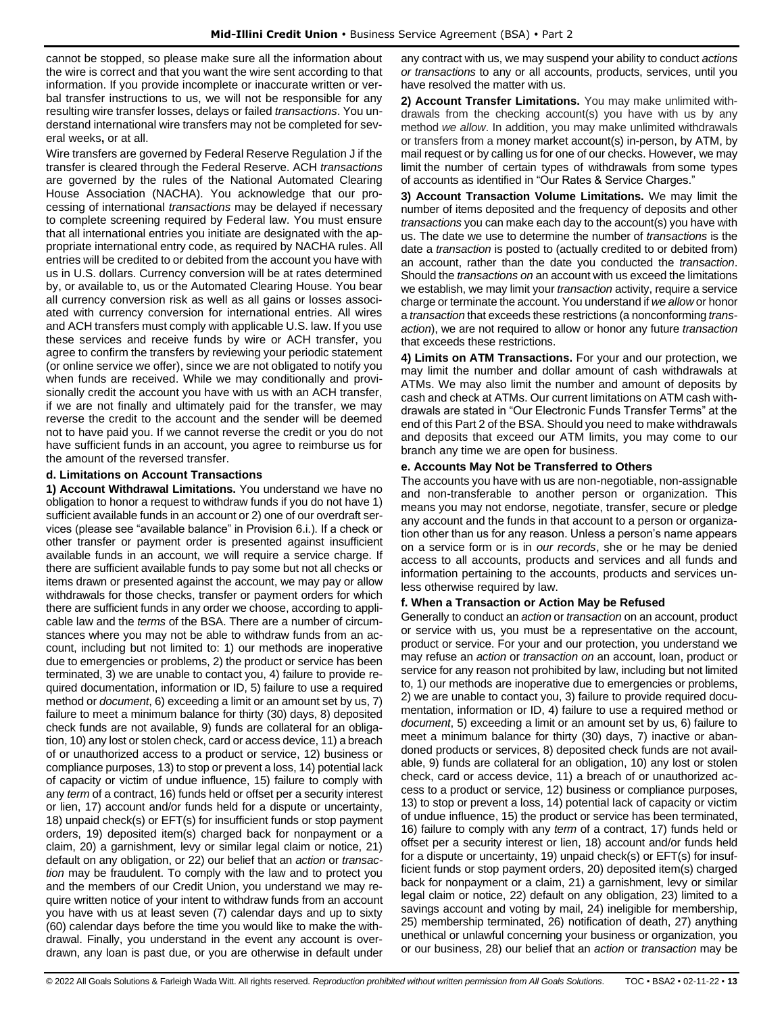cannot be stopped, so please make sure all the information about the wire is correct and that you want the wire sent according to that information. If you provide incomplete or inaccurate written or verbal transfer instructions to us, we will not be responsible for any resulting wire transfer losses, delays or failed *transactions*. You understand international wire transfers may not be completed for several weeks**,** or at all.

Wire transfers are governed by Federal Reserve Regulation J if the transfer is cleared through the Federal Reserve. ACH *transactions* are governed by the rules of the National Automated Clearing House Association (NACHA). You acknowledge that our processing of international *transactions* may be delayed if necessary to complete screening required by Federal law. You must ensure that all international entries you initiate are designated with the appropriate international entry code, as required by NACHA rules. All entries will be credited to or debited from the account you have with us in U.S. dollars. Currency conversion will be at rates determined by, or available to, us or the Automated Clearing House. You bear all currency conversion risk as well as all gains or losses associated with currency conversion for international entries. All wires and ACH transfers must comply with applicable U.S. law. If you use these services and receive funds by wire or ACH transfer, you agree to confirm the transfers by reviewing your periodic statement (or online service we offer), since we are not obligated to notify you when funds are received. While we may conditionally and provisionally credit the account you have with us with an ACH transfer, if we are not finally and ultimately paid for the transfer, we may reverse the credit to the account and the sender will be deemed not to have paid you. If we cannot reverse the credit or you do not have sufficient funds in an account, you agree to reimburse us for the amount of the reversed transfer.

# **d. Limitations on Account Transactions**

**1) Account Withdrawal Limitations.** You understand we have no obligation to honor a request to withdraw funds if you do not have 1) sufficient available funds in an account or 2) one of our overdraft services (please see "available balance" in Provision 6.i.). If a check or other transfer or payment order is presented against insufficient available funds in an account, we will require a service charge. If there are sufficient available funds to pay some but not all checks or items drawn or presented against the account, we may pay or allow withdrawals for those checks, transfer or payment orders for which there are sufficient funds in any order we choose, according to applicable law and the *terms* of the BSA. There are a number of circumstances where you may not be able to withdraw funds from an account, including but not limited to: 1) our methods are inoperative due to emergencies or problems, 2) the product or service has been terminated, 3) we are unable to contact you, 4) failure to provide required documentation, information or ID, 5) failure to use a required method or *document*, 6) exceeding a limit or an amount set by us, 7) failure to meet a minimum balance for thirty (30) days, 8) deposited check funds are not available, 9) funds are collateral for an obligation, 10) any lost or stolen check, card or access device, 11) a breach of or unauthorized access to a product or service, 12) business or compliance purposes, 13) to stop or prevent a loss, 14) potential lack of capacity or victim of undue influence, 15) failure to comply with any *term* of a contract, 16) funds held or offset per a security interest or lien, 17) account and/or funds held for a dispute or uncertainty, 18) unpaid check(s) or EFT(s) for insufficient funds or stop payment orders, 19) deposited item(s) charged back for nonpayment or a claim, 20) a garnishment, levy or similar legal claim or notice, 21) default on any obligation, or 22) our belief that an *action* or *transaction* may be fraudulent. To comply with the law and to protect you and the members of our Credit Union, you understand we may require written notice of your intent to withdraw funds from an account you have with us at least seven (7) calendar days and up to sixty (60) calendar days before the time you would like to make the withdrawal. Finally, you understand in the event any account is overdrawn, any loan is past due, or you are otherwise in default under

any contract with us, we may suspend your ability to conduct *actions or transactions* to any or all accounts, products, services, until you have resolved the matter with us.

**2) Account Transfer Limitations.** You may make unlimited withdrawals from the checking account(s) you have with us by any method *we allow*. In addition, you may make unlimited withdrawals or transfers from a money market account(s) in-person, by ATM, by mail request or by calling us for one of our checks. However, we may limit the number of certain types of withdrawals from some types of accounts as identified in "Our Rates & Service Charges."

**3) Account Transaction Volume Limitations.** We may limit the number of items deposited and the frequency of deposits and other *transactions* you can make each day to the account(s) you have with us. The date we use to determine the number of *transactions* is the date a *transaction* is posted to (actually credited to or debited from) an account, rather than the date you conducted the *transaction*. Should the *transactions on* an account with us exceed the limitations we establish, we may limit your *transaction* activity, require a service charge or terminate the account. You understand if *we allow* or honor a *transaction* that exceeds these restrictions (a nonconforming *transaction*), we are not required to allow or honor any future *transaction* that exceeds these restrictions.

**4) Limits on ATM Transactions.** For your and our protection, we may limit the number and dollar amount of cash withdrawals at ATMs. We may also limit the number and amount of deposits by cash and check at ATMs. Our current limitations on ATM cash withdrawals are stated in "Our Electronic Funds Transfer Terms" at the end of this Part 2 of the BSA. Should you need to make withdrawals and deposits that exceed our ATM limits, you may come to our branch any time we are open for business.

# **e. Accounts May Not be Transferred to Others**

The accounts you have with us are non-negotiable, non-assignable and non-transferable to another person or organization. This means you may not endorse, negotiate, transfer, secure or pledge any account and the funds in that account to a person or organization other than us for any reason. Unless a person's name appears on a service form or is in *our records*, she or he may be denied access to all accounts, products and services and all funds and information pertaining to the accounts, products and services unless otherwise required by law.

# **f. When a Transaction or Action May be Refused**

Generally to conduct an *action* or *transaction* on an account, product or service with us, you must be a representative on the account, product or service. For your and our protection, you understand we may refuse an *action* or *transaction on* an account, loan, product or service for any reason not prohibited by law, including but not limited to, 1) our methods are inoperative due to emergencies or problems, 2) we are unable to contact you, 3) failure to provide required documentation, information or ID, 4) failure to use a required method or *document*, 5) exceeding a limit or an amount set by us, 6) failure to meet a minimum balance for thirty (30) days, 7) inactive or abandoned products or services, 8) deposited check funds are not available, 9) funds are collateral for an obligation, 10) any lost or stolen check, card or access device, 11) a breach of or unauthorized access to a product or service, 12) business or compliance purposes, 13) to stop or prevent a loss, 14) potential lack of capacity or victim of undue influence, 15) the product or service has been terminated, 16) failure to comply with any *term* of a contract, 17) funds held or offset per a security interest or lien, 18) account and/or funds held for a dispute or uncertainty, 19) unpaid check(s) or EFT(s) for insufficient funds or stop payment orders, 20) deposited item(s) charged back for nonpayment or a claim, 21) a garnishment, levy or similar legal claim or notice, 22) default on any obligation, 23) limited to a savings account and voting by mail, 24) ineligible for membership, 25) membership terminated, 26) notification of death, 27) anything unethical or unlawful concerning your business or organization, you or our business, 28) our belief that an *action* or *transaction* may be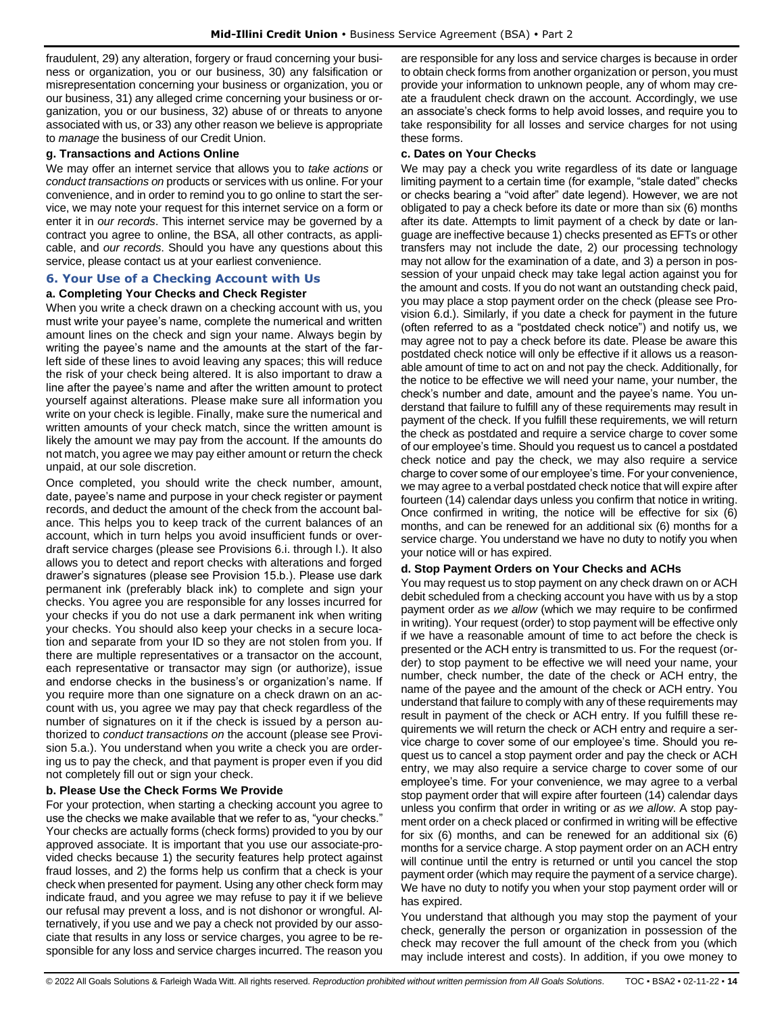fraudulent, 29) any alteration, forgery or fraud concerning your business or organization, you or our business, 30) any falsification or misrepresentation concerning your business or organization, you or our business, 31) any alleged crime concerning your business or organization, you or our business, 32) abuse of or threats to anyone associated with us, or 33) any other reason we believe is appropriate to *manage* the business of our Credit Union.

### **g. Transactions and Actions Online**

We may offer an internet service that allows you to *take actions* or *conduct transactions on* products or services with us online. For your convenience, and in order to remind you to go online to start the service, we may note your request for this internet service on a form or enter it in *our records*. This internet service may be governed by a contract you agree to online, the BSA, all other contracts, as applicable, and *our records*. Should you have any questions about this service, please contact us at your earliest convenience.

# <span id="page-13-0"></span>**6. Your Use of a Checking Account with Us**

# **a. Completing Your Checks and Check Register**

When you write a check drawn on a checking account with us, you must write your payee's name, complete the numerical and written amount lines on the check and sign your name. Always begin by writing the payee's name and the amounts at the start of the farleft side of these lines to avoid leaving any spaces; this will reduce the risk of your check being altered. It is also important to draw a line after the payee's name and after the written amount to protect yourself against alterations. Please make sure all information you write on your check is legible. Finally, make sure the numerical and written amounts of your check match, since the written amount is likely the amount we may pay from the account. If the amounts do not match, you agree we may pay either amount or return the check unpaid, at our sole discretion.

Once completed, you should write the check number, amount, date, payee's name and purpose in your check register or payment records, and deduct the amount of the check from the account balance. This helps you to keep track of the current balances of an account, which in turn helps you avoid insufficient funds or overdraft service charges (please see Provisions 6.i. through l.). It also allows you to detect and report checks with alterations and forged drawer's signatures (please see Provision 15.b.). Please use dark permanent ink (preferably black ink) to complete and sign your checks. You agree you are responsible for any losses incurred for your checks if you do not use a dark permanent ink when writing your checks. You should also keep your checks in a secure location and separate from your ID so they are not stolen from you. If there are multiple representatives or a transactor on the account, each representative or transactor may sign (or authorize), issue and endorse checks in the business's or organization's name. If you require more than one signature on a check drawn on an account with us, you agree we may pay that check regardless of the number of signatures on it if the check is issued by a person authorized to *conduct transactions on* the account (please see Provision 5.a.). You understand when you write a check you are ordering us to pay the check, and that payment is proper even if you did not completely fill out or sign your check.

# **b. Please Use the Check Forms We Provide**

For your protection, when starting a checking account you agree to use the checks we make available that we refer to as, "your checks." Your checks are actually forms (check forms) provided to you by our approved associate. It is important that you use our associate-provided checks because 1) the security features help protect against fraud losses, and 2) the forms help us confirm that a check is your check when presented for payment. Using any other check form may indicate fraud, and you agree we may refuse to pay it if we believe our refusal may prevent a loss, and is not dishonor or wrongful. Alternatively, if you use and we pay a check not provided by our associate that results in any loss or service charges, you agree to be responsible for any loss and service charges incurred. The reason you are responsible for any loss and service charges is because in order to obtain check forms from another organization or person, you must provide your information to unknown people, any of whom may create a fraudulent check drawn on the account. Accordingly, we use an associate's check forms to help avoid losses, and require you to take responsibility for all losses and service charges for not using these forms.

#### **c. Dates on Your Checks**

We may pay a check you write regardless of its date or language limiting payment to a certain time (for example, "stale dated" checks or checks bearing a "void after" date legend). However, we are not obligated to pay a check before its date or more than six (6) months after its date. Attempts to limit payment of a check by date or language are ineffective because 1) checks presented as EFTs or other transfers may not include the date, 2) our processing technology may not allow for the examination of a date, and 3) a person in possession of your unpaid check may take legal action against you for the amount and costs. If you do not want an outstanding check paid, you may place a stop payment order on the check (please see Provision 6.d.). Similarly, if you date a check for payment in the future (often referred to as a "postdated check notice") and notify us, we may agree not to pay a check before its date. Please be aware this postdated check notice will only be effective if it allows us a reasonable amount of time to act on and not pay the check. Additionally, for the notice to be effective we will need your name, your number, the check's number and date, amount and the payee's name. You understand that failure to fulfill any of these requirements may result in payment of the check. If you fulfill these requirements, we will return the check as postdated and require a service charge to cover some of our employee's time. Should you request us to cancel a postdated check notice and pay the check, we may also require a service charge to cover some of our employee's time. For your convenience, we may agree to a verbal postdated check notice that will expire after fourteen (14) calendar days unless you confirm that notice in writing. Once confirmed in writing, the notice will be effective for six (6) months, and can be renewed for an additional six (6) months for a service charge. You understand we have no duty to notify you when your notice will or has expired.

#### **d. Stop Payment Orders on Your Checks and ACHs**

You may request us to stop payment on any check drawn on or ACH debit scheduled from a checking account you have with us by a stop payment order *as we allow* (which we may require to be confirmed in writing). Your request (order) to stop payment will be effective only if we have a reasonable amount of time to act before the check is presented or the ACH entry is transmitted to us. For the request (order) to stop payment to be effective we will need your name, your number, check number, the date of the check or ACH entry, the name of the payee and the amount of the check or ACH entry. You understand that failure to comply with any of these requirements may result in payment of the check or ACH entry. If you fulfill these requirements we will return the check or ACH entry and require a service charge to cover some of our employee's time. Should you request us to cancel a stop payment order and pay the check or ACH entry, we may also require a service charge to cover some of our employee's time. For your convenience, we may agree to a verbal stop payment order that will expire after fourteen (14) calendar days unless you confirm that order in writing or *as we allow*. A stop payment order on a check placed or confirmed in writing will be effective for six (6) months, and can be renewed for an additional six (6) months for a service charge. A stop payment order on an ACH entry will continue until the entry is returned or until you cancel the stop payment order (which may require the payment of a service charge). We have no duty to notify you when your stop payment order will or has expired.

You understand that although you may stop the payment of your check, generally the person or organization in possession of the check may recover the full amount of the check from you (which may include interest and costs). In addition, if you owe money to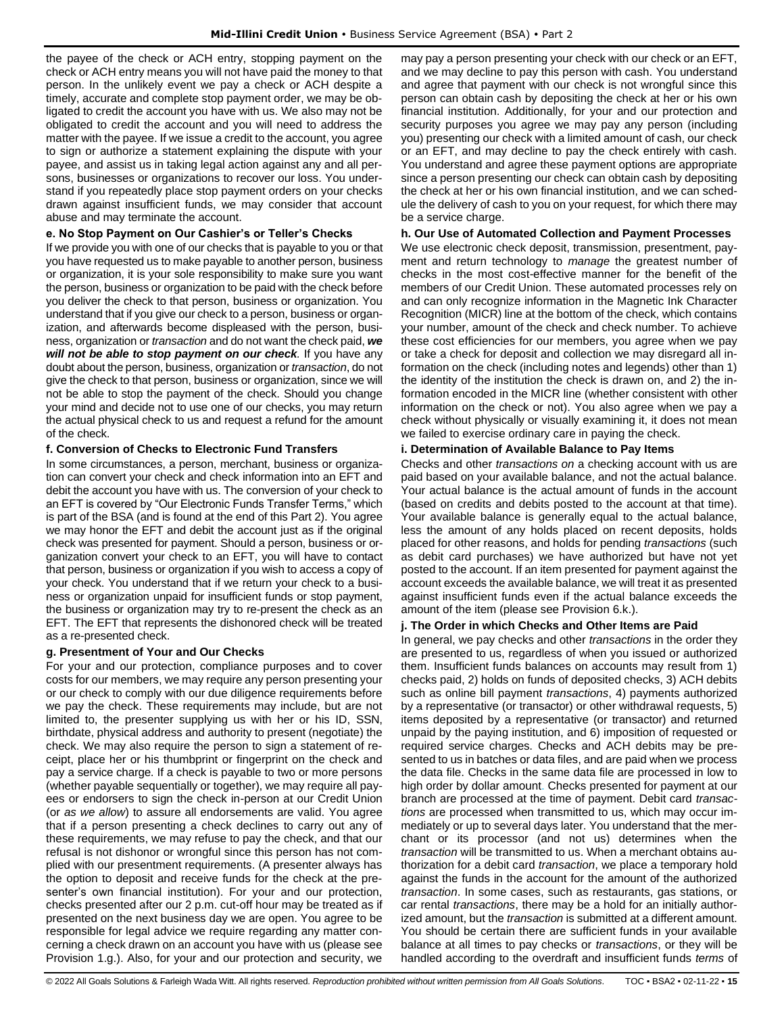the payee of the check or ACH entry, stopping payment on the check or ACH entry means you will not have paid the money to that person. In the unlikely event we pay a check or ACH despite a timely, accurate and complete stop payment order, we may be obligated to credit the account you have with us. We also may not be obligated to credit the account and you will need to address the matter with the payee. If we issue a credit to the account, you agree to sign or authorize a statement explaining the dispute with your payee, and assist us in taking legal action against any and all persons, businesses or organizations to recover our loss. You understand if you repeatedly place stop payment orders on your checks drawn against insufficient funds, we may consider that account abuse and may terminate the account.

# **e. No Stop Payment on Our Cashier's or Teller's Checks**

If we provide you with one of our checks that is payable to you or that you have requested us to make payable to another person, business or organization, it is your sole responsibility to make sure you want the person, business or organization to be paid with the check before you deliver the check to that person, business or organization. You understand that if you give our check to a person, business or organization, and afterwards become displeased with the person, business, organization or *transaction* and do not want the check paid, *we will not be able to stop payment on our check.* If you have any doubt about the person, business, organization or *transaction*, do not give the check to that person, business or organization, since we will not be able to stop the payment of the check. Should you change your mind and decide not to use one of our checks, you may return the actual physical check to us and request a refund for the amount of the check.

# **f. Conversion of Checks to Electronic Fund Transfers**

In some circumstances, a person, merchant, business or organization can convert your check and check information into an EFT and debit the account you have with us. The conversion of your check to an EFT is covered by "Our Electronic Funds Transfer Terms," which is part of the BSA (and is found at the end of this Part 2). You agree we may honor the EFT and debit the account just as if the original check was presented for payment. Should a person, business or organization convert your check to an EFT, you will have to contact that person, business or organization if you wish to access a copy of your check. You understand that if we return your check to a business or organization unpaid for insufficient funds or stop payment, the business or organization may try to re-present the check as an EFT. The EFT that represents the dishonored check will be treated as a re-presented check.

# **g. Presentment of Your and Our Checks**

For your and our protection, compliance purposes and to cover costs for our members, we may require any person presenting your or our check to comply with our due diligence requirements before we pay the check. These requirements may include, but are not limited to, the presenter supplying us with her or his ID, SSN, birthdate, physical address and authority to present (negotiate) the check. We may also require the person to sign a statement of receipt, place her or his thumbprint or fingerprint on the check and pay a service charge. If a check is payable to two or more persons (whether payable sequentially or together), we may require all payees or endorsers to sign the check in-person at our Credit Union (or *as we allow*) to assure all endorsements are valid. You agree that if a person presenting a check declines to carry out any of these requirements, we may refuse to pay the check, and that our refusal is not dishonor or wrongful since this person has not complied with our presentment requirements. (A presenter always has the option to deposit and receive funds for the check at the presenter's own financial institution). For your and our protection, checks presented after our 2 p.m. cut-off hour may be treated as if presented on the next business day we are open. You agree to be responsible for legal advice we require regarding any matter concerning a check drawn on an account you have with us (please see Provision 1.g.). Also, for your and our protection and security, we

may pay a person presenting your check with our check or an EFT, and we may decline to pay this person with cash. You understand and agree that payment with our check is not wrongful since this person can obtain cash by depositing the check at her or his own financial institution. Additionally, for your and our protection and security purposes you agree we may pay any person (including you) presenting our check with a limited amount of cash, our check or an EFT, and may decline to pay the check entirely with cash. You understand and agree these payment options are appropriate since a person presenting our check can obtain cash by depositing the check at her or his own financial institution, and we can schedule the delivery of cash to you on your request, for which there may be a service charge.

# **h. Our Use of Automated Collection and Payment Processes**

We use electronic check deposit, transmission, presentment, payment and return technology to *manage* the greatest number of checks in the most cost-effective manner for the benefit of the members of our Credit Union. These automated processes rely on and can only recognize information in the Magnetic Ink Character Recognition (MICR) line at the bottom of the check, which contains your number, amount of the check and check number. To achieve these cost efficiencies for our members, you agree when we pay or take a check for deposit and collection we may disregard all information on the check (including notes and legends) other than 1) the identity of the institution the check is drawn on, and 2) the information encoded in the MICR line (whether consistent with other information on the check or not). You also agree when we pay a check without physically or visually examining it, it does not mean we failed to exercise ordinary care in paying the check.

# **i. Determination of Available Balance to Pay Items**

Checks and other *transactions on* a checking account with us are paid based on your available balance, and not the actual balance. Your actual balance is the actual amount of funds in the account (based on credits and debits posted to the account at that time). Your available balance is generally equal to the actual balance, less the amount of any holds placed on recent deposits, holds placed for other reasons, and holds for pending *transactions* (such as debit card purchases) we have authorized but have not yet posted to the account. If an item presented for payment against the account exceeds the available balance, we will treat it as presented against insufficient funds even if the actual balance exceeds the amount of the item (please see Provision 6.k.).

# **j. The Order in which Checks and Other Items are Paid**

In general, we pay checks and other *transactions* in the order they are presented to us, regardless of when you issued or authorized them. Insufficient funds balances on accounts may result from 1) checks paid, 2) holds on funds of deposited checks, 3) ACH debits such as online bill payment *transactions*, 4) payments authorized by a representative (or transactor) or other withdrawal requests, 5) items deposited by a representative (or transactor) and returned unpaid by the paying institution, and 6) imposition of requested or required service charges. Checks and ACH debits may be presented to us in batches or data files, and are paid when we process the data file. Checks in the same data file are processed in low to high order by dollar amount. Checks presented for payment at our branch are processed at the time of payment. Debit card *transactions* are processed when transmitted to us, which may occur immediately or up to several days later. You understand that the merchant or its processor (and not us) determines when the *transaction* will be transmitted to us. When a merchant obtains authorization for a debit card *transaction*, we place a temporary hold against the funds in the account for the amount of the authorized *transaction*. In some cases, such as restaurants, gas stations, or car rental *transactions*, there may be a hold for an initially authorized amount, but the *transaction* is submitted at a different amount. You should be certain there are sufficient funds in your available balance at all times to pay checks or *transactions*, or they will be handled according to the overdraft and insufficient funds *terms* of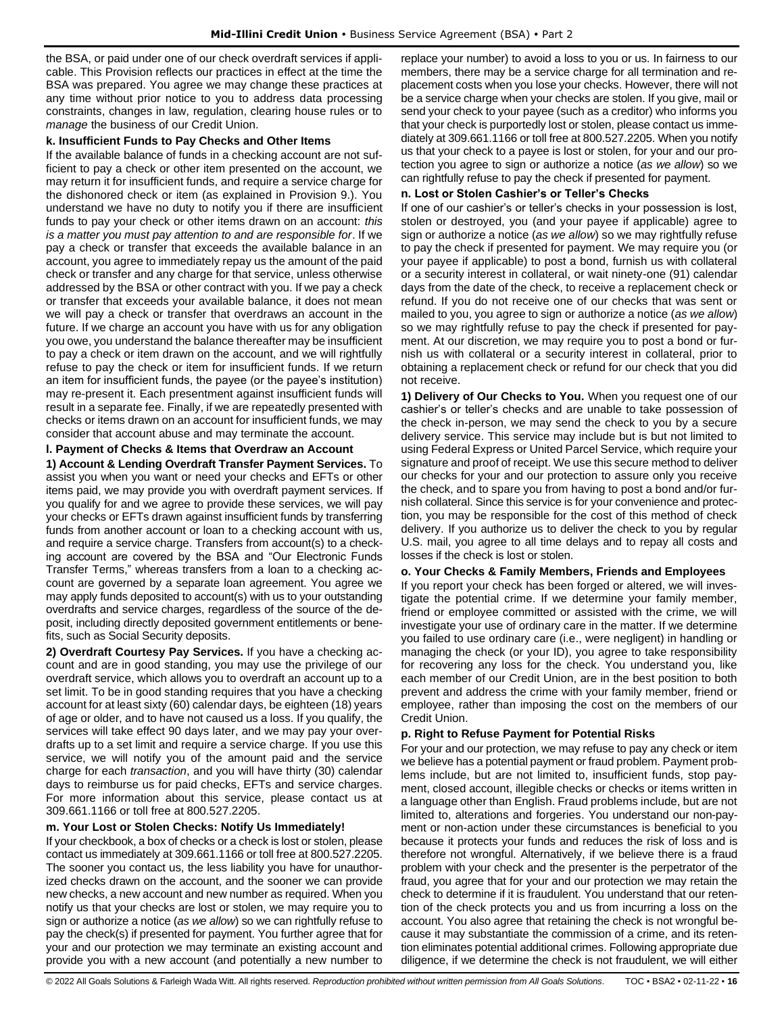the BSA, or paid under one of our check overdraft services if applicable. This Provision reflects our practices in effect at the time the BSA was prepared. You agree we may change these practices at any time without prior notice to you to address data processing constraints, changes in law, regulation, clearing house rules or to *manage* the business of our Credit Union.

#### **k. Insufficient Funds to Pay Checks and Other Items**

If the available balance of funds in a checking account are not sufficient to pay a check or other item presented on the account, we may return it for insufficient funds, and require a service charge for the dishonored check or item (as explained in Provision 9.). You understand we have no duty to notify you if there are insufficient funds to pay your check or other items drawn on an account: *this is a matter you must pay attention to and are responsible for*. If we pay a check or transfer that exceeds the available balance in an account, you agree to immediately repay us the amount of the paid check or transfer and any charge for that service, unless otherwise addressed by the BSA or other contract with you. If we pay a check or transfer that exceeds your available balance, it does not mean we will pay a check or transfer that overdraws an account in the future. If we charge an account you have with us for any obligation you owe, you understand the balance thereafter may be insufficient to pay a check or item drawn on the account, and we will rightfully refuse to pay the check or item for insufficient funds. If we return an item for insufficient funds, the payee (or the payee's institution) may re-present it. Each presentment against insufficient funds will result in a separate fee. Finally, if we are repeatedly presented with checks or items drawn on an account for insufficient funds, we may consider that account abuse and may terminate the account.

**l. Payment of Checks & Items that Overdraw an Account** 

**1) Account & Lending Overdraft Transfer Payment Services.** To assist you when you want or need your checks and EFTs or other items paid, we may provide you with overdraft payment services. If you qualify for and we agree to provide these services, we will pay your checks or EFTs drawn against insufficient funds by transferring funds from another account or loan to a checking account with us, and require a service charge. Transfers from account(s) to a checking account are covered by the BSA and "Our Electronic Funds Transfer Terms," whereas transfers from a loan to a checking account are governed by a separate loan agreement. You agree we may apply funds deposited to account(s) with us to your outstanding overdrafts and service charges, regardless of the source of the deposit, including directly deposited government entitlements or benefits, such as Social Security deposits.

**2) Overdraft Courtesy Pay Services.** If you have a checking account and are in good standing, you may use the privilege of our overdraft service, which allows you to overdraft an account up to a set limit. To be in good standing requires that you have a checking account for at least sixty (60) calendar days, be eighteen (18) years of age or older, and to have not caused us a loss. If you qualify, the services will take effect 90 days later, and we may pay your overdrafts up to a set limit and require a service charge. If you use this service, we will notify you of the amount paid and the service charge for each *transaction*, and you will have thirty (30) calendar days to reimburse us for paid checks, EFTs and service charges. For more information about this service, please contact us at 309.661.1166 or toll free at 800.527.2205.

# **m. Your Lost or Stolen Checks: Notify Us Immediately!**

If your checkbook, a box of checks or a check is lost or stolen, please contact us immediately at 309.661.1166 or toll free at 800.527.2205. The sooner you contact us, the less liability you have for unauthorized checks drawn on the account, and the sooner we can provide new checks, a new account and new number as required. When you notify us that your checks are lost or stolen, we may require you to sign or authorize a notice (*as we allow*) so we can rightfully refuse to pay the check(s) if presented for payment. You further agree that for your and our protection we may terminate an existing account and provide you with a new account (and potentially a new number to

replace your number) to avoid a loss to you or us. In fairness to our members, there may be a service charge for all termination and replacement costs when you lose your checks. However, there will not be a service charge when your checks are stolen. If you give, mail or send your check to your payee (such as a creditor) who informs you that your check is purportedly lost or stolen, please contact us immediately at 309.661.1166 or toll free at 800.527.2205. When you notify us that your check to a payee is lost or stolen, for your and our protection you agree to sign or authorize a notice (*as we allow*) so we can rightfully refuse to pay the check if presented for payment.

### **n. Lost or Stolen Cashier's or Teller's Checks**

If one of our cashier's or teller's checks in your possession is lost, stolen or destroyed, you (and your payee if applicable) agree to sign or authorize a notice (*as we allow*) so we may rightfully refuse to pay the check if presented for payment. We may require you (or your payee if applicable) to post a bond, furnish us with collateral or a security interest in collateral, or wait ninety-one (91) calendar days from the date of the check, to receive a replacement check or refund. If you do not receive one of our checks that was sent or mailed to you, you agree to sign or authorize a notice (*as we allow*) so we may rightfully refuse to pay the check if presented for payment. At our discretion, we may require you to post a bond or furnish us with collateral or a security interest in collateral, prior to obtaining a replacement check or refund for our check that you did not receive.

**1) Delivery of Our Checks to You.** When you request one of our cashier's or teller's checks and are unable to take possession of the check in-person, we may send the check to you by a secure delivery service. This service may include but is but not limited to using Federal Express or United Parcel Service, which require your signature and proof of receipt. We use this secure method to deliver our checks for your and our protection to assure only you receive the check, and to spare you from having to post a bond and/or furnish collateral. Since this service is for your convenience and protection, you may be responsible for the cost of this method of check delivery. If you authorize us to deliver the check to you by regular U.S. mail, you agree to all time delays and to repay all costs and losses if the check is lost or stolen.

# **o. Your Checks & Family Members, Friends and Employees**

If you report your check has been forged or altered, we will investigate the potential crime. If we determine your family member, friend or employee committed or assisted with the crime, we will investigate your use of ordinary care in the matter. If we determine you failed to use ordinary care (i.e., were negligent) in handling or managing the check (or your ID), you agree to take responsibility for recovering any loss for the check. You understand you, like each member of our Credit Union, are in the best position to both prevent and address the crime with your family member, friend or employee, rather than imposing the cost on the members of our Credit Union.

#### **p. Right to Refuse Payment for Potential Risks**

For your and our protection, we may refuse to pay any check or item we believe has a potential payment or fraud problem. Payment problems include, but are not limited to, insufficient funds, stop payment, closed account, illegible checks or checks or items written in a language other than English. Fraud problems include, but are not limited to, alterations and forgeries. You understand our non-payment or non-action under these circumstances is beneficial to you because it protects your funds and reduces the risk of loss and is therefore not wrongful. Alternatively, if we believe there is a fraud problem with your check and the presenter is the perpetrator of the fraud, you agree that for your and our protection we may retain the check to determine if it is fraudulent. You understand that our retention of the check protects you and us from incurring a loss on the account. You also agree that retaining the check is not wrongful because it may substantiate the commission of a crime, and its retention eliminates potential additional crimes. Following appropriate due diligence, if we determine the check is not fraudulent, we will either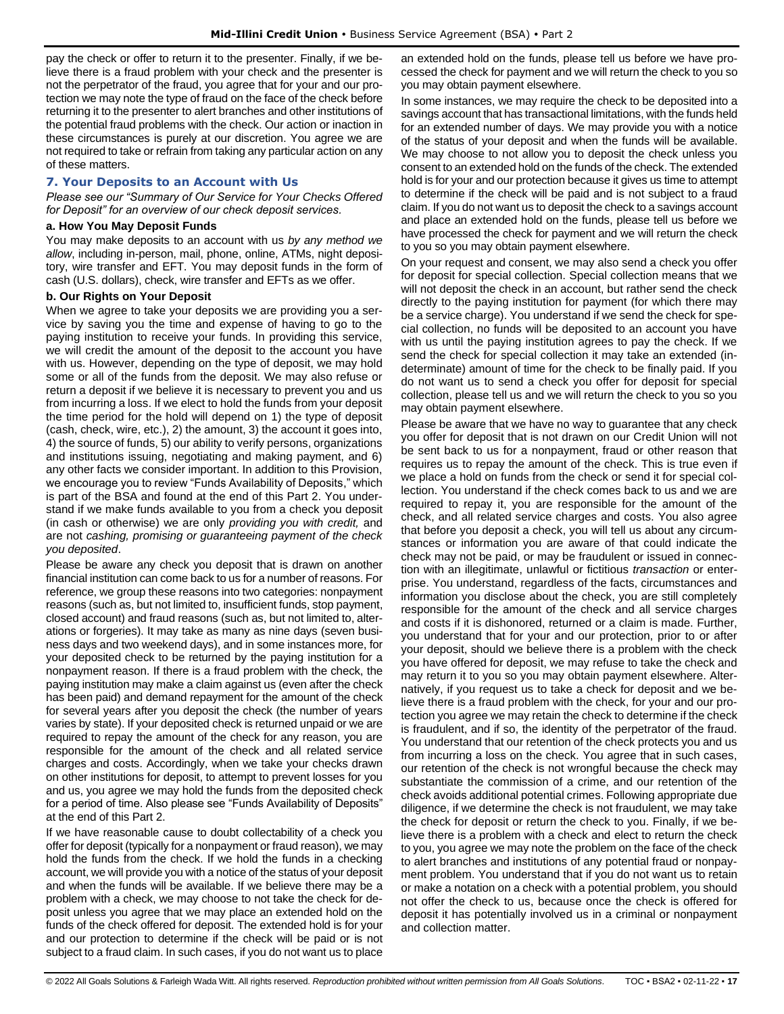pay the check or offer to return it to the presenter. Finally, if we believe there is a fraud problem with your check and the presenter is not the perpetrator of the fraud, you agree that for your and our protection we may note the type of fraud on the face of the check before returning it to the presenter to alert branches and other institutions of the potential fraud problems with the check. Our action or inaction in these circumstances is purely at our discretion. You agree we are not required to take or refrain from taking any particular action on any of these matters.

# <span id="page-16-0"></span>**7. Your Deposits to an Account with Us**

*Please see our "Summary of Our Service for Your Checks Offered for Deposit" for an overview of our check deposit services.*

#### **a. How You May Deposit Funds**

You may make deposits to an account with us *by any method we allow*, including in-person, mail, phone, online, ATMs, night depository, wire transfer and EFT. You may deposit funds in the form of cash (U.S. dollars), check, wire transfer and EFTs as we offer.

#### **b. Our Rights on Your Deposit**

When we agree to take your deposits we are providing you a service by saving you the time and expense of having to go to the paying institution to receive your funds. In providing this service, we will credit the amount of the deposit to the account you have with us. However, depending on the type of deposit, we may hold some or all of the funds from the deposit. We may also refuse or return a deposit if we believe it is necessary to prevent you and us from incurring a loss. If we elect to hold the funds from your deposit the time period for the hold will depend on 1) the type of deposit (cash, check, wire, etc.), 2) the amount, 3) the account it goes into, 4) the source of funds, 5) our ability to verify persons, organizations and institutions issuing, negotiating and making payment, and 6) any other facts we consider important. In addition to this Provision, we encourage you to review "Funds Availability of Deposits," which is part of the BSA and found at the end of this Part 2. You understand if we make funds available to you from a check you deposit (in cash or otherwise) we are only *providing you with credit,* and are not *cashing, promising or guaranteeing payment of the check you deposited*.

Please be aware any check you deposit that is drawn on another financial institution can come back to us for a number of reasons. For reference, we group these reasons into two categories: nonpayment reasons (such as, but not limited to, insufficient funds, stop payment, closed account) and fraud reasons (such as, but not limited to, alterations or forgeries). It may take as many as nine days (seven business days and two weekend days), and in some instances more, for your deposited check to be returned by the paying institution for a nonpayment reason. If there is a fraud problem with the check, the paying institution may make a claim against us (even after the check has been paid) and demand repayment for the amount of the check for several years after you deposit the check (the number of years varies by state). If your deposited check is returned unpaid or we are required to repay the amount of the check for any reason, you are responsible for the amount of the check and all related service charges and costs. Accordingly, when we take your checks drawn on other institutions for deposit, to attempt to prevent losses for you and us, you agree we may hold the funds from the deposited check for a period of time. Also please see "Funds Availability of Deposits" at the end of this Part 2.

If we have reasonable cause to doubt collectability of a check you offer for deposit (typically for a nonpayment or fraud reason), we may hold the funds from the check. If we hold the funds in a checking account, we will provide you with a notice of the status of your deposit and when the funds will be available. If we believe there may be a problem with a check, we may choose to not take the check for deposit unless you agree that we may place an extended hold on the funds of the check offered for deposit. The extended hold is for your and our protection to determine if the check will be paid or is not subject to a fraud claim. In such cases, if you do not want us to place an extended hold on the funds, please tell us before we have processed the check for payment and we will return the check to you so you may obtain payment elsewhere.

In some instances, we may require the check to be deposited into a savings account that has transactional limitations, with the funds held for an extended number of days. We may provide you with a notice of the status of your deposit and when the funds will be available. We may choose to not allow you to deposit the check unless you consent to an extended hold on the funds of the check. The extended hold is for your and our protection because it gives us time to attempt to determine if the check will be paid and is not subject to a fraud claim. If you do not want us to deposit the check to a savings account and place an extended hold on the funds, please tell us before we have processed the check for payment and we will return the check to you so you may obtain payment elsewhere.

On your request and consent, we may also send a check you offer for deposit for special collection. Special collection means that we will not deposit the check in an account, but rather send the check directly to the paying institution for payment (for which there may be a service charge). You understand if we send the check for special collection, no funds will be deposited to an account you have with us until the paying institution agrees to pay the check. If we send the check for special collection it may take an extended (indeterminate) amount of time for the check to be finally paid. If you do not want us to send a check you offer for deposit for special collection, please tell us and we will return the check to you so you may obtain payment elsewhere.

Please be aware that we have no way to guarantee that any check you offer for deposit that is not drawn on our Credit Union will not be sent back to us for a nonpayment, fraud or other reason that requires us to repay the amount of the check. This is true even if we place a hold on funds from the check or send it for special collection. You understand if the check comes back to us and we are required to repay it, you are responsible for the amount of the check, and all related service charges and costs. You also agree that before you deposit a check, you will tell us about any circumstances or information you are aware of that could indicate the check may not be paid, or may be fraudulent or issued in connection with an illegitimate, unlawful or fictitious *transaction* or enterprise. You understand, regardless of the facts, circumstances and information you disclose about the check, you are still completely responsible for the amount of the check and all service charges and costs if it is dishonored, returned or a claim is made. Further, you understand that for your and our protection, prior to or after your deposit, should we believe there is a problem with the check you have offered for deposit, we may refuse to take the check and may return it to you so you may obtain payment elsewhere. Alternatively, if you request us to take a check for deposit and we believe there is a fraud problem with the check, for your and our protection you agree we may retain the check to determine if the check is fraudulent, and if so, the identity of the perpetrator of the fraud. You understand that our retention of the check protects you and us from incurring a loss on the check. You agree that in such cases, our retention of the check is not wrongful because the check may substantiate the commission of a crime, and our retention of the check avoids additional potential crimes. Following appropriate due diligence, if we determine the check is not fraudulent, we may take the check for deposit or return the check to you. Finally, if we believe there is a problem with a check and elect to return the check to you, you agree we may note the problem on the face of the check to alert branches and institutions of any potential fraud or nonpayment problem. You understand that if you do not want us to retain or make a notation on a check with a potential problem, you should not offer the check to us, because once the check is offered for deposit it has potentially involved us in a criminal or nonpayment and collection matter.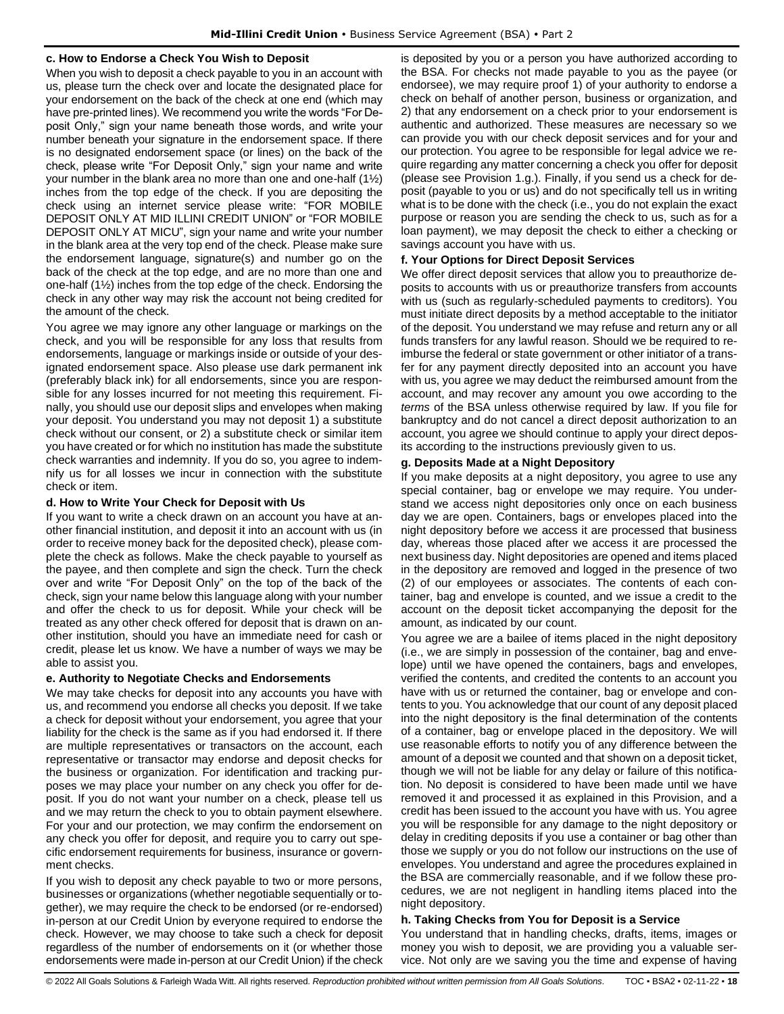#### **c. How to Endorse a Check You Wish to Deposit**

When you wish to deposit a check payable to you in an account with us, please turn the check over and locate the designated place for your endorsement on the back of the check at one end (which may have pre-printed lines). We recommend you write the words "For Deposit Only," sign your name beneath those words, and write your number beneath your signature in the endorsement space. If there is no designated endorsement space (or lines) on the back of the check, please write "For Deposit Only," sign your name and write your number in the blank area no more than one and one-half (1½) inches from the top edge of the check. If you are depositing the check using an internet service please write: "FOR MOBILE DEPOSIT ONLY AT MID ILLINI CREDIT UNION" or "FOR MOBILE DEPOSIT ONLY AT MICU", sign your name and write your number in the blank area at the very top end of the check. Please make sure the endorsement language, signature(s) and number go on the back of the check at the top edge, and are no more than one and one-half (1½) inches from the top edge of the check. Endorsing the check in any other way may risk the account not being credited for the amount of the check.

You agree we may ignore any other language or markings on the check, and you will be responsible for any loss that results from endorsements, language or markings inside or outside of your designated endorsement space. Also please use dark permanent ink (preferably black ink) for all endorsements, since you are responsible for any losses incurred for not meeting this requirement. Finally, you should use our deposit slips and envelopes when making your deposit. You understand you may not deposit 1) a substitute check without our consent, or 2) a substitute check or similar item you have created or for which no institution has made the substitute check warranties and indemnity. If you do so, you agree to indemnify us for all losses we incur in connection with the substitute check or item.

#### **d. How to Write Your Check for Deposit with Us**

If you want to write a check drawn on an account you have at another financial institution, and deposit it into an account with us (in order to receive money back for the deposited check), please complete the check as follows. Make the check payable to yourself as the payee, and then complete and sign the check. Turn the check over and write "For Deposit Only" on the top of the back of the check, sign your name below this language along with your number and offer the check to us for deposit. While your check will be treated as any other check offered for deposit that is drawn on another institution, should you have an immediate need for cash or credit, please let us know. We have a number of ways we may be able to assist you.

# **e. Authority to Negotiate Checks and Endorsements**

We may take checks for deposit into any accounts you have with us, and recommend you endorse all checks you deposit. If we take a check for deposit without your endorsement, you agree that your liability for the check is the same as if you had endorsed it. If there are multiple representatives or transactors on the account, each representative or transactor may endorse and deposit checks for the business or organization. For identification and tracking purposes we may place your number on any check you offer for deposit. If you do not want your number on a check, please tell us and we may return the check to you to obtain payment elsewhere. For your and our protection, we may confirm the endorsement on any check you offer for deposit, and require you to carry out specific endorsement requirements for business, insurance or government checks.

If you wish to deposit any check payable to two or more persons, businesses or organizations (whether negotiable sequentially or together), we may require the check to be endorsed (or re-endorsed) in-person at our Credit Union by everyone required to endorse the check. However, we may choose to take such a check for deposit regardless of the number of endorsements on it (or whether those endorsements were made in-person at our Credit Union) if the check is deposited by you or a person you have authorized according to the BSA. For checks not made payable to you as the payee (or endorsee), we may require proof 1) of your authority to endorse a check on behalf of another person, business or organization, and 2) that any endorsement on a check prior to your endorsement is authentic and authorized. These measures are necessary so we can provide you with our check deposit services and for your and our protection. You agree to be responsible for legal advice we require regarding any matter concerning a check you offer for deposit (please see Provision 1.g.). Finally, if you send us a check for deposit (payable to you or us) and do not specifically tell us in writing what is to be done with the check (i.e., you do not explain the exact purpose or reason you are sending the check to us, such as for a loan payment), we may deposit the check to either a checking or savings account you have with us.

#### **f. Your Options for Direct Deposit Services**

We offer direct deposit services that allow you to preauthorize deposits to accounts with us or preauthorize transfers from accounts with us (such as regularly-scheduled payments to creditors). You must initiate direct deposits by a method acceptable to the initiator of the deposit. You understand we may refuse and return any or all funds transfers for any lawful reason. Should we be required to reimburse the federal or state government or other initiator of a transfer for any payment directly deposited into an account you have with us, you agree we may deduct the reimbursed amount from the account, and may recover any amount you owe according to the *terms* of the BSA unless otherwise required by law. If you file for bankruptcy and do not cancel a direct deposit authorization to an account, you agree we should continue to apply your direct deposits according to the instructions previously given to us.

# **g. Deposits Made at a Night Depository**

If you make deposits at a night depository, you agree to use any special container, bag or envelope we may require. You understand we access night depositories only once on each business day we are open. Containers, bags or envelopes placed into the night depository before we access it are processed that business day, whereas those placed after we access it are processed the next business day. Night depositories are opened and items placed in the depository are removed and logged in the presence of two (2) of our employees or associates. The contents of each container, bag and envelope is counted, and we issue a credit to the account on the deposit ticket accompanying the deposit for the amount, as indicated by our count.

You agree we are a bailee of items placed in the night depository (i.e., we are simply in possession of the container, bag and envelope) until we have opened the containers, bags and envelopes, verified the contents, and credited the contents to an account you have with us or returned the container, bag or envelope and contents to you. You acknowledge that our count of any deposit placed into the night depository is the final determination of the contents of a container, bag or envelope placed in the depository. We will use reasonable efforts to notify you of any difference between the amount of a deposit we counted and that shown on a deposit ticket, though we will not be liable for any delay or failure of this notification. No deposit is considered to have been made until we have removed it and processed it as explained in this Provision, and a credit has been issued to the account you have with us. You agree you will be responsible for any damage to the night depository or delay in crediting deposits if you use a container or bag other than those we supply or you do not follow our instructions on the use of envelopes. You understand and agree the procedures explained in the BSA are commercially reasonable, and if we follow these procedures, we are not negligent in handling items placed into the night depository.

# **h. Taking Checks from You for Deposit is a Service**

You understand that in handling checks, drafts, items, images or money you wish to deposit, we are providing you a valuable service. Not only are we saving you the time and expense of having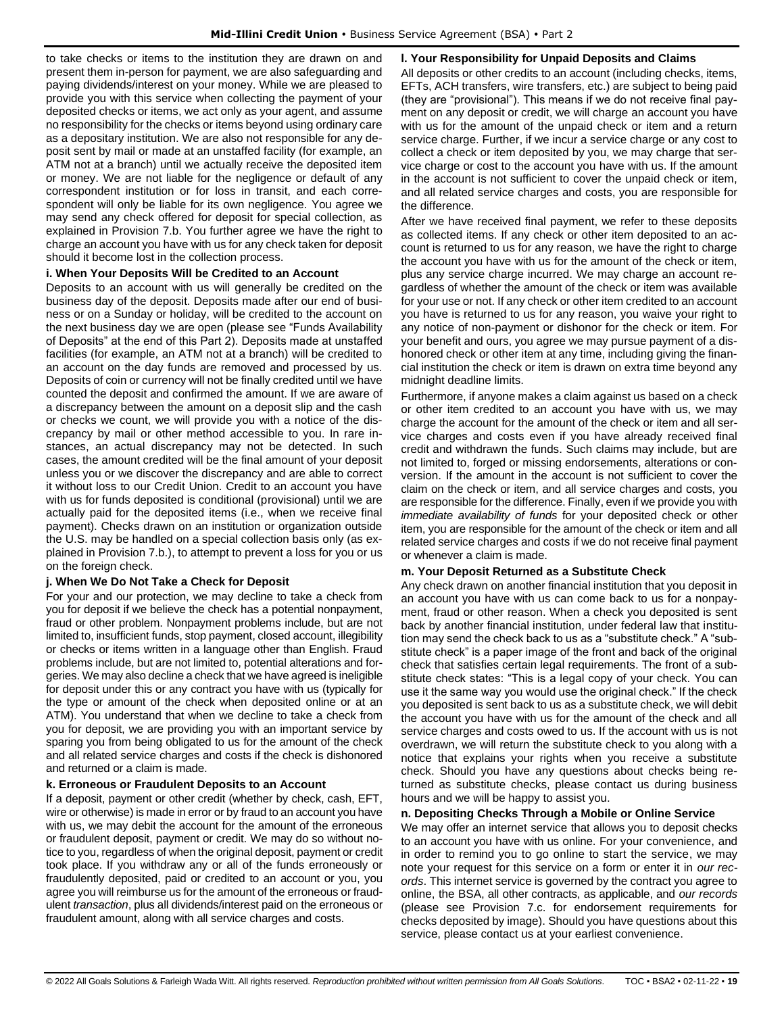to take checks or items to the institution they are drawn on and present them in-person for payment, we are also safeguarding and paying dividends/interest on your money. While we are pleased to provide you with this service when collecting the payment of your deposited checks or items, we act only as your agent, and assume no responsibility for the checks or items beyond using ordinary care as a depositary institution. We are also not responsible for any deposit sent by mail or made at an unstaffed facility (for example, an ATM not at a branch) until we actually receive the deposited item or money. We are not liable for the negligence or default of any correspondent institution or for loss in transit, and each correspondent will only be liable for its own negligence. You agree we may send any check offered for deposit for special collection, as explained in Provision 7.b. You further agree we have the right to charge an account you have with us for any check taken for deposit should it become lost in the collection process.

#### **i. When Your Deposits Will be Credited to an Account**

Deposits to an account with us will generally be credited on the business day of the deposit. Deposits made after our end of business or on a Sunday or holiday, will be credited to the account on the next business day we are open (please see "Funds Availability of Deposits" at the end of this Part 2). Deposits made at unstaffed facilities (for example, an ATM not at a branch) will be credited to an account on the day funds are removed and processed by us. Deposits of coin or currency will not be finally credited until we have counted the deposit and confirmed the amount. If we are aware of a discrepancy between the amount on a deposit slip and the cash or checks we count, we will provide you with a notice of the discrepancy by mail or other method accessible to you. In rare instances, an actual discrepancy may not be detected. In such cases, the amount credited will be the final amount of your deposit unless you or we discover the discrepancy and are able to correct it without loss to our Credit Union. Credit to an account you have with us for funds deposited is conditional (provisional) until we are actually paid for the deposited items (i.e., when we receive final payment). Checks drawn on an institution or organization outside the U.S. may be handled on a special collection basis only (as explained in Provision 7.b.), to attempt to prevent a loss for you or us on the foreign check.

# **j. When We Do Not Take a Check for Deposit**

For your and our protection, we may decline to take a check from you for deposit if we believe the check has a potential nonpayment, fraud or other problem. Nonpayment problems include, but are not limited to, insufficient funds, stop payment, closed account, illegibility or checks or items written in a language other than English. Fraud problems include, but are not limited to, potential alterations and forgeries. We may also decline a check that we have agreed is ineligible for deposit under this or any contract you have with us (typically for the type or amount of the check when deposited online or at an ATM). You understand that when we decline to take a check from you for deposit, we are providing you with an important service by sparing you from being obligated to us for the amount of the check and all related service charges and costs if the check is dishonored and returned or a claim is made.

# **k. Erroneous or Fraudulent Deposits to an Account**

If a deposit, payment or other credit (whether by check, cash, EFT, wire or otherwise) is made in error or by fraud to an account you have with us, we may debit the account for the amount of the erroneous or fraudulent deposit, payment or credit. We may do so without notice to you, regardless of when the original deposit, payment or credit took place. If you withdraw any or all of the funds erroneously or fraudulently deposited, paid or credited to an account or you, you agree you will reimburse us for the amount of the erroneous or fraudulent *transaction*, plus all dividends/interest paid on the erroneous or fraudulent amount, along with all service charges and costs.

#### **l. Your Responsibility for Unpaid Deposits and Claims**

All deposits or other credits to an account (including checks, items, EFTs, ACH transfers, wire transfers, etc.) are subject to being paid (they are "provisional"). This means if we do not receive final payment on any deposit or credit, we will charge an account you have with us for the amount of the unpaid check or item and a return service charge. Further, if we incur a service charge or any cost to collect a check or item deposited by you, we may charge that service charge or cost to the account you have with us. If the amount in the account is not sufficient to cover the unpaid check or item, and all related service charges and costs, you are responsible for the difference.

After we have received final payment, we refer to these deposits as collected items. If any check or other item deposited to an account is returned to us for any reason, we have the right to charge the account you have with us for the amount of the check or item, plus any service charge incurred. We may charge an account regardless of whether the amount of the check or item was available for your use or not. If any check or other item credited to an account you have is returned to us for any reason, you waive your right to any notice of non-payment or dishonor for the check or item. For your benefit and ours, you agree we may pursue payment of a dishonored check or other item at any time, including giving the financial institution the check or item is drawn on extra time beyond any midnight deadline limits.

Furthermore, if anyone makes a claim against us based on a check or other item credited to an account you have with us, we may charge the account for the amount of the check or item and all service charges and costs even if you have already received final credit and withdrawn the funds. Such claims may include, but are not limited to, forged or missing endorsements, alterations or conversion. If the amount in the account is not sufficient to cover the claim on the check or item, and all service charges and costs, you are responsible for the difference. Finally, even if we provide you with *immediate availability of funds* for your deposited check or other item, you are responsible for the amount of the check or item and all related service charges and costs if we do not receive final payment or whenever a claim is made.

# **m. Your Deposit Returned as a Substitute Check**

Any check drawn on another financial institution that you deposit in an account you have with us can come back to us for a nonpayment, fraud or other reason. When a check you deposited is sent back by another financial institution, under federal law that institution may send the check back to us as a "substitute check." A "substitute check" is a paper image of the front and back of the original check that satisfies certain legal requirements. The front of a substitute check states: "This is a legal copy of your check. You can use it the same way you would use the original check." If the check you deposited is sent back to us as a substitute check, we will debit the account you have with us for the amount of the check and all service charges and costs owed to us. If the account with us is not overdrawn, we will return the substitute check to you along with a notice that explains your rights when you receive a substitute check. Should you have any questions about checks being returned as substitute checks, please contact us during business hours and we will be happy to assist you.

#### **n. Depositing Checks Through a Mobile or Online Service**

We may offer an internet service that allows you to deposit checks to an account you have with us online. For your convenience, and in order to remind you to go online to start the service, we may note your request for this service on a form or enter it in *our records*. This internet service is governed by the contract you agree to online, the BSA, all other contracts, as applicable, and *our records* (please see Provision 7.c. for endorsement requirements for checks deposited by image). Should you have questions about this service, please contact us at your earliest convenience.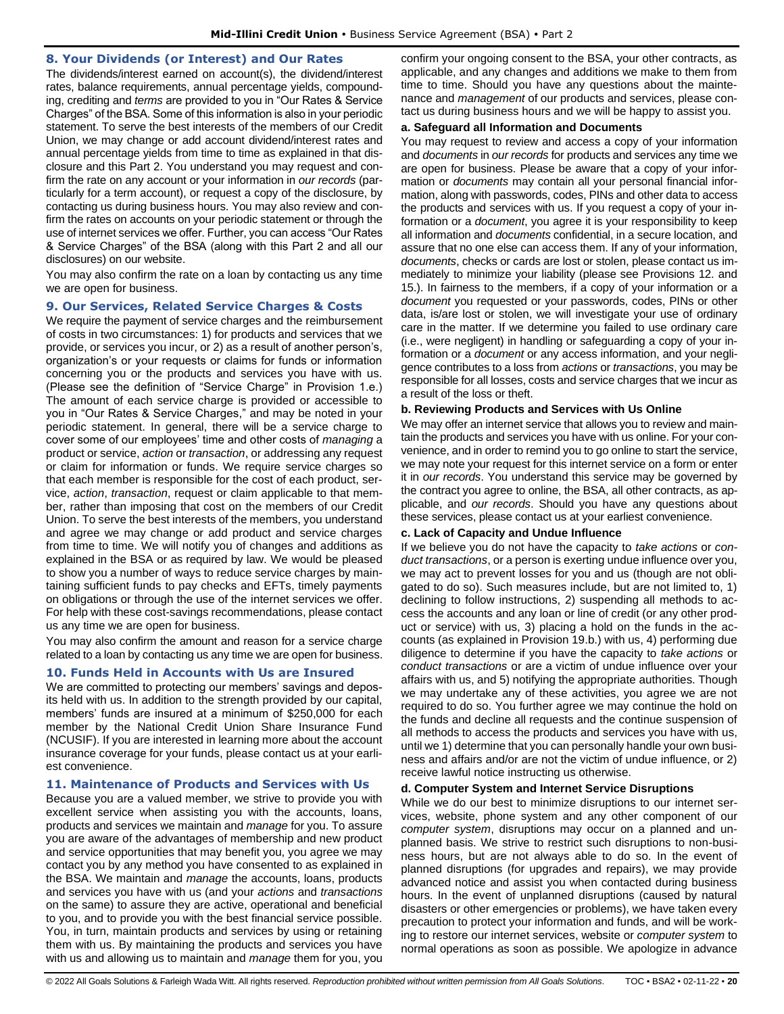### <span id="page-19-0"></span>**8. Your Dividends (or Interest) and Our Rates**

The dividends/interest earned on account(s), the dividend/interest rates, balance requirements, annual percentage yields, compounding, crediting and *terms* are provided to you in "Our Rates & Service Charges" of the BSA. Some of this information is also in your periodic statement. To serve the best interests of the members of our Credit Union, we may change or add account dividend/interest rates and annual percentage yields from time to time as explained in that disclosure and this Part 2. You understand you may request and confirm the rate on any account or your information in *our records* (particularly for a term account), or request a copy of the disclosure, by contacting us during business hours. You may also review and confirm the rates on accounts on your periodic statement or through the use of internet services we offer. Further, you can access "Our Rates & Service Charges" of the BSA (along with this Part 2 and all our disclosures) on our website.

You may also confirm the rate on a loan by contacting us any time we are open for business.

#### <span id="page-19-1"></span>**9. Our Services, Related Service Charges & Costs**

We require the payment of service charges and the reimbursement of costs in two circumstances: 1) for products and services that we provide, or services you incur, or 2) as a result of another person's, organization's or your requests or claims for funds or information concerning you or the products and services you have with us. (Please see the definition of "Service Charge" in Provision 1.e.) The amount of each service charge is provided or accessible to you in "Our Rates & Service Charges," and may be noted in your periodic statement. In general, there will be a service charge to cover some of our employees' time and other costs of *managing* a product or service, *action* or *transaction*, or addressing any request or claim for information or funds. We require service charges so that each member is responsible for the cost of each product, service, *action*, *transaction*, request or claim applicable to that member, rather than imposing that cost on the members of our Credit Union. To serve the best interests of the members, you understand and agree we may change or add product and service charges from time to time. We will notify you of changes and additions as explained in the BSA or as required by law. We would be pleased to show you a number of ways to reduce service charges by maintaining sufficient funds to pay checks and EFTs, timely payments on obligations or through the use of the internet services we offer. For help with these cost-savings recommendations, please contact us any time we are open for business.

You may also confirm the amount and reason for a service charge related to a loan by contacting us any time we are open for business.

#### <span id="page-19-2"></span>**10. Funds Held in Accounts with Us are Insured**

We are committed to protecting our members' savings and deposits held with us. In addition to the strength provided by our capital, members' funds are insured at a minimum of \$250,000 for each member by the National Credit Union Share Insurance Fund (NCUSIF). If you are interested in learning more about the account insurance coverage for your funds, please contact us at your earliest convenience.

#### <span id="page-19-3"></span>**11. Maintenance of Products and Services with Us**

Because you are a valued member, we strive to provide you with excellent service when assisting you with the accounts, loans, products and services we maintain and *manage* for you. To assure you are aware of the advantages of membership and new product and service opportunities that may benefit you, you agree we may contact you by any method you have consented to as explained in the BSA. We maintain and *manage* the accounts, loans, products and services you have with us (and your *actions* and *transactions* on the same) to assure they are active, operational and beneficial to you, and to provide you with the best financial service possible. You, in turn, maintain products and services by using or retaining them with us. By maintaining the products and services you have with us and allowing us to maintain and *manage* them for you, you confirm your ongoing consent to the BSA, your other contracts, as applicable, and any changes and additions we make to them from time to time. Should you have any questions about the maintenance and *management* of our products and services, please contact us during business hours and we will be happy to assist you.

#### **a. Safeguard all Information and Documents**

You may request to review and access a copy of your information and *documents* in *our records* for products and services any time we are open for business. Please be aware that a copy of your information or *documents* may contain all your personal financial information, along with passwords, codes, PINs and other data to access the products and services with us. If you request a copy of your information or a *document*, you agree it is your responsibility to keep all information and *documents* confidential, in a secure location, and assure that no one else can access them. If any of your information, *documents*, checks or cards are lost or stolen, please contact us immediately to minimize your liability (please see Provisions 12. and 15.). In fairness to the members, if a copy of your information or a *document* you requested or your passwords, codes, PINs or other data, is/are lost or stolen, we will investigate your use of ordinary care in the matter. If we determine you failed to use ordinary care (i.e., were negligent) in handling or safeguarding a copy of your information or a *document* or any access information, and your negligence contributes to a loss from *actions* or *transactions*, you may be responsible for all losses, costs and service charges that we incur as a result of the loss or theft.

#### **b. Reviewing Products and Services with Us Online**

We may offer an internet service that allows you to review and maintain the products and services you have with us online. For your convenience, and in order to remind you to go online to start the service, we may note your request for this internet service on a form or enter it in *our records*. You understand this service may be governed by the contract you agree to online, the BSA, all other contracts, as applicable, and *our records*. Should you have any questions about these services, please contact us at your earliest convenience.

#### **c. Lack of Capacity and Undue Influence**

If we believe you do not have the capacity to *take actions* or *conduct transactions*, or a person is exerting undue influence over you, we may act to prevent losses for you and us (though are not obligated to do so). Such measures include, but are not limited to, 1) declining to follow instructions, 2) suspending all methods to access the accounts and any loan or line of credit (or any other product or service) with us, 3) placing a hold on the funds in the accounts (as explained in Provision 19.b.) with us, 4) performing due diligence to determine if you have the capacity to *take actions* or *conduct transactions* or are a victim of undue influence over your affairs with us, and 5) notifying the appropriate authorities. Though we may undertake any of these activities, you agree we are not required to do so. You further agree we may continue the hold on the funds and decline all requests and the continue suspension of all methods to access the products and services you have with us, until we 1) determine that you can personally handle your own business and affairs and/or are not the victim of undue influence, or 2) receive lawful notice instructing us otherwise.

# **d. Computer System and Internet Service Disruptions**

While we do our best to minimize disruptions to our internet services, website, phone system and any other component of our *computer system*, disruptions may occur on a planned and unplanned basis. We strive to restrict such disruptions to non-business hours, but are not always able to do so. In the event of planned disruptions (for upgrades and repairs), we may provide advanced notice and assist you when contacted during business hours. In the event of unplanned disruptions (caused by natural disasters or other emergencies or problems), we have taken every precaution to protect your information and funds, and will be working to restore our internet services, website or *computer system* to normal operations as soon as possible. We apologize in advance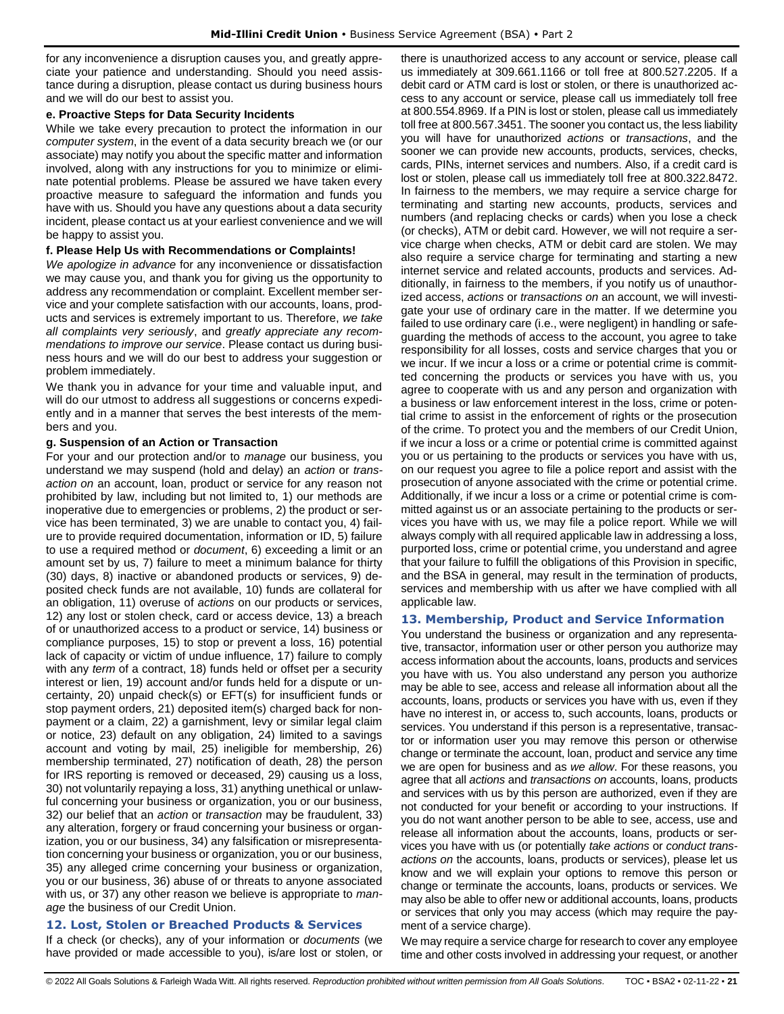for any inconvenience a disruption causes you, and greatly appreciate your patience and understanding. Should you need assistance during a disruption, please contact us during business hours and we will do our best to assist you.

### **e. Proactive Steps for Data Security Incidents**

While we take every precaution to protect the information in our *computer system*, in the event of a data security breach we (or our associate) may notify you about the specific matter and information involved, along with any instructions for you to minimize or eliminate potential problems. Please be assured we have taken every proactive measure to safeguard the information and funds you have with us. Should you have any questions about a data security incident, please contact us at your earliest convenience and we will be happy to assist you.

#### **f. Please Help Us with Recommendations or Complaints!**

*We apologize in advance* for any inconvenience or dissatisfaction we may cause you, and thank you for giving us the opportunity to address any recommendation or complaint. Excellent member service and your complete satisfaction with our accounts, loans, products and services is extremely important to us. Therefore, *we take all complaints very seriously*, and *greatly appreciate any recommendations to improve our service*. Please contact us during business hours and we will do our best to address your suggestion or problem immediately.

We thank you in advance for your time and valuable input, and will do our utmost to address all suggestions or concerns expediently and in a manner that serves the best interests of the members and you.

#### **g. Suspension of an Action or Transaction**

For your and our protection and/or to *manage* our business, you understand we may suspend (hold and delay) an *action* or *transaction on* an account, loan, product or service for any reason not prohibited by law, including but not limited to, 1) our methods are inoperative due to emergencies or problems, 2) the product or service has been terminated, 3) we are unable to contact you, 4) failure to provide required documentation, information or ID, 5) failure to use a required method or *document*, 6) exceeding a limit or an amount set by us, 7) failure to meet a minimum balance for thirty (30) days, 8) inactive or abandoned products or services, 9) deposited check funds are not available, 10) funds are collateral for an obligation, 11) overuse of *actions* on our products or services, 12) any lost or stolen check, card or access device, 13) a breach of or unauthorized access to a product or service, 14) business or compliance purposes, 15) to stop or prevent a loss, 16) potential lack of capacity or victim of undue influence, 17) failure to comply with any *term* of a contract, 18) funds held or offset per a security interest or lien, 19) account and/or funds held for a dispute or uncertainty, 20) unpaid check(s) or EFT(s) for insufficient funds or stop payment orders, 21) deposited item(s) charged back for nonpayment or a claim, 22) a garnishment, levy or similar legal claim or notice, 23) default on any obligation, 24) limited to a savings account and voting by mail, 25) ineligible for membership, 26) membership terminated, 27) notification of death, 28) the person for IRS reporting is removed or deceased, 29) causing us a loss, 30) not voluntarily repaying a loss, 31) anything unethical or unlawful concerning your business or organization, you or our business, 32) our belief that an *action* or *transaction* may be fraudulent, 33) any alteration, forgery or fraud concerning your business or organization, you or our business, 34) any falsification or misrepresentation concerning your business or organization, you or our business, 35) any alleged crime concerning your business or organization, you or our business, 36) abuse of or threats to anyone associated with us, or 37) any other reason we believe is appropriate to *manage* the business of our Credit Union.

# <span id="page-20-0"></span>**12. Lost, Stolen or Breached Products & Services**

If a check (or checks), any of your information or *documents* (we have provided or made accessible to you), is/are lost or stolen, or there is unauthorized access to any account or service, please call us immediately at 309.661.1166 or toll free at 800.527.2205. If a debit card or ATM card is lost or stolen, or there is unauthorized access to any account or service, please call us immediately toll free at 800.554.8969. If a PIN is lost or stolen, please call us immediately toll free at 800.567.3451. The sooner you contact us, the less liability you will have for unauthorized *actions* or *transactions*, and the sooner we can provide new accounts, products, services, checks, cards, PINs, internet services and numbers. Also, if a credit card is lost or stolen, please call us immediately toll free at 800.322.8472. In fairness to the members, we may require a service charge for terminating and starting new accounts, products, services and numbers (and replacing checks or cards) when you lose a check (or checks), ATM or debit card. However, we will not require a service charge when checks, ATM or debit card are stolen. We may also require a service charge for terminating and starting a new internet service and related accounts, products and services. Additionally, in fairness to the members, if you notify us of unauthorized access, *actions* or *transactions on* an account, we will investigate your use of ordinary care in the matter. If we determine you failed to use ordinary care (i.e., were negligent) in handling or safeguarding the methods of access to the account, you agree to take responsibility for all losses, costs and service charges that you or we incur. If we incur a loss or a crime or potential crime is committed concerning the products or services you have with us, you agree to cooperate with us and any person and organization with a business or law enforcement interest in the loss, crime or potential crime to assist in the enforcement of rights or the prosecution of the crime. To protect you and the members of our Credit Union, if we incur a loss or a crime or potential crime is committed against you or us pertaining to the products or services you have with us, on our request you agree to file a police report and assist with the prosecution of anyone associated with the crime or potential crime. Additionally, if we incur a loss or a crime or potential crime is committed against us or an associate pertaining to the products or services you have with us, we may file a police report. While we will always comply with all required applicable law in addressing a loss, purported loss, crime or potential crime, you understand and agree that your failure to fulfill the obligations of this Provision in specific, and the BSA in general, may result in the termination of products, services and membership with us after we have complied with all applicable law.

# <span id="page-20-1"></span>**13. Membership, Product and Service Information**

You understand the business or organization and any representative, transactor, information user or other person you authorize may access information about the accounts, loans, products and services you have with us. You also understand any person you authorize may be able to see, access and release all information about all the accounts, loans, products or services you have with us, even if they have no interest in, or access to, such accounts, loans, products or services. You understand if this person is a representative, transactor or information user you may remove this person or otherwise change or terminate the account, loan, product and service any time we are open for business and as *we allow*. For these reasons, you agree that all *actions* and *transactions on* accounts, loans, products and services with us by this person are authorized, even if they are not conducted for your benefit or according to your instructions. If you do not want another person to be able to see, access, use and release all information about the accounts, loans, products or services you have with us (or potentially *take actions* or *conduct transactions on* the accounts, loans, products or services), please let us know and we will explain your options to remove this person or change or terminate the accounts, loans, products or services. We may also be able to offer new or additional accounts, loans, products or services that only you may access (which may require the payment of a service charge).

We may require a service charge for research to cover any employee time and other costs involved in addressing your request, or another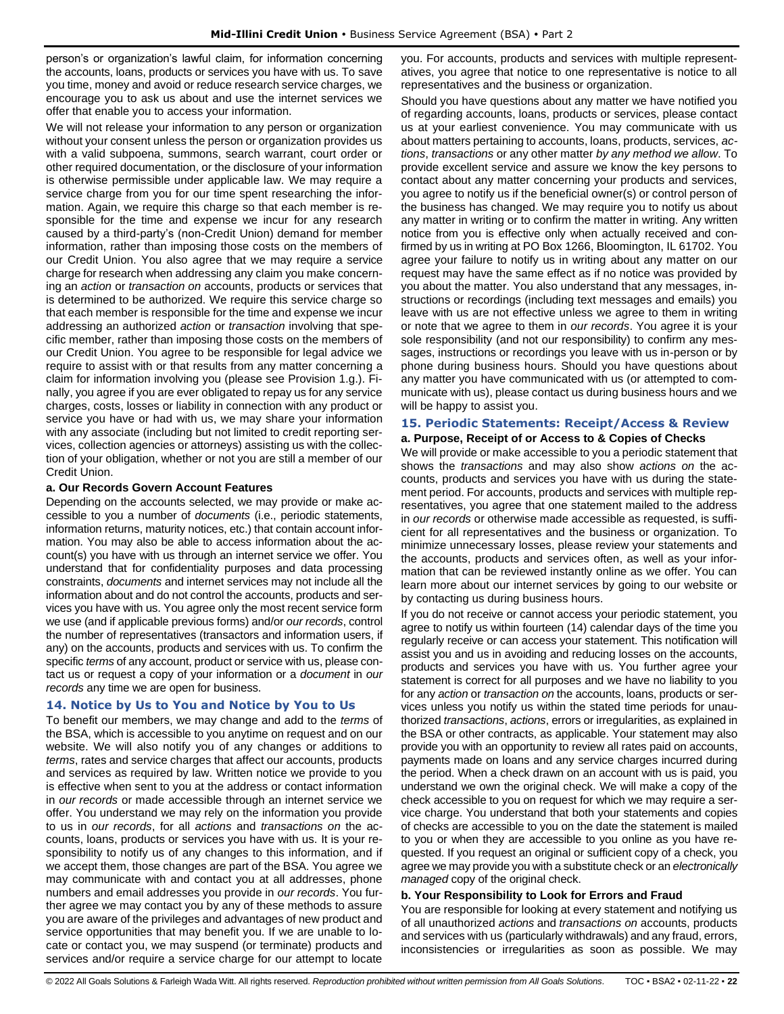person's or organization's lawful claim, for information concerning the accounts, loans, products or services you have with us. To save you time, money and avoid or reduce research service charges, we encourage you to ask us about and use the internet services we offer that enable you to access your information.

We will not release your information to any person or organization without your consent unless the person or organization provides us with a valid subpoena, summons, search warrant, court order or other required documentation, or the disclosure of your information is otherwise permissible under applicable law. We may require a service charge from you for our time spent researching the information. Again, we require this charge so that each member is responsible for the time and expense we incur for any research caused by a third-party's (non-Credit Union) demand for member information, rather than imposing those costs on the members of our Credit Union. You also agree that we may require a service charge for research when addressing any claim you make concerning an *action* or *transaction on* accounts, products or services that is determined to be authorized. We require this service charge so that each member is responsible for the time and expense we incur addressing an authorized *action* or *transaction* involving that specific member, rather than imposing those costs on the members of our Credit Union. You agree to be responsible for legal advice we require to assist with or that results from any matter concerning a claim for information involving you (please see Provision 1.g.). Finally, you agree if you are ever obligated to repay us for any service charges, costs, losses or liability in connection with any product or service you have or had with us, we may share your information with any associate (including but not limited to credit reporting services, collection agencies or attorneys) assisting us with the collection of your obligation, whether or not you are still a member of our Credit Union.

#### **a. Our Records Govern Account Features**

Depending on the accounts selected, we may provide or make accessible to you a number of *documents* (i.e., periodic statements, information returns, maturity notices, etc.) that contain account information. You may also be able to access information about the account(s) you have with us through an internet service we offer. You understand that for confidentiality purposes and data processing constraints, *documents* and internet services may not include all the information about and do not control the accounts, products and services you have with us. You agree only the most recent service form we use (and if applicable previous forms) and/or *our records*, control the number of representatives (transactors and information users, if any) on the accounts, products and services with us. To confirm the specific *terms* of any account, product or service with us, please contact us or request a copy of your information or a *document* in *our records* any time we are open for business.

# <span id="page-21-0"></span>**14. Notice by Us to You and Notice by You to Us**

To benefit our members, we may change and add to the *terms* of the BSA, which is accessible to you anytime on request and on our website. We will also notify you of any changes or additions to *terms*, rates and service charges that affect our accounts, products and services as required by law. Written notice we provide to you is effective when sent to you at the address or contact information in *our records* or made accessible through an internet service we offer. You understand we may rely on the information you provide to us in *our records*, for all *actions* and *transactions on* the accounts, loans, products or services you have with us. It is your responsibility to notify us of any changes to this information, and if we accept them, those changes are part of the BSA. You agree we may communicate with and contact you at all addresses, phone numbers and email addresses you provide in *our records*. You further agree we may contact you by any of these methods to assure you are aware of the privileges and advantages of new product and service opportunities that may benefit you. If we are unable to locate or contact you, we may suspend (or terminate) products and services and/or require a service charge for our attempt to locate

you. For accounts, products and services with multiple representatives, you agree that notice to one representative is notice to all representatives and the business or organization.

Should you have questions about any matter we have notified you of regarding accounts, loans, products or services, please contact us at your earliest convenience. You may communicate with us about matters pertaining to accounts, loans, products, services, *actions*, *transactions* or any other matter *by any method we allow*. To provide excellent service and assure we know the key persons to contact about any matter concerning your products and services, you agree to notify us if the beneficial owner(s) or control person of the business has changed. We may require you to notify us about any matter in writing or to confirm the matter in writing. Any written notice from you is effective only when actually received and confirmed by us in writing at PO Box 1266, Bloomington, IL 61702. You agree your failure to notify us in writing about any matter on our request may have the same effect as if no notice was provided by you about the matter. You also understand that any messages, instructions or recordings (including text messages and emails) you leave with us are not effective unless we agree to them in writing or note that we agree to them in *our records*. You agree it is your sole responsibility (and not our responsibility) to confirm any messages, instructions or recordings you leave with us in-person or by phone during business hours. Should you have questions about any matter you have communicated with us (or attempted to communicate with us), please contact us during business hours and we will be happy to assist you.

# <span id="page-21-1"></span>**15. Periodic Statements: Receipt/Access & Review**

#### **a. Purpose, Receipt of or Access to & Copies of Checks**

We will provide or make accessible to you a periodic statement that shows the *transactions* and may also show *actions on* the accounts, products and services you have with us during the statement period. For accounts, products and services with multiple representatives, you agree that one statement mailed to the address in *our records* or otherwise made accessible as requested, is sufficient for all representatives and the business or organization. To minimize unnecessary losses, please review your statements and the accounts, products and services often, as well as your information that can be reviewed instantly online as we offer. You can learn more about our internet services by going to our website or by contacting us during business hours.

If you do not receive or cannot access your periodic statement, you agree to notify us within fourteen (14) calendar days of the time you regularly receive or can access your statement. This notification will assist you and us in avoiding and reducing losses on the accounts, products and services you have with us. You further agree your statement is correct for all purposes and we have no liability to you for any *action* or *transaction on* the accounts, loans, products or services unless you notify us within the stated time periods for unauthorized *transactions*, *actions*, errors or irregularities, as explained in the BSA or other contracts, as applicable. Your statement may also provide you with an opportunity to review all rates paid on accounts, payments made on loans and any service charges incurred during the period. When a check drawn on an account with us is paid, you understand we own the original check. We will make a copy of the check accessible to you on request for which we may require a service charge. You understand that both your statements and copies of checks are accessible to you on the date the statement is mailed to you or when they are accessible to you online as you have requested. If you request an original or sufficient copy of a check, you agree we may provide you with a substitute check or an *electronically managed* copy of the original check.

# **b. Your Responsibility to Look for Errors and Fraud**

You are responsible for looking at every statement and notifying us of all unauthorized *actions* and *transactions on* accounts, products and services with us (particularly withdrawals) and any fraud, errors, inconsistencies or irregularities as soon as possible. We may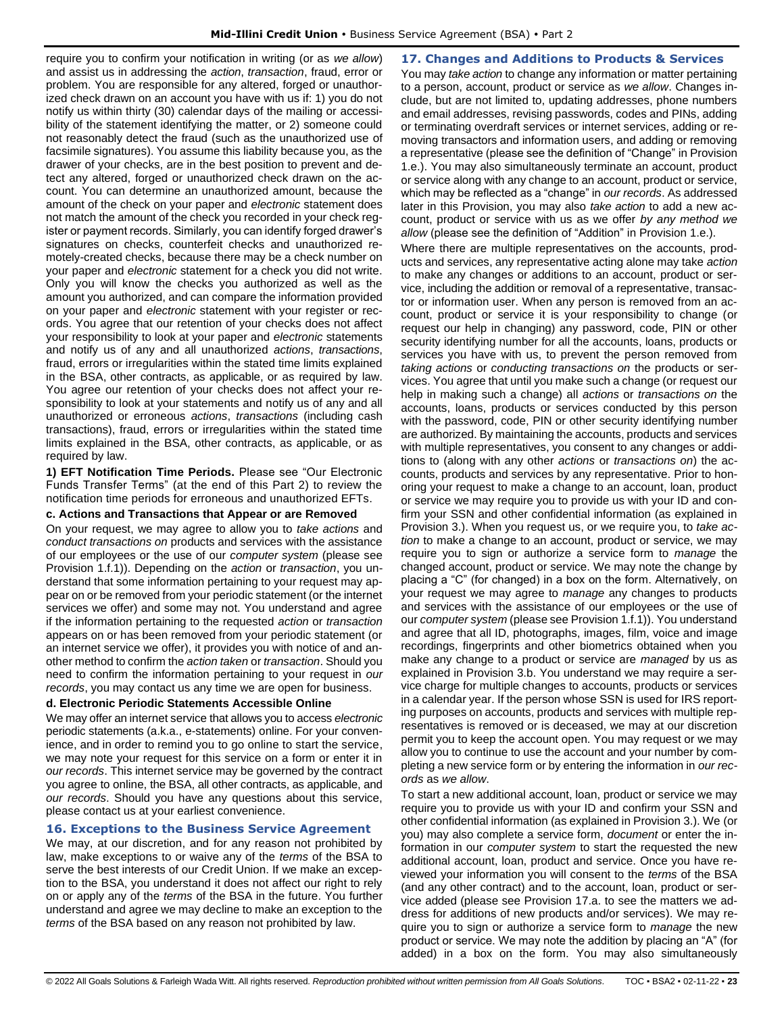require you to confirm your notification in writing (or as *we allow*) and assist us in addressing the *action*, *transaction*, fraud, error or problem. You are responsible for any altered, forged or unauthorized check drawn on an account you have with us if: 1) you do not notify us within thirty (30) calendar days of the mailing or accessibility of the statement identifying the matter, or 2) someone could not reasonably detect the fraud (such as the unauthorized use of facsimile signatures). You assume this liability because you, as the drawer of your checks, are in the best position to prevent and detect any altered, forged or unauthorized check drawn on the account. You can determine an unauthorized amount, because the amount of the check on your paper and *electronic* statement does not match the amount of the check you recorded in your check register or payment records. Similarly, you can identify forged drawer's signatures on checks, counterfeit checks and unauthorized remotely-created checks, because there may be a check number on your paper and *electronic* statement for a check you did not write. Only you will know the checks you authorized as well as the amount you authorized, and can compare the information provided on your paper and *electronic* statement with your register or records. You agree that our retention of your checks does not affect your responsibility to look at your paper and *electronic* statements and notify us of any and all unauthorized *actions*, *transactions*, fraud, errors or irregularities within the stated time limits explained in the BSA, other contracts, as applicable, or as required by law. You agree our retention of your checks does not affect your responsibility to look at your statements and notify us of any and all unauthorized or erroneous *actions*, *transactions* (including cash transactions), fraud, errors or irregularities within the stated time limits explained in the BSA, other contracts, as applicable, or as required by law.

**1) EFT Notification Time Periods.** Please see "Our Electronic Funds Transfer Terms" (at the end of this Part 2) to review the notification time periods for erroneous and unauthorized EFTs.

# **c. Actions and Transactions that Appear or are Removed**

On your request, we may agree to allow you to *take actions* and *conduct transactions on* products and services with the assistance of our employees or the use of our *computer system* (please see Provision 1.f.1)). Depending on the *action* or *transaction*, you understand that some information pertaining to your request may appear on or be removed from your periodic statement (or the internet services we offer) and some may not. You understand and agree if the information pertaining to the requested *action* or *transaction* appears on or has been removed from your periodic statement (or an internet service we offer), it provides you with notice of and another method to confirm the *action taken* or *transaction*. Should you need to confirm the information pertaining to your request in *our records*, you may contact us any time we are open for business.

# **d. Electronic Periodic Statements Accessible Online**

We may offer an internet service that allows you to access *electronic* periodic statements (a.k.a., e-statements) online. For your convenience, and in order to remind you to go online to start the service, we may note your request for this service on a form or enter it in *our records*. This internet service may be governed by the contract you agree to online, the BSA, all other contracts, as applicable, and *our records*. Should you have any questions about this service, please contact us at your earliest convenience.

# <span id="page-22-0"></span>**16. Exceptions to the Business Service Agreement**

We may, at our discretion, and for any reason not prohibited by law, make exceptions to or waive any of the *terms* of the BSA to serve the best interests of our Credit Union. If we make an exception to the BSA, you understand it does not affect our right to rely on or apply any of the *terms* of the BSA in the future. You further understand and agree we may decline to make an exception to the *terms* of the BSA based on any reason not prohibited by law.

<span id="page-22-1"></span>**17. Changes and Additions to Products & Services** You may *take action* to change any information or matter pertaining to a person, account, product or service as *we allow*. Changes include, but are not limited to, updating addresses, phone numbers and email addresses, revising passwords, codes and PINs, adding or terminating overdraft services or internet services, adding or removing transactors and information users, and adding or removing a representative (please see the definition of "Change" in Provision 1.e.). You may also simultaneously terminate an account, product or service along with any change to an account, product or service, which may be reflected as a "change" in *our records*. As addressed later in this Provision, you may also *take action* to add a new account, product or service with us as we offer *by any method we allow* (please see the definition of "Addition" in Provision 1.e.).

Where there are multiple representatives on the accounts, products and services, any representative acting alone may take *action* to make any changes or additions to an account, product or service, including the addition or removal of a representative, transactor or information user. When any person is removed from an account, product or service it is your responsibility to change (or request our help in changing) any password, code, PIN or other security identifying number for all the accounts, loans, products or services you have with us, to prevent the person removed from *taking actions* or *conducting transactions on* the products or services. You agree that until you make such a change (or request our help in making such a change) all *actions* or *transactions on* the accounts, loans, products or services conducted by this person with the password, code, PIN or other security identifying number are authorized. By maintaining the accounts, products and services with multiple representatives, you consent to any changes or additions to (along with any other *actions* or *transactions on*) the accounts, products and services by any representative. Prior to honoring your request to make a change to an account, loan, product or service we may require you to provide us with your ID and confirm your SSN and other confidential information (as explained in Provision 3.). When you request us, or we require you, to *take action* to make a change to an account, product or service, we may require you to sign or authorize a service form to *manage* the changed account, product or service. We may note the change by placing a "C" (for changed) in a box on the form. Alternatively, on your request we may agree to *manage* any changes to products and services with the assistance of our employees or the use of our *computer system* (please see Provision 1.f.1)). You understand and agree that all ID, photographs, images, film, voice and image recordings, fingerprints and other biometrics obtained when you make any change to a product or service are *managed* by us as explained in Provision 3.b. You understand we may require a service charge for multiple changes to accounts, products or services in a calendar year. If the person whose SSN is used for IRS reporting purposes on accounts, products and services with multiple representatives is removed or is deceased, we may at our discretion permit you to keep the account open. You may request or we may allow you to continue to use the account and your number by completing a new service form or by entering the information in *our records* as *we allow*.

To start a new additional account, loan, product or service we may require you to provide us with your ID and confirm your SSN and other confidential information (as explained in Provision 3.). We (or you) may also complete a service form, *document* or enter the information in our *computer system* to start the requested the new additional account, loan, product and service. Once you have reviewed your information you will consent to the *terms* of the BSA (and any other contract) and to the account, loan, product or service added (please see Provision 17.a. to see the matters we address for additions of new products and/or services). We may require you to sign or authorize a service form to *manage* the new product or service. We may note the addition by placing an "A" (for added) in a box on the form. You may also simultaneously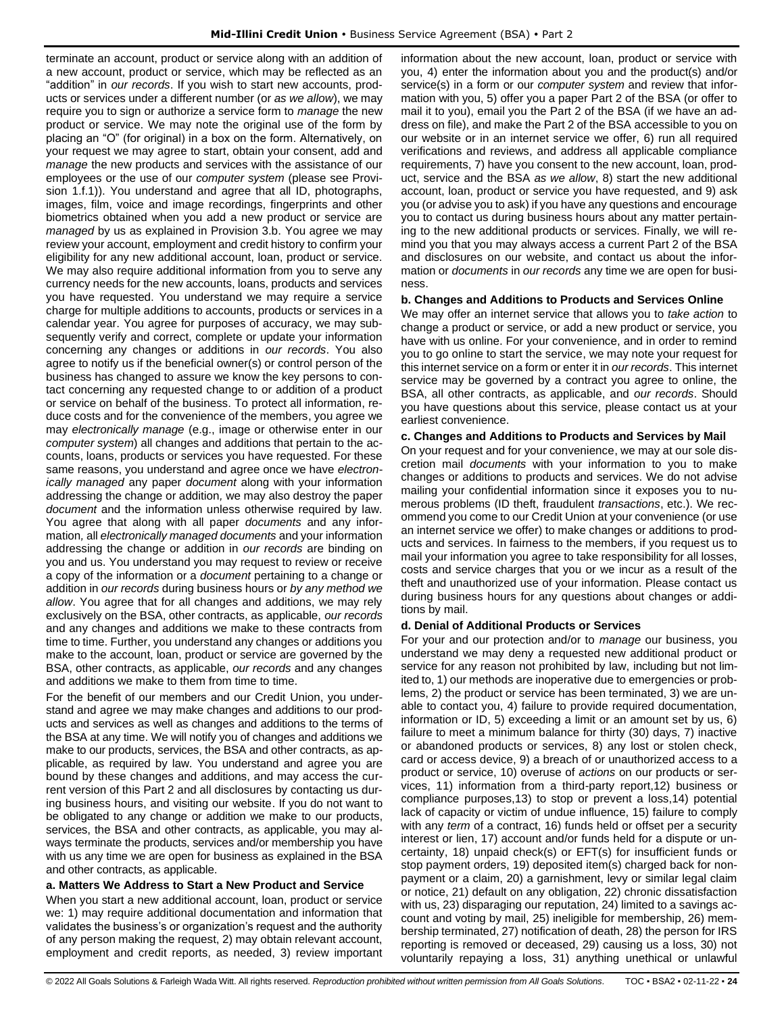terminate an account, product or service along with an addition of a new account, product or service, which may be reflected as an "addition" in *our records*. If you wish to start new accounts, products or services under a different number (or *as we allow*), we may require you to sign or authorize a service form to *manage* the new product or service. We may note the original use of the form by placing an "O" (for original) in a box on the form. Alternatively, on your request we may agree to start, obtain your consent, add and *manage* the new products and services with the assistance of our employees or the use of our *computer system* (please see Provision 1.f.1)). You understand and agree that all ID, photographs, images, film, voice and image recordings, fingerprints and other biometrics obtained when you add a new product or service are *managed* by us as explained in Provision 3.b. You agree we may review your account, employment and credit history to confirm your eligibility for any new additional account, loan, product or service. We may also require additional information from you to serve any currency needs for the new accounts, loans, products and services you have requested. You understand we may require a service charge for multiple additions to accounts, products or services in a calendar year. You agree for purposes of accuracy, we may subsequently verify and correct, complete or update your information concerning any changes or additions in *our records*. You also agree to notify us if the beneficial owner(s) or control person of the business has changed to assure we know the key persons to contact concerning any requested change to or addition of a product or service on behalf of the business. To protect all information, reduce costs and for the convenience of the members, you agree we may *electronically manage* (e.g., image or otherwise enter in our *computer system*) all changes and additions that pertain to the accounts, loans, products or services you have requested. For these same reasons, you understand and agree once we have *electronically managed* any paper *document* along with your information addressing the change or addition*,* we may also destroy the paper *document* and the information unless otherwise required by law. You agree that along with all paper *documents* and any information*,* all *electronically managed documents* and your information addressing the change or addition in *our records* are binding on you and us. You understand you may request to review or receive a copy of the information or a *document* pertaining to a change or addition in *our records* during business hours or *by any method we allow*. You agree that for all changes and additions, we may rely exclusively on the BSA, other contracts, as applicable, *our records* and any changes and additions we make to these contracts from time to time. Further, you understand any changes or additions you make to the account, loan, product or service are governed by the BSA, other contracts, as applicable, *our records* and any changes and additions we make to them from time to time.

For the benefit of our members and our Credit Union, you understand and agree we may make changes and additions to our products and services as well as changes and additions to the terms of the BSA at any time. We will notify you of changes and additions we make to our products, services, the BSA and other contracts, as applicable, as required by law. You understand and agree you are bound by these changes and additions, and may access the current version of this Part 2 and all disclosures by contacting us during business hours, and visiting our website. If you do not want to be obligated to any change or addition we make to our products, services, the BSA and other contracts, as applicable, you may always terminate the products, services and/or membership you have with us any time we are open for business as explained in the BSA and other contracts, as applicable.

# **a. Matters We Address to Start a New Product and Service**

When you start a new additional account, loan, product or service we: 1) may require additional documentation and information that validates the business's or organization's request and the authority of any person making the request, 2) may obtain relevant account, employment and credit reports, as needed, 3) review important information about the new account, loan, product or service with you, 4) enter the information about you and the product(s) and/or service(s) in a form or our *computer system* and review that information with you, 5) offer you a paper Part 2 of the BSA (or offer to mail it to you), email you the Part 2 of the BSA (if we have an address on file), and make the Part 2 of the BSA accessible to you on our website or in an internet service we offer, 6) run all required verifications and reviews, and address all applicable compliance requirements, 7) have you consent to the new account, loan, product, service and the BSA *as we allow*, 8) start the new additional account, loan, product or service you have requested, and 9) ask you (or advise you to ask) if you have any questions and encourage you to contact us during business hours about any matter pertaining to the new additional products or services. Finally, we will remind you that you may always access a current Part 2 of the BSA and disclosures on our website, and contact us about the information or *documents* in *our records* any time we are open for business.

#### **b. Changes and Additions to Products and Services Online**

We may offer an internet service that allows you to *take action* to change a product or service, or add a new product or service, you have with us online. For your convenience, and in order to remind you to go online to start the service, we may note your request for this internet service on a form or enter it in *our records*. This internet service may be governed by a contract you agree to online, the BSA, all other contracts, as applicable, and *our records*. Should you have questions about this service, please contact us at your earliest convenience.

#### **c. Changes and Additions to Products and Services by Mail**

On your request and for your convenience, we may at our sole discretion mail *documents* with your information to you to make changes or additions to products and services. We do not advise mailing your confidential information since it exposes you to numerous problems (ID theft, fraudulent *transactions*, etc.). We recommend you come to our Credit Union at your convenience (or use an internet service we offer) to make changes or additions to products and services. In fairness to the members, if you request us to mail your information you agree to take responsibility for all losses, costs and service charges that you or we incur as a result of the theft and unauthorized use of your information. Please contact us during business hours for any questions about changes or additions by mail.

#### **d. Denial of Additional Products or Services**

For your and our protection and/or to *manage* our business, you understand we may deny a requested new additional product or service for any reason not prohibited by law, including but not limited to, 1) our methods are inoperative due to emergencies or problems, 2) the product or service has been terminated, 3) we are unable to contact you, 4) failure to provide required documentation, information or ID, 5) exceeding a limit or an amount set by us, 6) failure to meet a minimum balance for thirty (30) days, 7) inactive or abandoned products or services, 8) any lost or stolen check, card or access device, 9) a breach of or unauthorized access to a product or service, 10) overuse of *actions* on our products or services, 11) information from a third-party report,12) business or compliance purposes,13) to stop or prevent a loss,14) potential lack of capacity or victim of undue influence, 15) failure to comply with any *term* of a contract, 16) funds held or offset per a security interest or lien, 17) account and/or funds held for a dispute or uncertainty, 18) unpaid check(s) or EFT(s) for insufficient funds or stop payment orders, 19) deposited item(s) charged back for nonpayment or a claim, 20) a garnishment, levy or similar legal claim or notice, 21) default on any obligation, 22) chronic dissatisfaction with us, 23) disparaging our reputation, 24) limited to a savings account and voting by mail, 25) ineligible for membership, 26) membership terminated, 27) notification of death, 28) the person for IRS reporting is removed or deceased, 29) causing us a loss, 30) not voluntarily repaying a loss, 31) anything unethical or unlawful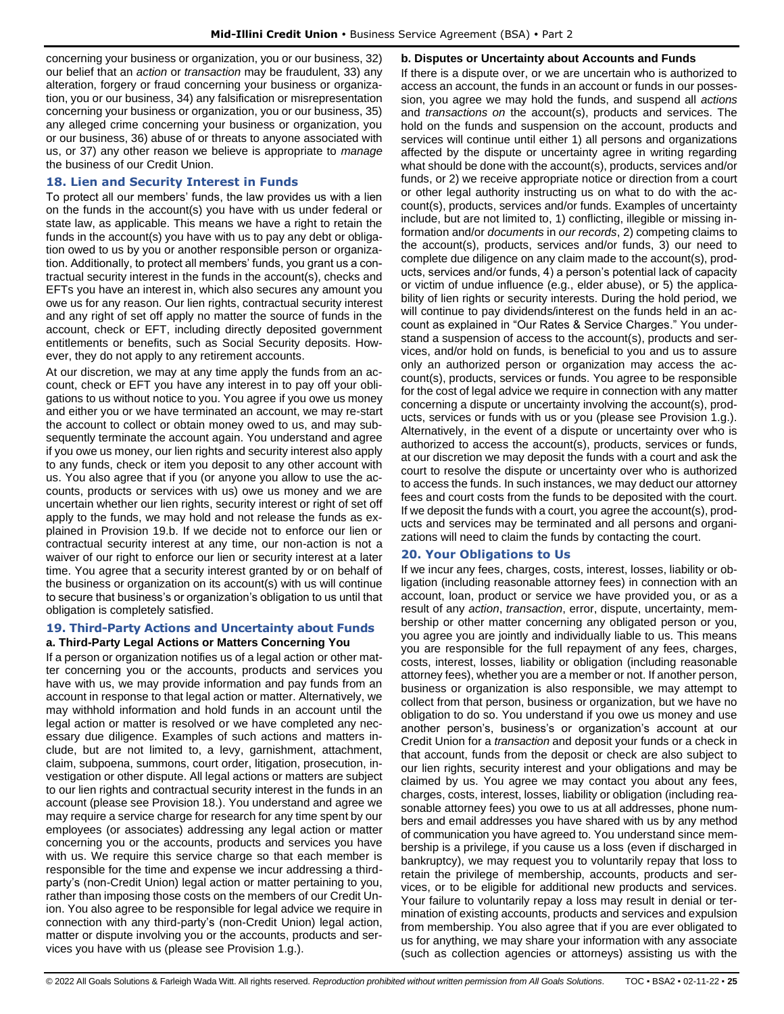concerning your business or organization, you or our business, 32) our belief that an *action* or *transaction* may be fraudulent, 33) any alteration, forgery or fraud concerning your business or organization, you or our business, 34) any falsification or misrepresentation concerning your business or organization, you or our business, 35) any alleged crime concerning your business or organization, you or our business, 36) abuse of or threats to anyone associated with us, or 37) any other reason we believe is appropriate to *manage* the business of our Credit Union.

# <span id="page-24-0"></span>**18. Lien and Security Interest in Funds**

To protect all our members' funds, the law provides us with a lien on the funds in the account(s) you have with us under federal or state law, as applicable. This means we have a right to retain the funds in the account(s) you have with us to pay any debt or obligation owed to us by you or another responsible person or organization. Additionally, to protect all members' funds, you grant us a contractual security interest in the funds in the account(s), checks and EFTs you have an interest in, which also secures any amount you owe us for any reason. Our lien rights, contractual security interest and any right of set off apply no matter the source of funds in the account, check or EFT, including directly deposited government entitlements or benefits, such as Social Security deposits. However, they do not apply to any retirement accounts.

At our discretion, we may at any time apply the funds from an account, check or EFT you have any interest in to pay off your obligations to us without notice to you. You agree if you owe us money and either you or we have terminated an account, we may re-start the account to collect or obtain money owed to us, and may subsequently terminate the account again. You understand and agree if you owe us money, our lien rights and security interest also apply to any funds, check or item you deposit to any other account with us. You also agree that if you (or anyone you allow to use the accounts, products or services with us) owe us money and we are uncertain whether our lien rights, security interest or right of set off apply to the funds, we may hold and not release the funds as explained in Provision 19.b. If we decide not to enforce our lien or contractual security interest at any time, our non-action is not a waiver of our right to enforce our lien or security interest at a later time. You agree that a security interest granted by or on behalf of the business or organization on its account(s) with us will continue to secure that business's or organization's obligation to us until that obligation is completely satisfied.

### <span id="page-24-1"></span>**19. Third-Party Actions and Uncertainty about Funds a. Third-Party Legal Actions or Matters Concerning You**

If a person or organization notifies us of a legal action or other matter concerning you or the accounts, products and services you have with us, we may provide information and pay funds from an account in response to that legal action or matter. Alternatively, we may withhold information and hold funds in an account until the legal action or matter is resolved or we have completed any necessary due diligence. Examples of such actions and matters include, but are not limited to, a levy, garnishment, attachment, claim, subpoena, summons, court order, litigation, prosecution, investigation or other dispute. All legal actions or matters are subject to our lien rights and contractual security interest in the funds in an account (please see Provision 18.). You understand and agree we may require a service charge for research for any time spent by our employees (or associates) addressing any legal action or matter concerning you or the accounts, products and services you have with us. We require this service charge so that each member is responsible for the time and expense we incur addressing a thirdparty's (non-Credit Union) legal action or matter pertaining to you, rather than imposing those costs on the members of our Credit Union. You also agree to be responsible for legal advice we require in connection with any third-party's (non-Credit Union) legal action, matter or dispute involving you or the accounts, products and services you have with us (please see Provision 1.g.).

**b. Disputes or Uncertainty about Accounts and Funds** 

If there is a dispute over, or we are uncertain who is authorized to access an account, the funds in an account or funds in our possession, you agree we may hold the funds, and suspend all *actions* and *transactions on* the account(s), products and services. The hold on the funds and suspension on the account, products and services will continue until either 1) all persons and organizations affected by the dispute or uncertainty agree in writing regarding what should be done with the account(s), products, services and/or funds, or 2) we receive appropriate notice or direction from a court or other legal authority instructing us on what to do with the account(s), products, services and/or funds. Examples of uncertainty include, but are not limited to, 1) conflicting, illegible or missing information and/or *documents* in *our records*, 2) competing claims to the account(s), products, services and/or funds, 3) our need to complete due diligence on any claim made to the account(s), products, services and/or funds, 4) a person's potential lack of capacity or victim of undue influence (e.g., elder abuse), or 5) the applicability of lien rights or security interests. During the hold period, we will continue to pay dividends/interest on the funds held in an account as explained in "Our Rates & Service Charges." You understand a suspension of access to the account(s), products and services, and/or hold on funds, is beneficial to you and us to assure only an authorized person or organization may access the account(s), products, services or funds. You agree to be responsible for the cost of legal advice we require in connection with any matter concerning a dispute or uncertainty involving the account(s), products, services or funds with us or you (please see Provision 1.g.). Alternatively, in the event of a dispute or uncertainty over who is authorized to access the account(s), products, services or funds, at our discretion we may deposit the funds with a court and ask the court to resolve the dispute or uncertainty over who is authorized to access the funds. In such instances, we may deduct our attorney fees and court costs from the funds to be deposited with the court. If we deposit the funds with a court, you agree the account(s), products and services may be terminated and all persons and organizations will need to claim the funds by contacting the court.

# <span id="page-24-2"></span>**20. Your Obligations to Us**

If we incur any fees, charges, costs, interest, losses, liability or obligation (including reasonable attorney fees) in connection with an account, loan, product or service we have provided you, or as a result of any *action*, *transaction*, error, dispute, uncertainty, membership or other matter concerning any obligated person or you, you agree you are jointly and individually liable to us. This means you are responsible for the full repayment of any fees, charges, costs, interest, losses, liability or obligation (including reasonable attorney fees), whether you are a member or not. If another person, business or organization is also responsible, we may attempt to collect from that person, business or organization, but we have no obligation to do so. You understand if you owe us money and use another person's, business's or organization's account at our Credit Union for a *transaction* and deposit your funds or a check in that account, funds from the deposit or check are also subject to our lien rights, security interest and your obligations and may be claimed by us. You agree we may contact you about any fees, charges, costs, interest, losses, liability or obligation (including reasonable attorney fees) you owe to us at all addresses, phone numbers and email addresses you have shared with us by any method of communication you have agreed to. You understand since membership is a privilege, if you cause us a loss (even if discharged in bankruptcy), we may request you to voluntarily repay that loss to retain the privilege of membership, accounts, products and services, or to be eligible for additional new products and services. Your failure to voluntarily repay a loss may result in denial or termination of existing accounts, products and services and expulsion from membership. You also agree that if you are ever obligated to us for anything, we may share your information with any associate (such as collection agencies or attorneys) assisting us with the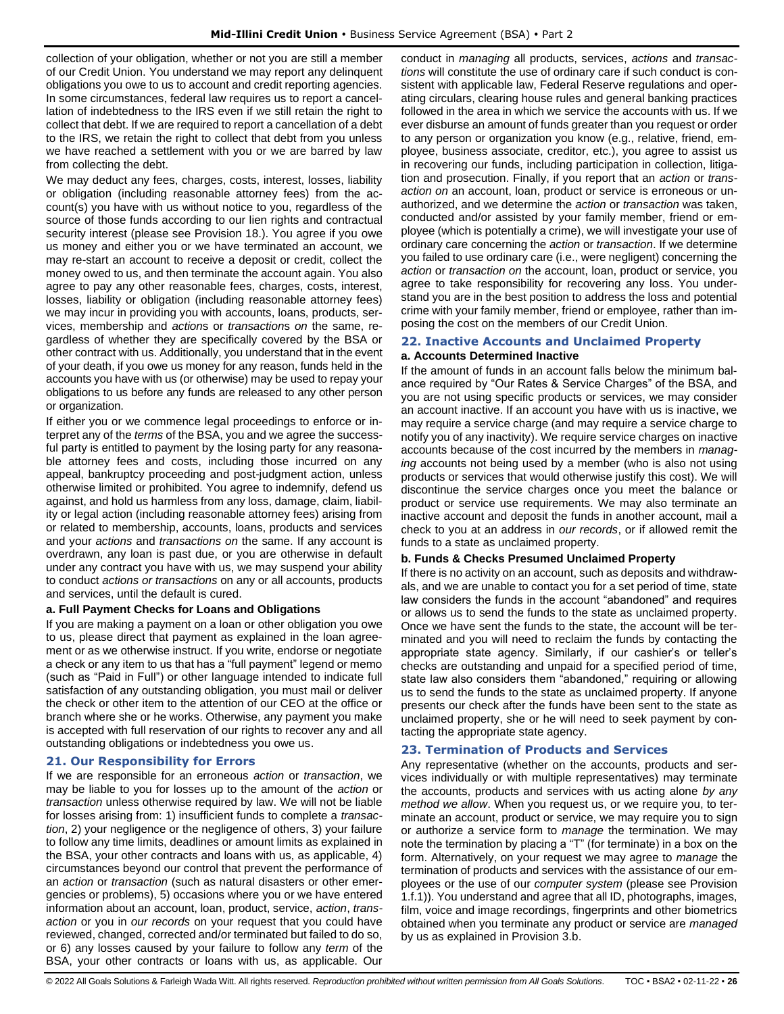collection of your obligation, whether or not you are still a member of our Credit Union. You understand we may report any delinquent obligations you owe to us to account and credit reporting agencies. In some circumstances, federal law requires us to report a cancellation of indebtedness to the IRS even if we still retain the right to collect that debt. If we are required to report a cancellation of a debt to the IRS, we retain the right to collect that debt from you unless we have reached a settlement with you or we are barred by law from collecting the debt.

We may deduct any fees, charges, costs, interest, losses, liability or obligation (including reasonable attorney fees) from the account(s) you have with us without notice to you, regardless of the source of those funds according to our lien rights and contractual security interest (please see Provision 18.). You agree if you owe us money and either you or we have terminated an account, we may re-start an account to receive a deposit or credit, collect the money owed to us, and then terminate the account again. You also agree to pay any other reasonable fees, charges, costs, interest, losses, liability or obligation (including reasonable attorney fees) we may incur in providing you with accounts, loans, products, services, membership and *action*s or *transaction*s *on* the same, regardless of whether they are specifically covered by the BSA or other contract with us. Additionally, you understand that in the event of your death, if you owe us money for any reason, funds held in the accounts you have with us (or otherwise) may be used to repay your obligations to us before any funds are released to any other person or organization.

If either you or we commence legal proceedings to enforce or interpret any of the *terms* of the BSA, you and we agree the successful party is entitled to payment by the losing party for any reasonable attorney fees and costs, including those incurred on any appeal, bankruptcy proceeding and post-judgment action, unless otherwise limited or prohibited. You agree to indemnify, defend us against, and hold us harmless from any loss, damage, claim, liability or legal action (including reasonable attorney fees) arising from or related to membership, accounts, loans, products and services and your *actions* and *transactions on* the same. If any account is overdrawn, any loan is past due, or you are otherwise in default under any contract you have with us, we may suspend your ability to conduct *actions or transactions* on any or all accounts, products and services, until the default is cured.

# **a. Full Payment Checks for Loans and Obligations**

If you are making a payment on a loan or other obligation you owe to us, please direct that payment as explained in the loan agreement or as we otherwise instruct. If you write, endorse or negotiate a check or any item to us that has a "full payment" legend or memo (such as "Paid in Full") or other language intended to indicate full satisfaction of any outstanding obligation, you must mail or deliver the check or other item to the attention of our CEO at the office or branch where she or he works. Otherwise, any payment you make is accepted with full reservation of our rights to recover any and all outstanding obligations or indebtedness you owe us.

# <span id="page-25-0"></span>**21. Our Responsibility for Errors**

If we are responsible for an erroneous *action* or *transaction*, we may be liable to you for losses up to the amount of the *action* or *transaction* unless otherwise required by law. We will not be liable for losses arising from: 1) insufficient funds to complete a *transaction*, 2) your negligence or the negligence of others, 3) your failure to follow any time limits, deadlines or amount limits as explained in the BSA, your other contracts and loans with us, as applicable, 4) circumstances beyond our control that prevent the performance of an *action* or *transaction* (such as natural disasters or other emergencies or problems), 5) occasions where you or we have entered information about an account, loan, product, service, *action*, *transaction* or you in *our records* on your request that you could have reviewed, changed, corrected and/or terminated but failed to do so, or 6) any losses caused by your failure to follow any *term* of the BSA, your other contracts or loans with us, as applicable. Our

conduct in *managing* all products, services, *actions* and *transactions* will constitute the use of ordinary care if such conduct is consistent with applicable law, Federal Reserve regulations and operating circulars, clearing house rules and general banking practices followed in the area in which we service the accounts with us. If we ever disburse an amount of funds greater than you request or order to any person or organization you know (e.g., relative, friend, employee, business associate, creditor, etc.), you agree to assist us in recovering our funds, including participation in collection, litigation and prosecution. Finally, if you report that an *action* or *transaction on* an account, loan, product or service is erroneous or unauthorized, and we determine the *action* or *transaction* was taken, conducted and/or assisted by your family member, friend or employee (which is potentially a crime), we will investigate your use of ordinary care concerning the *action* or *transaction*. If we determine you failed to use ordinary care (i.e., were negligent) concerning the *action* or *transaction on* the account, loan, product or service, you agree to take responsibility for recovering any loss. You understand you are in the best position to address the loss and potential crime with your family member, friend or employee, rather than imposing the cost on the members of our Credit Union.

# <span id="page-25-1"></span>**22. Inactive Accounts and Unclaimed Property**

### **a. Accounts Determined Inactive**

If the amount of funds in an account falls below the minimum balance required by "Our Rates & Service Charges" of the BSA, and you are not using specific products or services, we may consider an account inactive. If an account you have with us is inactive, we may require a service charge (and may require a service charge to notify you of any inactivity). We require service charges on inactive accounts because of the cost incurred by the members in *managing* accounts not being used by a member (who is also not using products or services that would otherwise justify this cost). We will discontinue the service charges once you meet the balance or product or service use requirements. We may also terminate an inactive account and deposit the funds in another account, mail a check to you at an address in *our records*, or if allowed remit the funds to a state as unclaimed property.

# **b. Funds & Checks Presumed Unclaimed Property**

If there is no activity on an account, such as deposits and withdrawals, and we are unable to contact you for a set period of time, state law considers the funds in the account "abandoned" and requires or allows us to send the funds to the state as unclaimed property. Once we have sent the funds to the state, the account will be terminated and you will need to reclaim the funds by contacting the appropriate state agency. Similarly, if our cashier's or teller's checks are outstanding and unpaid for a specified period of time, state law also considers them "abandoned," requiring or allowing us to send the funds to the state as unclaimed property. If anyone presents our check after the funds have been sent to the state as unclaimed property, she or he will need to seek payment by contacting the appropriate state agency.

# <span id="page-25-2"></span>**23. Termination of Products and Services**

Any representative (whether on the accounts, products and services individually or with multiple representatives) may terminate the accounts, products and services with us acting alone *by any method we allow*. When you request us, or we require you, to terminate an account, product or service, we may require you to sign or authorize a service form to *manage* the termination. We may note the termination by placing a "T" (for terminate) in a box on the form. Alternatively, on your request we may agree to *manage* the termination of products and services with the assistance of our employees or the use of our *computer system* (please see Provision 1.f.1)). You understand and agree that all ID, photographs, images, film, voice and image recordings, fingerprints and other biometrics obtained when you terminate any product or service are *managed* by us as explained in Provision 3.b.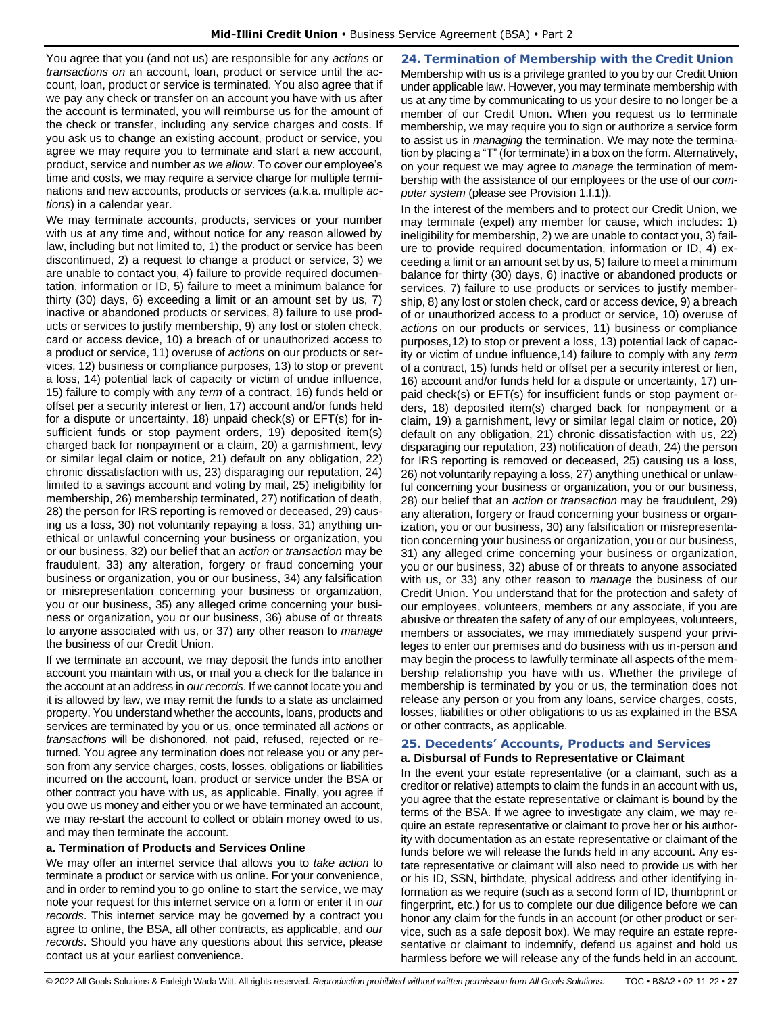You agree that you (and not us) are responsible for any *actions* or *transactions on* an account, loan, product or service until the account, loan, product or service is terminated. You also agree that if we pay any check or transfer on an account you have with us after the account is terminated, you will reimburse us for the amount of the check or transfer, including any service charges and costs. If you ask us to change an existing account, product or service, you agree we may require you to terminate and start a new account, product, service and number *as we allow*. To cover our employee's time and costs, we may require a service charge for multiple terminations and new accounts, products or services (a.k.a. multiple *actions*) in a calendar year.

We may terminate accounts, products, services or your number with us at any time and, without notice for any reason allowed by law, including but not limited to, 1) the product or service has been discontinued, 2) a request to change a product or service, 3) we are unable to contact you, 4) failure to provide required documentation, information or ID, 5) failure to meet a minimum balance for thirty (30) days, 6) exceeding a limit or an amount set by us, 7) inactive or abandoned products or services, 8) failure to use products or services to justify membership, 9) any lost or stolen check, card or access device, 10) a breach of or unauthorized access to a product or service, 11) overuse of *actions* on our products or services, 12) business or compliance purposes, 13) to stop or prevent a loss, 14) potential lack of capacity or victim of undue influence, 15) failure to comply with any *term* of a contract, 16) funds held or offset per a security interest or lien, 17) account and/or funds held for a dispute or uncertainty, 18) unpaid check(s) or EFT(s) for insufficient funds or stop payment orders, 19) deposited item(s) charged back for nonpayment or a claim, 20) a garnishment, levy or similar legal claim or notice, 21) default on any obligation, 22) chronic dissatisfaction with us, 23) disparaging our reputation, 24) limited to a savings account and voting by mail, 25) ineligibility for membership, 26) membership terminated, 27) notification of death, 28) the person for IRS reporting is removed or deceased, 29) causing us a loss, 30) not voluntarily repaying a loss, 31) anything unethical or unlawful concerning your business or organization, you or our business, 32) our belief that an *action* or *transaction* may be fraudulent, 33) any alteration, forgery or fraud concerning your business or organization, you or our business, 34) any falsification or misrepresentation concerning your business or organization, you or our business, 35) any alleged crime concerning your business or organization, you or our business, 36) abuse of or threats to anyone associated with us, or 37) any other reason to *manage* the business of our Credit Union.

If we terminate an account, we may deposit the funds into another account you maintain with us, or mail you a check for the balance in the account at an address in *our records*. If we cannot locate you and it is allowed by law, we may remit the funds to a state as unclaimed property. You understand whether the accounts, loans, products and services are terminated by you or us, once terminated all *actions* or *transactions* will be dishonored, not paid, refused, rejected or returned. You agree any termination does not release you or any person from any service charges, costs, losses, obligations or liabilities incurred on the account, loan, product or service under the BSA or other contract you have with us, as applicable. Finally, you agree if you owe us money and either you or we have terminated an account, we may re-start the account to collect or obtain money owed to us, and may then terminate the account.

#### **a. Termination of Products and Services Online**

We may offer an internet service that allows you to *take action* to terminate a product or service with us online. For your convenience, and in order to remind you to go online to start the service, we may note your request for this internet service on a form or enter it in *our records*. This internet service may be governed by a contract you agree to online, the BSA, all other contracts, as applicable, and *our records*. Should you have any questions about this service, please contact us at your earliest convenience.

<span id="page-26-0"></span>**24. Termination of Membership with the Credit Union** Membership with us is a privilege granted to you by our Credit Union under applicable law. However, you may terminate membership with us at any time by communicating to us your desire to no longer be a member of our Credit Union. When you request us to terminate membership, we may require you to sign or authorize a service form to assist us in *managing* the termination. We may note the termination by placing a "T" (for terminate) in a box on the form. Alternatively, on your request we may agree to *manage* the termination of membership with the assistance of our employees or the use of our *computer system* (please see Provision 1.f.1)).

In the interest of the members and to protect our Credit Union, we may terminate (expel) any member for cause, which includes: 1) ineligibility for membership, 2) we are unable to contact you, 3) failure to provide required documentation, information or ID, 4) exceeding a limit or an amount set by us, 5) failure to meet a minimum balance for thirty (30) days, 6) inactive or abandoned products or services, 7) failure to use products or services to justify membership, 8) any lost or stolen check, card or access device, 9) a breach of or unauthorized access to a product or service, 10) overuse of *actions* on our products or services, 11) business or compliance purposes,12) to stop or prevent a loss, 13) potential lack of capacity or victim of undue influence,14) failure to comply with any *term* of a contract, 15) funds held or offset per a security interest or lien, 16) account and/or funds held for a dispute or uncertainty, 17) unpaid check(s) or EFT(s) for insufficient funds or stop payment orders, 18) deposited item(s) charged back for nonpayment or a claim, 19) a garnishment, levy or similar legal claim or notice, 20) default on any obligation, 21) chronic dissatisfaction with us, 22) disparaging our reputation, 23) notification of death, 24) the person for IRS reporting is removed or deceased, 25) causing us a loss, 26) not voluntarily repaying a loss, 27) anything unethical or unlawful concerning your business or organization, you or our business, 28) our belief that an *action* or *transaction* may be fraudulent, 29) any alteration, forgery or fraud concerning your business or organization, you or our business, 30) any falsification or misrepresentation concerning your business or organization, you or our business, 31) any alleged crime concerning your business or organization, you or our business, 32) abuse of or threats to anyone associated with us, or 33) any other reason to *manage* the business of our Credit Union. You understand that for the protection and safety of our employees, volunteers, members or any associate, if you are abusive or threaten the safety of any of our employees, volunteers, members or associates, we may immediately suspend your privileges to enter our premises and do business with us in-person and may begin the process to lawfully terminate all aspects of the membership relationship you have with us. Whether the privilege of membership is terminated by you or us, the termination does not release any person or you from any loans, service charges, costs, losses, liabilities or other obligations to us as explained in the BSA or other contracts, as applicable.

# <span id="page-26-1"></span>**25. Decedents' Accounts, Products and Services**

# **a. Disbursal of Funds to Representative or Claimant**

In the event your estate representative (or a claimant, such as a creditor or relative) attempts to claim the funds in an account with us, you agree that the estate representative or claimant is bound by the terms of the BSA. If we agree to investigate any claim, we may require an estate representative or claimant to prove her or his authority with documentation as an estate representative or claimant of the funds before we will release the funds held in any account. Any estate representative or claimant will also need to provide us with her or his ID, SSN, birthdate, physical address and other identifying information as we require (such as a second form of ID, thumbprint or fingerprint, etc.) for us to complete our due diligence before we can honor any claim for the funds in an account (or other product or service, such as a safe deposit box). We may require an estate representative or claimant to indemnify, defend us against and hold us harmless before we will release any of the funds held in an account.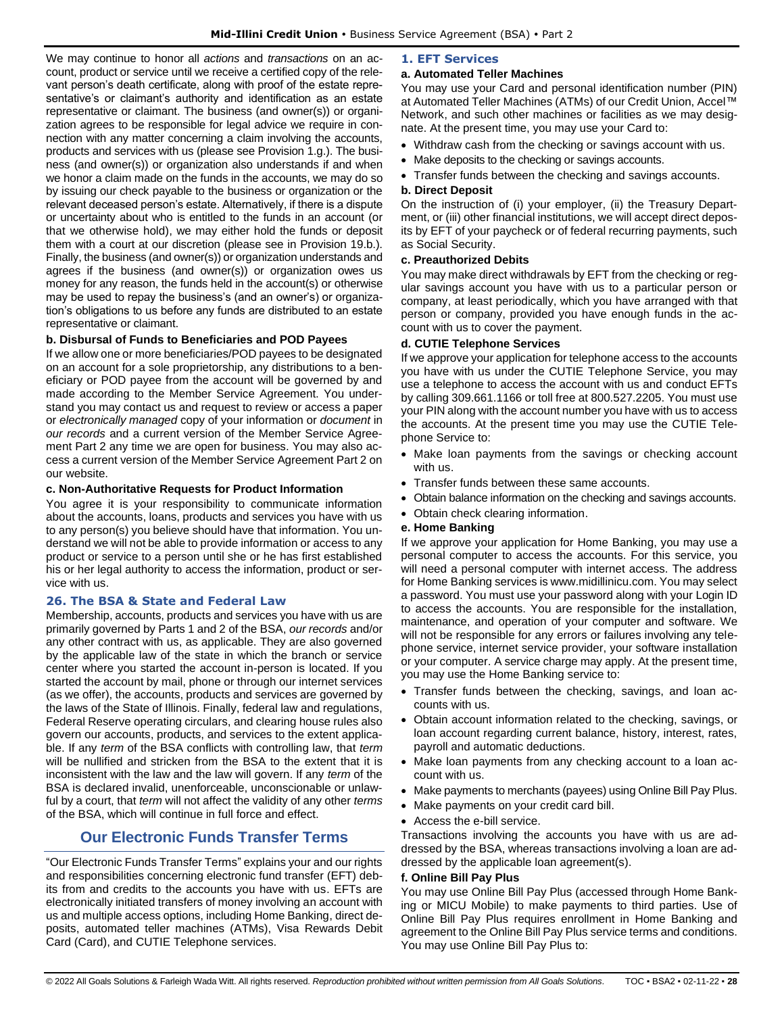We may continue to honor all *actions* and *transactions* on an account, product or service until we receive a certified copy of the relevant person's death certificate, along with proof of the estate representative's or claimant's authority and identification as an estate representative or claimant. The business (and owner(s)) or organization agrees to be responsible for legal advice we require in connection with any matter concerning a claim involving the accounts, products and services with us (please see Provision 1.g.). The business (and owner(s)) or organization also understands if and when we honor a claim made on the funds in the accounts, we may do so by issuing our check payable to the business or organization or the relevant deceased person's estate. Alternatively, if there is a dispute or uncertainty about who is entitled to the funds in an account (or that we otherwise hold), we may either hold the funds or deposit them with a court at our discretion (please see in Provision 19.b.). Finally, the business (and owner(s)) or organization understands and agrees if the business (and owner(s)) or organization owes us money for any reason, the funds held in the account(s) or otherwise may be used to repay the business's (and an owner's) or organization's obligations to us before any funds are distributed to an estate representative or claimant.

# **b. Disbursal of Funds to Beneficiaries and POD Payees**

If we allow one or more beneficiaries/POD payees to be designated on an account for a sole proprietorship, any distributions to a beneficiary or POD payee from the account will be governed by and made according to the Member Service Agreement. You understand you may contact us and request to review or access a paper or *electronically managed* copy of your information or *document* in *our records* and a current version of the Member Service Agreement Part 2 any time we are open for business. You may also access a current version of the Member Service Agreement Part 2 on our website.

# **c. Non-Authoritative Requests for Product Information**

You agree it is your responsibility to communicate information about the accounts, loans, products and services you have with us to any person(s) you believe should have that information. You understand we will not be able to provide information or access to any product or service to a person until she or he has first established his or her legal authority to access the information, product or service with us.

# <span id="page-27-0"></span>**26. The BSA & State and Federal Law**

Membership, accounts, products and services you have with us are primarily governed by Parts 1 and 2 of the BSA, *our records* and/or any other contract with us, as applicable. They are also governed by the applicable law of the state in which the branch or service center where you started the account in-person is located. If you started the account by mail, phone or through our internet services (as we offer), the accounts, products and services are governed by the laws of the State of Illinois. Finally, federal law and regulations, Federal Reserve operating circulars, and clearing house rules also govern our accounts, products, and services to the extent applicable. If any *term* of the BSA conflicts with controlling law, that *term* will be nullified and stricken from the BSA to the extent that it is inconsistent with the law and the law will govern. If any *term* of the BSA is declared invalid, unenforceable, unconscionable or unlawful by a court, that *term* will not affect the validity of any other *terms* of the BSA, which will continue in full force and effect.

# **Our Electronic Funds Transfer Terms**

<span id="page-27-1"></span>"Our Electronic Funds Transfer Terms" explains your and our rights and responsibilities concerning electronic fund transfer (EFT) debits from and credits to the accounts you have with us. EFTs are electronically initiated transfers of money involving an account with us and multiple access options, including Home Banking, direct deposits, automated teller machines (ATMs), Visa Rewards Debit Card (Card), and CUTIE Telephone services.

# <span id="page-27-2"></span>**1. EFT Services**

# **a. Automated Teller Machines**

You may use your Card and personal identification number (PIN) at Automated Teller Machines (ATMs) of our Credit Union, Accel™ Network, and such other machines or facilities as we may designate. At the present time, you may use your Card to:

- Withdraw cash from the checking or savings account with us.
- Make deposits to the checking or savings accounts.
- Transfer funds between the checking and savings accounts.

# **b. Direct Deposit**

On the instruction of (i) your employer, (ii) the Treasury Department, or (iii) other financial institutions, we will accept direct deposits by EFT of your paycheck or of federal recurring payments, such as Social Security.

# **c. Preauthorized Debits**

You may make direct withdrawals by EFT from the checking or regular savings account you have with us to a particular person or company, at least periodically, which you have arranged with that person or company, provided you have enough funds in the account with us to cover the payment.

# **d. CUTIE Telephone Services**

If we approve your application for telephone access to the accounts you have with us under the CUTIE Telephone Service, you may use a telephone to access the account with us and conduct EFTs by calling 309.661.1166 or toll free at 800.527.2205. You must use your PIN along with the account number you have with us to access the accounts. At the present time you may use the CUTIE Telephone Service to:

- Make loan payments from the savings or checking account with us.
- Transfer funds between these same accounts.
- Obtain balance information on the checking and savings accounts.
- Obtain check clearing information.

# **e. Home Banking**

If we approve your application for Home Banking, you may use a personal computer to access the accounts. For this service, you will need a personal computer with internet access. The address for Home Banking services is www.midillinicu.com. You may select a password. You must use your password along with your Login ID to access the accounts. You are responsible for the installation, maintenance, and operation of your computer and software. We will not be responsible for any errors or failures involving any telephone service, internet service provider, your software installation or your computer. A service charge may apply. At the present time, you may use the Home Banking service to:

- Transfer funds between the checking, savings, and loan accounts with us.
- Obtain account information related to the checking, savings, or loan account regarding current balance, history, interest, rates, payroll and automatic deductions.
- Make loan payments from any checking account to a loan account with us.
- Make payments to merchants (payees) using Online Bill Pay Plus.
- Make payments on your credit card bill.
- Access the e-bill service.

Transactions involving the accounts you have with us are addressed by the BSA, whereas transactions involving a loan are addressed by the applicable loan agreement(s).

# **f. Online Bill Pay Plus**

You may use Online Bill Pay Plus (accessed through Home Banking or MICU Mobile) to make payments to third parties. Use of Online Bill Pay Plus requires enrollment in Home Banking and agreement to the Online Bill Pay Plus service terms and conditions. You may use Online Bill Pay Plus to: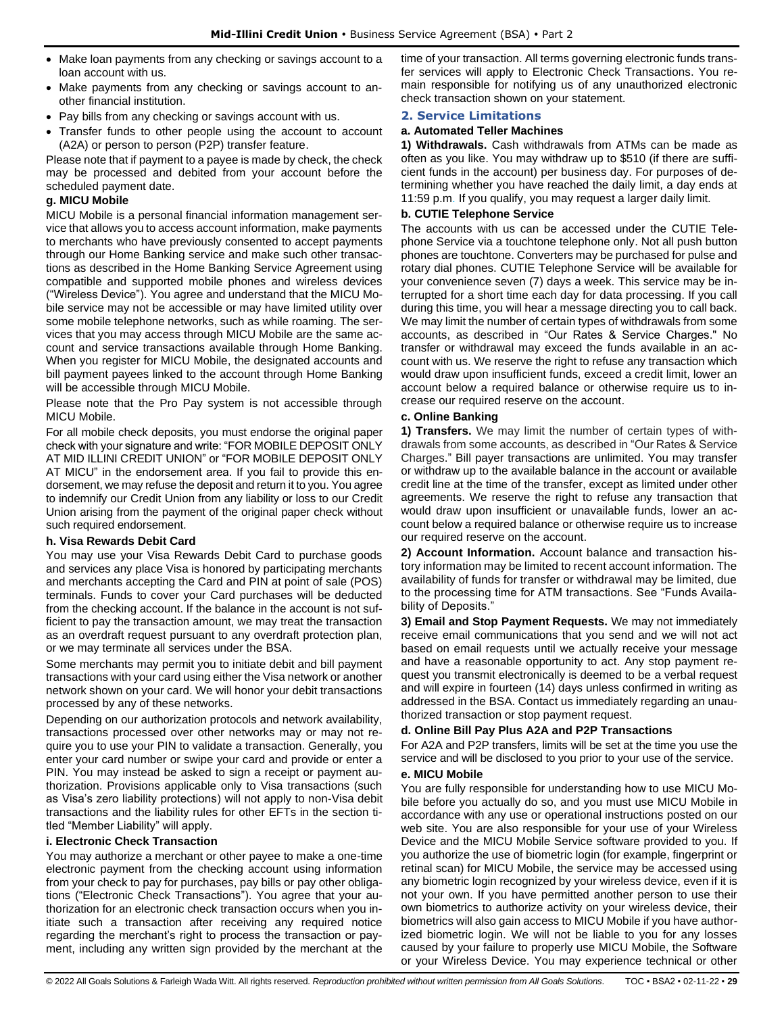- Make loan payments from any checking or savings account to a loan account with us.
- Make payments from any checking or savings account to another financial institution.
- Pay bills from any checking or savings account with us.
- Transfer funds to other people using the account to account (A2A) or person to person (P2P) transfer feature.

Please note that if payment to a payee is made by check, the check may be processed and debited from your account before the scheduled payment date.

# **g. MICU Mobile**

MICU Mobile is a personal financial information management service that allows you to access account information, make payments to merchants who have previously consented to accept payments through our Home Banking service and make such other transactions as described in the Home Banking Service Agreement using compatible and supported mobile phones and wireless devices ("Wireless Device"). You agree and understand that the MICU Mobile service may not be accessible or may have limited utility over some mobile telephone networks, such as while roaming. The services that you may access through MICU Mobile are the same account and service transactions available through Home Banking. When you register for MICU Mobile, the designated accounts and bill payment payees linked to the account through Home Banking will be accessible through MICU Mobile.

Please note that the Pro Pay system is not accessible through MICU Mobile.

For all mobile check deposits, you must endorse the original paper check with your signature and write: "FOR MOBILE DEPOSIT ONLY AT MID ILLINI CREDIT UNION" or "FOR MOBILE DEPOSIT ONLY AT MICU" in the endorsement area. If you fail to provide this endorsement, we may refuse the deposit and return it to you. You agree to indemnify our Credit Union from any liability or loss to our Credit Union arising from the payment of the original paper check without such required endorsement.

# **h. Visa Rewards Debit Card**

You may use your Visa Rewards Debit Card to purchase goods and services any place Visa is honored by participating merchants and merchants accepting the Card and PIN at point of sale (POS) terminals. Funds to cover your Card purchases will be deducted from the checking account. If the balance in the account is not sufficient to pay the transaction amount, we may treat the transaction as an overdraft request pursuant to any overdraft protection plan, or we may terminate all services under the BSA.

Some merchants may permit you to initiate debit and bill payment transactions with your card using either the Visa network or another network shown on your card. We will honor your debit transactions processed by any of these networks.

Depending on our authorization protocols and network availability, transactions processed over other networks may or may not require you to use your PIN to validate a transaction. Generally, you enter your card number or swipe your card and provide or enter a PIN. You may instead be asked to sign a receipt or payment authorization. Provisions applicable only to Visa transactions (such as Visa's zero liability protections) will not apply to non-Visa debit transactions and the liability rules for other EFTs in the section titled "Member Liability" will apply.

# **i. Electronic Check Transaction**

You may authorize a merchant or other payee to make a one-time electronic payment from the checking account using information from your check to pay for purchases, pay bills or pay other obligations ("Electronic Check Transactions"). You agree that your authorization for an electronic check transaction occurs when you initiate such a transaction after receiving any required notice regarding the merchant's right to process the transaction or payment, including any written sign provided by the merchant at the time of your transaction. All terms governing electronic funds transfer services will apply to Electronic Check Transactions. You remain responsible for notifying us of any unauthorized electronic check transaction shown on your statement.

# <span id="page-28-0"></span>**2. Service Limitations**

# **a. Automated Teller Machines**

**1) Withdrawals.** Cash withdrawals from ATMs can be made as often as you like. You may withdraw up to \$510 (if there are sufficient funds in the account) per business day. For purposes of determining whether you have reached the daily limit, a day ends at 11:59 p.m. If you qualify, you may request a larger daily limit.

# **b. CUTIE Telephone Service**

The accounts with us can be accessed under the CUTIE Telephone Service via a touchtone telephone only. Not all push button phones are touchtone. Converters may be purchased for pulse and rotary dial phones. CUTIE Telephone Service will be available for your convenience seven (7) days a week. This service may be interrupted for a short time each day for data processing. If you call during this time, you will hear a message directing you to call back. We may limit the number of certain types of withdrawals from some accounts, as described in "Our Rates & Service Charges." No transfer or withdrawal may exceed the funds available in an account with us. We reserve the right to refuse any transaction which would draw upon insufficient funds, exceed a credit limit, lower an account below a required balance or otherwise require us to increase our required reserve on the account.

# **c. Online Banking**

**1) Transfers.** We may limit the number of certain types of withdrawals from some accounts, as described in "Our Rates & Service Charges." Bill payer transactions are unlimited. You may transfer or withdraw up to the available balance in the account or available credit line at the time of the transfer, except as limited under other agreements. We reserve the right to refuse any transaction that would draw upon insufficient or unavailable funds, lower an account below a required balance or otherwise require us to increase our required reserve on the account.

**2) Account Information.** Account balance and transaction history information may be limited to recent account information. The availability of funds for transfer or withdrawal may be limited, due to the processing time for ATM transactions. See "Funds Availability of Deposits."

**3) Email and Stop Payment Requests.** We may not immediately receive email communications that you send and we will not act based on email requests until we actually receive your message and have a reasonable opportunity to act. Any stop payment request you transmit electronically is deemed to be a verbal request and will expire in fourteen (14) days unless confirmed in writing as addressed in the BSA. Contact us immediately regarding an unauthorized transaction or stop payment request.

# **d. Online Bill Pay Plus A2A and P2P Transactions**

For A2A and P2P transfers, limits will be set at the time you use the service and will be disclosed to you prior to your use of the service.

# **e. MICU Mobile**

You are fully responsible for understanding how to use MICU Mobile before you actually do so, and you must use MICU Mobile in accordance with any use or operational instructions posted on our web site. You are also responsible for your use of your Wireless Device and the MICU Mobile Service software provided to you. If you authorize the use of biometric login (for example, fingerprint or retinal scan) for MICU Mobile, the service may be accessed using any biometric login recognized by your wireless device, even if it is not your own. If you have permitted another person to use their own biometrics to authorize activity on your wireless device, their biometrics will also gain access to MICU Mobile if you have authorized biometric login. We will not be liable to you for any losses caused by your failure to properly use MICU Mobile, the Software or your Wireless Device. You may experience technical or other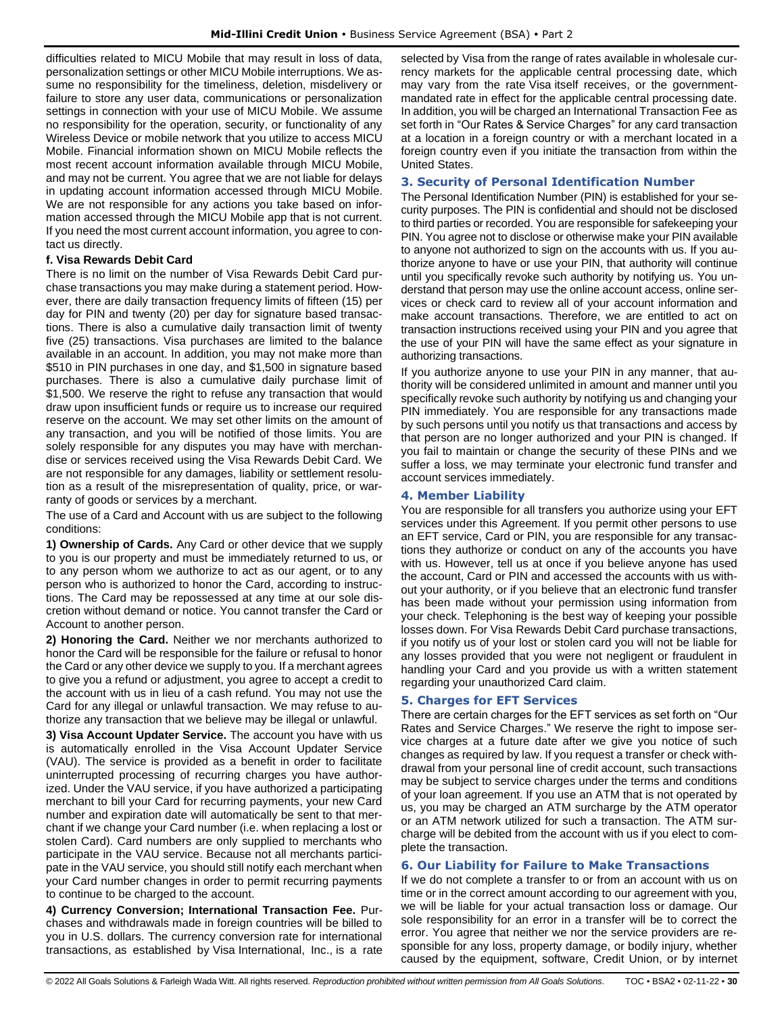difficulties related to MICU Mobile that may result in loss of data, personalization settings or other MICU Mobile interruptions. We assume no responsibility for the timeliness, deletion, misdelivery or failure to store any user data, communications or personalization settings in connection with your use of MICU Mobile. We assume no responsibility for the operation, security, or functionality of any Wireless Device or mobile network that you utilize to access MICU Mobile. Financial information shown on MICU Mobile reflects the most recent account information available through MICU Mobile, and may not be current. You agree that we are not liable for delays in updating account information accessed through MICU Mobile. We are not responsible for any actions you take based on information accessed through the MICU Mobile app that is not current. If you need the most current account information, you agree to contact us directly.

# **f. Visa Rewards Debit Card**

There is no limit on the number of Visa Rewards Debit Card purchase transactions you may make during a statement period. However, there are daily transaction frequency limits of fifteen (15) per day for PIN and twenty (20) per day for signature based transactions. There is also a cumulative daily transaction limit of twenty five (25) transactions. Visa purchases are limited to the balance available in an account. In addition, you may not make more than \$510 in PIN purchases in one day, and \$1,500 in signature based purchases. There is also a cumulative daily purchase limit of \$1,500. We reserve the right to refuse any transaction that would draw upon insufficient funds or require us to increase our required reserve on the account. We may set other limits on the amount of any transaction, and you will be notified of those limits. You are solely responsible for any disputes you may have with merchandise or services received using the Visa Rewards Debit Card. We are not responsible for any damages, liability or settlement resolution as a result of the misrepresentation of quality, price, or warranty of goods or services by a merchant.

The use of a Card and Account with us are subject to the following conditions:

**1) Ownership of Cards.** Any Card or other device that we supply to you is our property and must be immediately returned to us, or to any person whom we authorize to act as our agent, or to any person who is authorized to honor the Card, according to instructions. The Card may be repossessed at any time at our sole discretion without demand or notice. You cannot transfer the Card or Account to another person.

**2) Honoring the Card.** Neither we nor merchants authorized to honor the Card will be responsible for the failure or refusal to honor the Card or any other device we supply to you. If a merchant agrees to give you a refund or adjustment, you agree to accept a credit to the account with us in lieu of a cash refund. You may not use the Card for any illegal or unlawful transaction. We may refuse to authorize any transaction that we believe may be illegal or unlawful.

**3) Visa Account Updater Service.** The account you have with us is automatically enrolled in the Visa Account Updater Service (VAU). The service is provided as a benefit in order to facilitate uninterrupted processing of recurring charges you have authorized. Under the VAU service, if you have authorized a participating merchant to bill your Card for recurring payments, your new Card number and expiration date will automatically be sent to that merchant if we change your Card number (i.e. when replacing a lost or stolen Card). Card numbers are only supplied to merchants who participate in the VAU service. Because not all merchants participate in the VAU service, you should still notify each merchant when your Card number changes in order to permit recurring payments to continue to be charged to the account.

<span id="page-29-0"></span>**4) Currency Conversion; International Transaction Fee.** Purchases and withdrawals made in foreign countries will be billed to you in U.S. dollars. The currency conversion rate for international transactions, as established by Visa International, Inc., is a rate selected by Visa from the range of rates available in wholesale currency markets for the applicable central processing date, which may vary from the rate Visa itself receives, or the governmentmandated rate in effect for the applicable central processing date. In addition, you will be charged an International Transaction Fee as set forth in "Our Rates & Service Charges" for any card transaction at a location in a foreign country or with a merchant located in a foreign country even if you initiate the transaction from within the United States.

# **3. Security of Personal Identification Number**

The Personal Identification Number (PIN) is established for your security purposes. The PIN is confidential and should not be disclosed to third parties or recorded. You are responsible for safekeeping your PIN. You agree not to disclose or otherwise make your PIN available to anyone not authorized to sign on the accounts with us. If you authorize anyone to have or use your PIN, that authority will continue until you specifically revoke such authority by notifying us. You understand that person may use the online account access, online services or check card to review all of your account information and make account transactions. Therefore, we are entitled to act on transaction instructions received using your PIN and you agree that the use of your PIN will have the same effect as your signature in authorizing transactions.

If you authorize anyone to use your PIN in any manner, that authority will be considered unlimited in amount and manner until you specifically revoke such authority by notifying us and changing your PIN immediately. You are responsible for any transactions made by such persons until you notify us that transactions and access by that person are no longer authorized and your PIN is changed. If you fail to maintain or change the security of these PINs and we suffer a loss, we may terminate your electronic fund transfer and account services immediately.

# <span id="page-29-1"></span>**4. Member Liability**

You are responsible for all transfers you authorize using your EFT services under this Agreement. If you permit other persons to use an EFT service, Card or PIN, you are responsible for any transactions they authorize or conduct on any of the accounts you have with us. However, tell us at once if you believe anyone has used the account, Card or PIN and accessed the accounts with us without your authority, or if you believe that an electronic fund transfer has been made without your permission using information from your check. Telephoning is the best way of keeping your possible losses down. For Visa Rewards Debit Card purchase transactions, if you notify us of your lost or stolen card you will not be liable for any losses provided that you were not negligent or fraudulent in handling your Card and you provide us with a written statement regarding your unauthorized Card claim.

# <span id="page-29-2"></span>**5. Charges for EFT Services**

There are certain charges for the EFT services as set forth on "Our Rates and Service Charges." We reserve the right to impose service charges at a future date after we give you notice of such changes as required by law. If you request a transfer or check withdrawal from your personal line of credit account, such transactions may be subject to service charges under the terms and conditions of your loan agreement. If you use an ATM that is not operated by us, you may be charged an ATM surcharge by the ATM operator or an ATM network utilized for such a transaction. The ATM surcharge will be debited from the account with us if you elect to complete the transaction.

# <span id="page-29-3"></span>**6. Our Liability for Failure to Make Transactions**

If we do not complete a transfer to or from an account with us on time or in the correct amount according to our agreement with you, we will be liable for your actual transaction loss or damage. Our sole responsibility for an error in a transfer will be to correct the error. You agree that neither we nor the service providers are responsible for any loss, property damage, or bodily injury, whether caused by the equipment, software, Credit Union, or by internet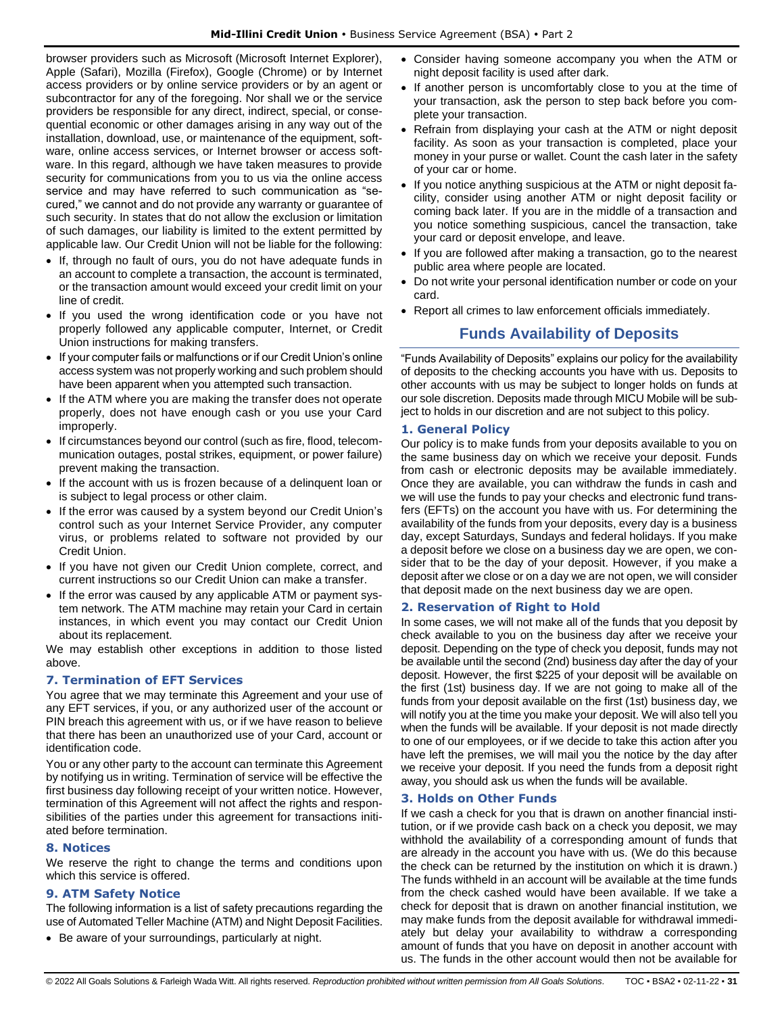browser providers such as Microsoft (Microsoft Internet Explorer), Apple (Safari), Mozilla (Firefox), Google (Chrome) or by Internet access providers or by online service providers or by an agent or subcontractor for any of the foregoing. Nor shall we or the service providers be responsible for any direct, indirect, special, or consequential economic or other damages arising in any way out of the installation, download, use, or maintenance of the equipment, software, online access services, or Internet browser or access software. In this regard, although we have taken measures to provide security for communications from you to us via the online access service and may have referred to such communication as "secured," we cannot and do not provide any warranty or guarantee of such security. In states that do not allow the exclusion or limitation of such damages, our liability is limited to the extent permitted by applicable law. Our Credit Union will not be liable for the following:

- If, through no fault of ours, you do not have adequate funds in an account to complete a transaction, the account is terminated, or the transaction amount would exceed your credit limit on your line of credit.
- If you used the wrong identification code or you have not properly followed any applicable computer, Internet, or Credit Union instructions for making transfers.
- If your computer fails or malfunctions or if our Credit Union's online access system was not properly working and such problem should have been apparent when you attempted such transaction.
- If the ATM where you are making the transfer does not operate properly, does not have enough cash or you use your Card improperly.
- If circumstances beyond our control (such as fire, flood, telecommunication outages, postal strikes, equipment, or power failure) prevent making the transaction.
- If the account with us is frozen because of a delinquent loan or is subject to legal process or other claim.
- If the error was caused by a system beyond our Credit Union's control such as your Internet Service Provider, any computer virus, or problems related to software not provided by our Credit Union.
- If you have not given our Credit Union complete, correct, and current instructions so our Credit Union can make a transfer.
- If the error was caused by any applicable ATM or payment system network. The ATM machine may retain your Card in certain instances, in which event you may contact our Credit Union about its replacement.

We may establish other exceptions in addition to those listed above.

# <span id="page-30-0"></span>**7. Termination of EFT Services**

You agree that we may terminate this Agreement and your use of any EFT services, if you, or any authorized user of the account or PIN breach this agreement with us, or if we have reason to believe that there has been an unauthorized use of your Card, account or identification code.

You or any other party to the account can terminate this Agreement by notifying us in writing. Termination of service will be effective the first business day following receipt of your written notice. However, termination of this Agreement will not affect the rights and responsibilities of the parties under this agreement for transactions initiated before termination.

# <span id="page-30-1"></span>**8. Notices**

We reserve the right to change the terms and conditions upon which this service is offered.

# <span id="page-30-2"></span>**9. ATM Safety Notice**

The following information is a list of safety precautions regarding the use of Automated Teller Machine (ATM) and Night Deposit Facilities.

• Be aware of your surroundings, particularly at night.

- Consider having someone accompany you when the ATM or night deposit facility is used after dark.
- If another person is uncomfortably close to you at the time of your transaction, ask the person to step back before you complete your transaction.
- Refrain from displaying your cash at the ATM or night deposit facility. As soon as your transaction is completed, place your money in your purse or wallet. Count the cash later in the safety of your car or home.
- If you notice anything suspicious at the ATM or night deposit facility, consider using another ATM or night deposit facility or coming back later. If you are in the middle of a transaction and you notice something suspicious, cancel the transaction, take your card or deposit envelope, and leave.
- If you are followed after making a transaction, go to the nearest public area where people are located.
- Do not write your personal identification number or code on your card.
- <span id="page-30-3"></span>• Report all crimes to law enforcement officials immediately.

# **Funds Availability of Deposits**

"Funds Availability of Deposits" explains our policy for the availability of deposits to the checking accounts you have with us. Deposits to other accounts with us may be subject to longer holds on funds at our sole discretion. Deposits made through MICU Mobile will be subject to holds in our discretion and are not subject to this policy.

# <span id="page-30-4"></span>**1. General Policy**

Our policy is to make funds from your deposits available to you on the same business day on which we receive your deposit. Funds from cash or electronic deposits may be available immediately. Once they are available, you can withdraw the funds in cash and we will use the funds to pay your checks and electronic fund transfers (EFTs) on the account you have with us. For determining the availability of the funds from your deposits, every day is a business day, except Saturdays, Sundays and federal holidays. If you make a deposit before we close on a business day we are open, we consider that to be the day of your deposit. However, if you make a deposit after we close or on a day we are not open, we will consider that deposit made on the next business day we are open.

# <span id="page-30-5"></span>**2. Reservation of Right to Hold**

In some cases, we will not make all of the funds that you deposit by check available to you on the business day after we receive your deposit. Depending on the type of check you deposit, funds may not be available until the second (2nd) business day after the day of your deposit. However, the first \$225 of your deposit will be available on the first (1st) business day. If we are not going to make all of the funds from your deposit available on the first (1st) business day, we will notify you at the time you make your deposit. We will also tell you when the funds will be available. If your deposit is not made directly to one of our employees, or if we decide to take this action after you have left the premises, we will mail you the notice by the day after we receive your deposit. If you need the funds from a deposit right away, you should ask us when the funds will be available.

# <span id="page-30-6"></span>**3. Holds on Other Funds**

If we cash a check for you that is drawn on another financial institution, or if we provide cash back on a check you deposit, we may withhold the availability of a corresponding amount of funds that are already in the account you have with us. (We do this because the check can be returned by the institution on which it is drawn.) The funds withheld in an account will be available at the time funds from the check cashed would have been available. If we take a check for deposit that is drawn on another financial institution, we may make funds from the deposit available for withdrawal immediately but delay your availability to withdraw a corresponding amount of funds that you have on deposit in another account with us. The funds in the other account would then not be available for